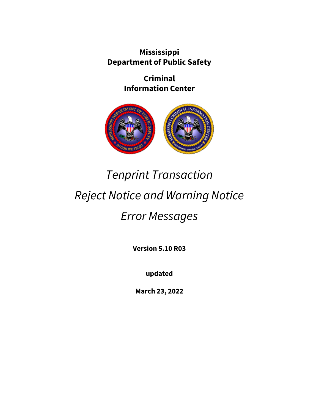**Mississippi Department of Public Safety**

> **Criminal Information Center**



# *Tenprint Transaction Reject Notice and Warning Notice Error Messages*

**Version 5.10 R03**

**updated**

**March 23, 2022**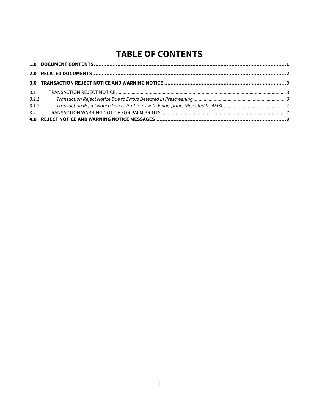## **TABLE OF CONTENTS**

| 3.1   |  |
|-------|--|
| 3.1.1 |  |
| 3.1.2 |  |
| 3.2   |  |
|       |  |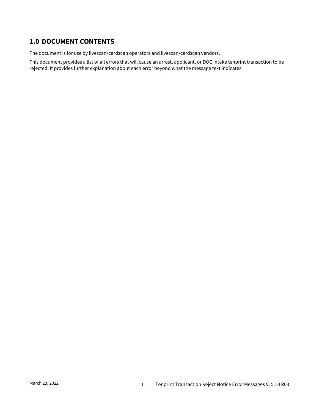## <span id="page-2-0"></span>**1.0 DOCUMENT CONTENTS**

The document is for use by livescan/cardscan operators and livescan/cardscan vendors.

This document provides a list of all errors that will cause an arrest, applicant, or DOC intake tenprint transaction to be rejected. It provides further explanation about each error beyond what the message text indicates.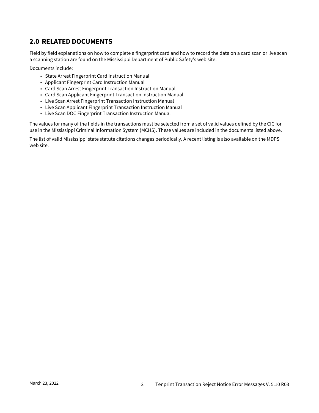## <span id="page-3-0"></span>**2.0 RELATED DOCUMENTS**

Field by field explanations on how to complete a fingerprint card and how to record the data on a card scan or live scan a scanning station are found on the Mississippi Department of Public Safety's web site.

Documents include:

- State Arrest Fingerprint Card Instruction Manual
- Applicant Fingerprint Card Instruction Manual
- Card Scan Arrest Fingerprint Transaction Instruction Manual
- Card Scan Applicant Fingerprint Transaction Instruction Manual
- Live Scan Arrest Fingerprint Transaction Instruction Manual
- Live Scan Applicant Fingerprint Transaction Instruction Manual
- Live Scan DOC Fingerprint Transaction Instruction Manual

The values for many of the fields in the transactions must be selected from a set of valid values defined by the CIC for use in the Mississippi Criminal Information System (MCHS). These values are included in the documents listed above.

The list of valid Mississippi state statute citations changes periodically. A recent listing is also available on the MDPS web site.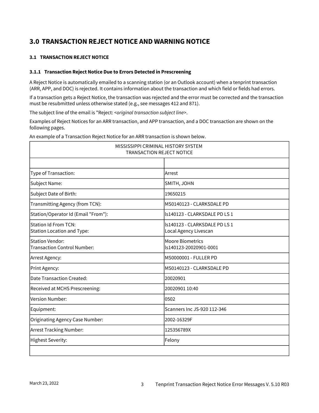## <span id="page-4-0"></span>**3.0 TRANSACTION REJECT NOTICE AND WARNING NOTICE**

#### <span id="page-4-1"></span>**3.1 TRANSACTION REJECT NOTICE**

#### <span id="page-4-2"></span>**3.1.1 Transaction Reject Notice Due to Errors Detected in Prescreening**

A Reject Notice is automatically emailed to a scanning station (or an Outlook account) when a tenprint transaction (ARR, APP, and DOC) is rejected. It contains information about the transaction and which field or fields had errors.

If a transaction gets a Reject Notice, the transaction was rejected and the error must be corrected and the transaction must be resubmitted unless otherwise stated (e.g., see messages 412 and 871).

The subject line of the email is "Reject: *<original transaction subject line>*.

Examples of Reject Notices for an ARR transaction, and APP transaction, and a DOC transaction are shown on the following pages.

An example of a Transaction Reject Notice for an ARR transaction is shown below.

| MISSISSIPPI CRIMINAL HISTORY SYSTEM<br><b>TRANSACTION REJECT NOTICE</b> |                                                        |  |
|-------------------------------------------------------------------------|--------------------------------------------------------|--|
|                                                                         |                                                        |  |
| Type of Transaction:                                                    | Arrest                                                 |  |
| Subject Name:                                                           | SMITH, JOHN                                            |  |
| Subject Date of Birth:                                                  | 19650215                                               |  |
| Transmitting Agency (from TCN):                                         | MS0140123 - CLARKSDALE PD                              |  |
| Station/Operator Id (Email "From"):                                     | Is140123 - CLARKSDALE PD LS 1                          |  |
| <b>Station Id From TCN:</b><br>Station Location and Type:               | Is140123 - CLARKSDALE PD LS 1<br>Local Agency Livescan |  |
| <b>Station Vendor:</b><br>Transaction Control Number:                   | Moore Biometrics<br>ls140123-20020901-0001             |  |
| Arrest Agency:                                                          | MS0000001 - FULLER PD                                  |  |
| Print Agency:                                                           | MS0140123 - CLARKSDALE PD                              |  |
| Date Transaction Created:                                               | 20020901                                               |  |
| Received at MCHS Prescreening:                                          | 20020901 10:40                                         |  |
| Version Number:                                                         | 0502                                                   |  |
| Equipment:                                                              | Scanners Inc JS-920 112-346                            |  |
| Originating Agency Case Number:                                         | 2002-16329F                                            |  |
| Arrest Tracking Number:                                                 | 125356789X                                             |  |
| Highest Severity:                                                       | Felony                                                 |  |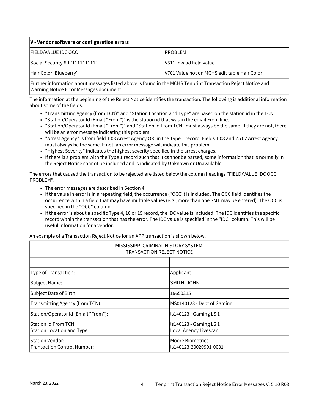| $ V -$ Vendor software or configuration errors |                                              |  |
|------------------------------------------------|----------------------------------------------|--|
| <b>FIELD/VALUE IDC OCC</b>                     | <b>IPROBLEM</b>                              |  |
| Social Security # 1 '111111111'                | IV511 Invalid field value                    |  |
| Hair Color 'Blueberry'                         | V701 Value not on MCHS edit table Hair Color |  |

Further information about messages listed above is found in the MCHS Tenprint Transaction Reject Notice and Warning Notice Error Messages document.

The information at the beginning of the Reject Notice identifies the transaction. The following is additional information about some of the fields:

- "Transmitting Agency (from TCN)" and "Station Location and Type" are based on the station id in the TCN.
- "Station/Operator Id (Email "From")" is the station id that was in the email From line.
- "Station/Operator Id (Email "From")" and "Station Id From TCN" must always be the same. If they are not, there will be an error message indicating this problem.
- "Arrest Agency" is from field 1.08 Arrest Agency ORI in the Type 1 record. Fields 1.08 and 2.702 Arrest Agency must always be the same. If not, an error message will indicate this problem.
- "Highest Severity" indicates the highest severity specified in the arrest charges.
- If there is a problem with the Type 1 record such that it cannot be parsed, some information that is normally in the Reject Notice cannot be included and is indicated by Unknown or Unavailable.

The errors that caused the transaction to be rejected are listed below the column headings "FIELD/VALUE IDC OCC PROBLEM".

- The error messages are described in Section 4.
- If the value in error is in a repeating field, the occurrence ("OCC") is included. The OCC field identifies the occurrence within a field that may have multiple values (e.g., more than one SMT may be entered). The OCC is specified in the "OCC" column.
- If the error is about a specific Type 4, 10 or 15 record, the IDC value is included. The IDC identifies the specific record within the transaction that has the error. The IDC value is specified in the "IDC" column. This will be useful information for a vendor.

An example of a Transaction Reject Notice for an APP transaction is shown below.

| MISSISSIPPI CRIMINAL HISTORY SYSTEM<br><b>TRANSACTION REJECT NOTICE</b> |                                                   |  |
|-------------------------------------------------------------------------|---------------------------------------------------|--|
|                                                                         |                                                   |  |
| Type of Transaction:                                                    | Applicant                                         |  |
| Subject Name:                                                           | SMITH, JOHN                                       |  |
| Subject Date of Birth:                                                  | 19650215                                          |  |
| Transmitting Agency (from TCN):                                         | MS0140123 - Dept of Gaming                        |  |
| Station/Operator Id (Email "From"):                                     | ls140123 - Gaming LS 1                            |  |
| Station Id From TCN:<br>Station Location and Type:                      | Is140123 - Gaming LS 1<br>Local Agency Livescan   |  |
| <b>Station Vendor:</b><br>Transaction Control Number:                   | <b>Moore Biometrics</b><br>ls140123-20020901-0001 |  |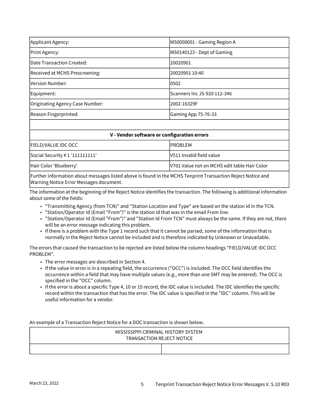| Applicant Agency:                 | MS0000001 - Gaming Region A |
|-----------------------------------|-----------------------------|
| Print Agency:                     | MS0140123 - Dept of Gaming  |
| <b>IDate Transaction Created:</b> | 20020901                    |
| Received at MCHS Prescreening:    | 20020901 10:40              |
| <b>Version Number:</b>            | 0502                        |
| Equipment:                        | Scanners Inc JS-920 112-346 |
| Originating Agency Case Number:   | 2002-16329F                 |
| Reason Fingerprinted:             | Gaming App 75-76-33         |

#### **V - Vendor software or configuration errors**

| <b>FIELD/VALUE IDC OCC</b>              | <b>IPROBLEM</b>                              |
|-----------------------------------------|----------------------------------------------|
| $\vert$ Social Security # 1 '111111111' | V511 Invalid field value                     |
| Hair Color 'Blueberry'                  | V701 Value not on MCHS edit table Hair Color |

Further information about messages listed above is found in the MCHS Tenprint Transaction Reject Notice and Warning Notice Error Messages document.

The information at the beginning of the Reject Notice identifies the transaction. The following is additional information about some of the fields:

- "Transmitting Agency (from TCN)" and "Station Location and Type" are based on the station id in the TCN.
- "Station/Operator Id (Email "From")" is the station id that was in the email From line.
- "Station/Operator Id (Email "From")" and "Station Id From TCN" must always be the same. If they are not, there will be an error message indicating this problem.
- If there is a problem with the Type 1 record such that it cannot be parsed, some of the information that is normally in the Reject Notice cannot be included and is therefore indicated by Unknown or Unavailable.

The errors that caused the transaction to be rejected are listed below the column headings "FIELD/VALUE IDC OCC PROBLEM".

- The error messages are described in Section 4.
- If the value in error is in a repeating field, the occurrence ("OCC") is included. The OCC field identifies the occurrence within a field that may have multiple values (e.g., more than one SMT may be entered). The OCC is specified in the "OCC" column.
- If the error is about a specific Type 4, 10 or 15 record, the IDC value is included. The IDC identifies the specific record within the transaction that has the error. The IDC value is specified in the "IDC" column. This will be useful information for a vendor.

An example of a Transaction Reject Notice for a DOC transaction is shown below.

| MISSISSIPPI CRIMINAL HISTORY SYSTEM<br><b>TRANSACTION REJECT NOTICE</b> |  |
|-------------------------------------------------------------------------|--|
|                                                                         |  |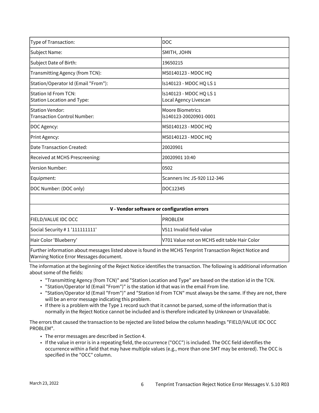| Type of Transaction:                                         | <b>DOC</b>                                        |
|--------------------------------------------------------------|---------------------------------------------------|
| Subject Name:                                                | SMITH, JOHN                                       |
| Subject Date of Birth:                                       | 19650215                                          |
| Transmitting Agency (from TCN):                              | MS0140123 - MDOC HQ                               |
| Station/Operator Id (Email "From"):                          | Is140123 - MDOC HQ LS 1                           |
| Station Id From TCN:<br><b>Station Location and Type:</b>    | Is140123 - MDOC HQ LS 1<br>Local Agency Livescan  |
| <b>Station Vendor:</b><br><b>Transaction Control Number:</b> | <b>Moore Biometrics</b><br>ls140123-20020901-0001 |
| DOC Agency:                                                  | MS0140123 - MDOC HQ                               |
| Print Agency:                                                | MS0140123 - MDOC HQ                               |
| Date Transaction Created:                                    | 20020901                                          |
| Received at MCHS Prescreening:                               | 20020901 10:40                                    |
| lVersion Number:                                             | 0502                                              |
| Equipment:                                                   | Scanners Inc JS-920 112-346                       |
| DOC Number: (DOC only)                                       | DOC12345                                          |

| V - Vendor software or configuration errors |                                              |  |
|---------------------------------------------|----------------------------------------------|--|
| <b>FIELD/VALUE IDC OCC</b>                  | <b>IPROBLEM</b>                              |  |
| Social Security # $1'111111111'$            | V511 Invalid field value                     |  |
| Hair Color 'Blueberry'                      | V701 Value not on MCHS edit table Hair Color |  |
|                                             |                                              |  |

Further information about messages listed above is found in the MCHS Tenprint Transaction Reject Notice and Warning Notice Error Messages document.

The information at the beginning of the Reject Notice identifies the transaction. The following is additional information about some of the fields:

- "Transmitting Agency (from TCN)" and "Station Location and Type" are based on the station id in the TCN.
- "Station/Operator Id (Email "From")" is the station id that was in the email From line.
- "Station/Operator Id (Email "From")" and "Station Id From TCN" must always be the same. If they are not, there will be an error message indicating this problem.
- If there is a problem with the Type 1 record such that it cannot be parsed, some of the information that is normally in the Reject Notice cannot be included and is therefore indicated by Unknown or Unavailable.

The errors that caused the transaction to be rejected are listed below the column headings "FIELD/VALUE IDC OCC PROBLEM".

- The error messages are described in Section 4.
- If the value in error is in a repeating field, the occurrence ("OCC") is included. The OCC field identifies the occurrence within a field that may have multiple values (e.g., more than one SMT may be entered). The OCC is specified in the "OCC" column.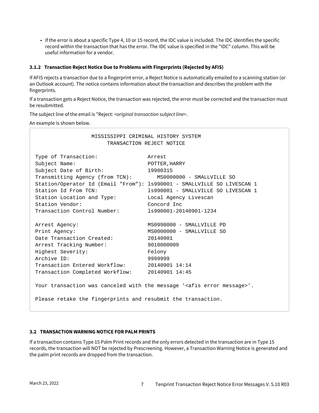• If the error is about a specific Type 4, 10 or 15 record, the IDC value is included. The IDC identifies the specific record within the transaction that has the error. The IDC value is specified in the "IDC" column. This will be useful information for a vendor.

#### <span id="page-8-0"></span>**3.1.2 Transaction Reject Notice Due to Problems with Fingerprints (Rejected by AFIS)**

If AFIS rejects a transaction due to a fingerprint error, a Reject Notice is automatically emailed to a scanning station (or an Outlook account). The notice contains information about the transaction and describes the problem with the fingerprints.

If a transaction gets a Reject Notice, the transaction was rejected, the error must be corrected and the transaction must be resubmitted.

The subject line of the email is "Reject: *<original transaction subject line>*.

An example is shown below.

| MISSISSIPPI CRIMINAL HISTORY SYSTEM<br>TRANSACTION REJECT NOTICE                                                                                                                                           |                                                                                                                                                                                                                                                      |  |  |
|------------------------------------------------------------------------------------------------------------------------------------------------------------------------------------------------------------|------------------------------------------------------------------------------------------------------------------------------------------------------------------------------------------------------------------------------------------------------|--|--|
| Type of Transaction:<br>Subject Name:<br>Subject Date of Birth:<br>Transmitting Agency (from TCN):<br>Station Id From TCN:<br>Station Location and Type:<br>Station Vendor:<br>Transaction Control Number: | Arrest<br>POTTER, HARRY<br>19900315<br>MS0000000 - SMALLVILLE SO<br>Station/Operator Id (Email "From"): 1s990001 - SMALLVILLE SO LIVESCAN 1<br>1s990001 - SMALLVILLE SO LIVESCAN 1<br>Local Agency Livescan<br>Concord Inc<br>1s990001-20140901-1234 |  |  |
| Arrest Agency:<br>Print Agency:<br>Date Transaction Created:<br>Arrest Tracking Number:<br>Highest Severity:<br>Archive ID:<br>Transaction Entered Workflow:<br>Transaction Completed Workflow:            | MS0990000 - SMALLVILLE PD<br>MS0000000 - SMALLVILLE SO<br>20140901<br>9010000009<br>Felony<br>9999999<br>20140901 14:14<br>20140901 14:45                                                                                                            |  |  |
| Please retake the fingerprints and resubmit the transaction.                                                                                                                                               | Your transaction was canceled with the message ' <afis error="" message="">'.</afis>                                                                                                                                                                 |  |  |

#### <span id="page-8-1"></span>**3.2 TRANSACTION WARNING NOTICE FOR PALM PRINTS**

If a transaction contains Type 15 Palm Print records and the only errors detected in the transaction are in Type 15 records, the transaction will NOT be rejected by Prescreening. However, a Transaction Warning Notice is generated and the palm print records are dropped from the transaction.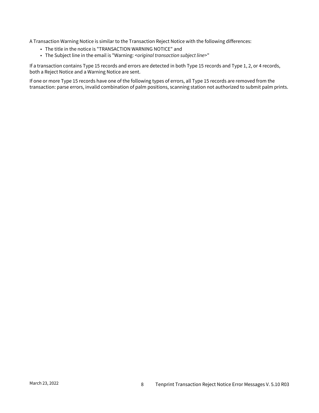A Transaction Warning Notice is similar to the Transaction Reject Notice with the following differences:

- The title in the notice is "TRANSACTION WARNING NOTICE" and
- The Subject line in the email is "Warning: <*original transaction subject line*>"

If a transaction contains Type 15 records and errors are detected in both Type 15 records and Type 1, 2, or 4 records, both a Reject Notice and a Warning Notice are sent.

If one or more Type 15 records have one of the following types of errors, all Type 15 records are removed from the transaction: parse errors, invalid combination of palm positions, scanning station not authorized to submit palm prints.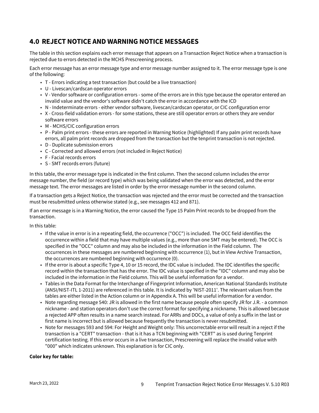### <span id="page-10-0"></span>**4.0 REJECT NOTICE AND WARNING NOTICE MESSAGES**

The table in this section explains each error message that appears on a Transaction Reject Notice when a transaction is rejected due to errors detected in the MCHS Prescreening process.

Each error message has an error message type and error message number assigned to it. The error message type is one of the following:

- T Errors indicating a test transaction (but could be a live transaction)
- U Livescan/cardscan operator errors
- V Vendor software or configuration errors some of the errors are in this type because the operator entered an invalid value and the vendor's software didn't catch the error in accordance with the ICD
- N Indeterminate errors either vendor software, livescan/cardscan operator, or CIC configuration error
- X Cross-field validation errors for some stations, these are still operator errors or others they are vendor software errors
- M MCHS/CIC configuration errors
- P Palm print errors these errors are reported in Warning Notice (highlighted) If any palm print records have errors, all palm print records are dropped from the transaction but the tenprint transaction is not rejected.
- D Duplicate submission errors
- C Corrected and allowed errors (not included in Reject Notice)
- F Facial records errors
- S SMT records errors (future)

In this table, the error message type is indicated in the first column. Then the second column includes the error message number, the field (or record type) which was being validated when the error was detected, and the error message text. The error messages are listed in order by the error message number in the second column.

If a transaction gets a Reject Notice, the transaction was rejected and the error must be corrected and the transaction must be resubmitted unless otherwise stated (e.g., see messages 412 and 871).

If an error message is in a Warning Notice, the error caused the Type 15 Palm Print records to be dropped from the transaction.

In this table:

- If the value in error is in a repeating field, the occurrence ("OCC") is included. The OCC field identifies the occurrence within a field that may have multiple values (e.g., more than one SMT may be entered). The OCC is specified in the "OCC" column and may also be included in the information in the Field column. The occurrences in these messages are numbered beginning with occurrence (1), but in View Archive Transaction, the occurrences are numbered beginning with occurrence (0).
- If the error is about a specific Type 4, 10 or 15 record, the IDC value is included. The IDC identifies the specific record within the transaction that has the error. The IDC value is specified in the "IDC" column and may also be included in the information in the Field column. This will be useful information for a vendor.
- Tables in the Data Format for the Interchange of Fingerprint Information, American National Standards Institute (ANSI/NIST-ITL 1-2011) are referenced in this table. It is indicated by 'NIST-2011'. The relevant values from the tables are either listed in the Action column or in Appendix A. This will be useful information for a vendor.
- Note regarding message 540: JR is allowed in the first name because people often specify JR for J.R. a common nickname - and station operators don't use the correct format for specifying a nickname. This is allowed because a rejected APP often results in a name search instead. For ARRs and DOCs, a value of only a suffix in the last or first name is incorrect but is allowed because frequently the transaction is never resubmitted.
- Note for messages 593 and 594: For Height and Weight only: This uncorrectable error will result in a reject if the transaction is a "CERT" transaction - that is it has a TCN beginning with "CERT" as is used during Tenprint certification testing. If this error occurs in a live transaction, Prescreening will replace the invalid value with "000" which indicates unknown. This explanation is for CIC only.

#### **Color key for table:**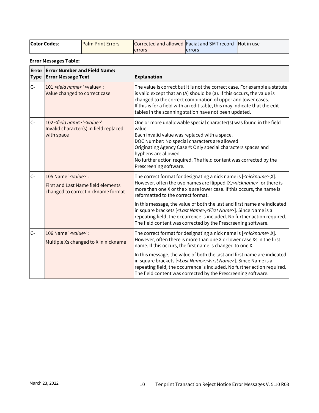| <b>Color Codes:</b> | <b>IPalm Print Errors</b> |         | Corrected and allowed Facial and SMT record Not in use |  |
|---------------------|---------------------------|---------|--------------------------------------------------------|--|
|                     |                           | lerrors | lerrors                                                |  |

#### **Error Messages Table:**

| Error<br><b>Type</b> | <b>Error Number and Field Name:</b><br><b>Error Message Text</b>                                                  | <b>Explanation</b>                                                                                                                                                                                                                                                                                                                                                      |
|----------------------|-------------------------------------------------------------------------------------------------------------------|-------------------------------------------------------------------------------------------------------------------------------------------------------------------------------------------------------------------------------------------------------------------------------------------------------------------------------------------------------------------------|
| $C -$                | 101 <field name=""> '<value>':<br/>Value changed to correct case</value></field>                                  | The value is correct but it is not the correct case. For example a statute<br>is valid except that an (A) should be (a). If this occurs, the value is<br>changed to the correct combination of upper and lower cases.<br>If this is for a field with an edit table, this may indicate that the edit<br>tables in the scanning station have not been updated.            |
| lc-                  | 102 <field name=""> '<value>':<br/>Invalid character(s) in field replaced<br/>with space</value></field>          | One or more unallowable special character(s) was found in the field<br>value.<br>Each invalid value was replaced with a space.<br>DOC Number: No special characters are allowed<br>Originating Agency Case #: Only special characters spaces and<br>hyphens are allowed<br>No further action required. The field content was corrected by the<br>Prescreening software. |
| $C -$                | 105 Name ' <value>':<br/><b>First and Last Name field elements</b><br/>changed to correct nickname format</value> | The correct format for designating a nick name is [ <nickname>,X].<br/>However, often the two names are flipped [X,<nickname>] or there is<br/>more than one X or the x's are lower case. If this occurs, the name is<br/>reformatted to the correct format.</nickname></nickname>                                                                                      |
|                      |                                                                                                                   | In this message, the value of both the last and first name are indicated<br>in square brackets [ <last name="">,<first name="">]. Since Name is a<br/>repeating field, the occurrence is included. No further action required.<br/>The field content was corrected by the Prescreening software.</first></last>                                                         |
| lc-                  | 106 Name ' <value>':<br/>Multiple Xs changed to X in nickname</value>                                             | The correct format for designating a nick name is [ <nickname>,X].<br/>However, often there is more than one X or lower case Xs in the first<br/>name. If this occurs, the first name is changed to one X.</nickname>                                                                                                                                                   |
|                      |                                                                                                                   | In this message, the value of both the last and first name are indicated<br>in square brackets [ <last name="">,<first name="">]. Since Name is a<br/>repeating field, the occurrence is included. No further action required.<br/>The field content was corrected by the Prescreening software.</first></last>                                                         |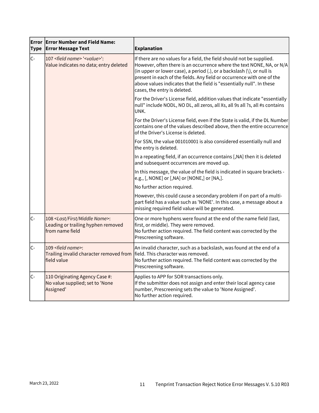| <b>Type</b> | <b>Error Error Number and Field Name:</b><br><b>Error Message Text</b>                                   | <b>Explanation</b>                                                                                                                                                                                                                                                                                                                                                                                          |  |
|-------------|----------------------------------------------------------------------------------------------------------|-------------------------------------------------------------------------------------------------------------------------------------------------------------------------------------------------------------------------------------------------------------------------------------------------------------------------------------------------------------------------------------------------------------|--|
| $C -$       | 107 <field name=""> '<value>':<br/>Value indicates no data; entry deleted</value></field>                | If there are no values for a field, the field should not be supplied.<br>However, often there is an occurrence where the text NONE, NA, or N/A<br>(in upper or lower case), a period (.), or a backslash (\), or null is<br>present in each of the fields. Any field or occurrence with one of the<br>above values indicates that the field is "essentially null". In these<br>cases, the entry is deleted. |  |
|             |                                                                                                          | For the Driver's License field, addition values that indicate "essentially<br>null" include NODL, NO DL, all zeros, all Xs, all 9s all ?s, all #s contains<br>UNK.                                                                                                                                                                                                                                          |  |
|             |                                                                                                          | For the Driver's License field, even if the State is valid, if the DL Number<br>contains one of the values described above, then the entire occurrence<br>of the Driver's License is deleted.                                                                                                                                                                                                               |  |
|             |                                                                                                          | For SSN, the value 001010001 is also considered essentially null and<br>the entry is deleted.                                                                                                                                                                                                                                                                                                               |  |
|             |                                                                                                          | In a repeating field, if an occurrence contains [, NA] then it is deleted<br>and subsequent occurrences are moved up.                                                                                                                                                                                                                                                                                       |  |
|             |                                                                                                          | In this message, the value of the field is indicated in square brackets -<br>e.g., [, NONE] or [, NA] or [NONE,] or [NA,].                                                                                                                                                                                                                                                                                  |  |
|             |                                                                                                          | No further action required.                                                                                                                                                                                                                                                                                                                                                                                 |  |
|             |                                                                                                          | However, this could cause a secondary problem if on part of a multi-<br>part field has a value such as 'NONE'. In this case, a message about a<br>missing required field value will be generated.                                                                                                                                                                                                           |  |
| $ C -$      | 108 <last first="" middle="" name="">:<br/>Leading or trailing hyphen removed<br/>from name field</last> | One or more hyphens were found at the end of the name field (last,<br>first, or middle). They were removed.<br>No further action required. The field content was corrected by the<br>Prescreening software.                                                                                                                                                                                                 |  |
| lc-         | 109 <field name="">:<br/>Trailing invalid character removed from<br/>field value</field>                 | An invalid character, such as a backslash, was found at the end of a<br>field. This character was removed.<br>No further action required. The field content was corrected by the<br>Prescreening software.                                                                                                                                                                                                  |  |
| lc-         | 110 Originating Agency Case #:<br>No value supplied; set to 'None<br>Assigned'                           | Applies to APP for SOR transactions only.<br>If the submitter does not assign and enter their local agency case<br>number, Prescreening sets the value to 'None Assigned'.<br>No further action required.                                                                                                                                                                                                   |  |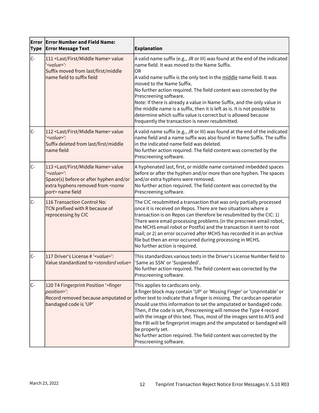| <b>Type</b> | <b>Error Error Number and Field Name:</b><br><b>Error Message Text</b>                                                                                                                     | <b>Explanation</b>                                                                                                                                                                                                                                                                                                                                                                                                                                                                                                                                                                                                    |  |
|-------------|--------------------------------------------------------------------------------------------------------------------------------------------------------------------------------------------|-----------------------------------------------------------------------------------------------------------------------------------------------------------------------------------------------------------------------------------------------------------------------------------------------------------------------------------------------------------------------------------------------------------------------------------------------------------------------------------------------------------------------------------------------------------------------------------------------------------------------|--|
| $C -$       | 111 <last first="" middle="" name=""> value<br/>'<value>':<br/>Suffix moved from last/first/middle<br/>name field to suffix field</value></last>                                           | A valid name suffix (e.g., JR or III) was found at the end of the indicated<br>name field. It was moved to the Name Suffix.<br>OR<br>A valid name suffix is the only text in the middle name field. It was<br>moved to the Name Suffix.<br>No further action required. The field content was corrected by the<br>Prescreening software.<br>Note: If there is already a value in Name Suffix, and the only value in<br>the middle name is a suffix, then it is left as is. It is not possible to<br>determine which suffix value is correct but is allowed because<br>frequently the transaction is never resubmitted. |  |
| lc-         | 112 <last first="" middle="" name=""> value<br/>'<value>':<br/>Suffix deleted from last/first/middle<br/>name field</value></last>                                                         | A valid name suffix (e.g., JR or III) was found at the end of the indicated<br>name field and a name suffix was also found in Name Suffix. The suffix<br>in the indicated name field was deleted.<br>No further action required. The field content was corrected by the<br>Prescreening software.                                                                                                                                                                                                                                                                                                                     |  |
| lc-         | 113 <last first="" middle="" name=""> value<br/>'<value>':<br/>Space(s) before or after hyphen and/or<br/>extra hyphens removed from <name<br>part&gt; name field</name<br></value></last> | A hyphenated last, first, or middle name contained imbedded spaces<br>before or after the hyphen and/or more than one hyphen. The spaces<br>and/or extra hyphens were removed.<br>No further action required. The field content was corrected by the<br>Prescreening software.                                                                                                                                                                                                                                                                                                                                        |  |
| lc-         | 116 Transaction Control No:<br>TCN prefixed with R because of<br>reprocessing by CIC                                                                                                       | The CIC resubmitted a transaction that was only partially processed<br>once it is received on Repos. There are two situations where a<br>transaction is on Repos can therefore be resubmitted by the CIC: 1)<br>There were email processing problems (in the prescreen email robot,<br>the MCHS email robot or Postfix) and the transaction it sent to root<br>mail; or 2) an error occurred after MCHS has recorded it in an archive<br>file but then an error occurred during processing in MCHS.<br>No further action is required.                                                                                 |  |
| lc-         | 117 Driver's License # ' <value>':<br/>Value standardized to <standard value=""></standard></value>                                                                                        | This standardizes various texts in the Driver's License Number field to<br>'Same as SSN' or 'Suspended'.<br>No further action required. The field content was corrected by the<br>Prescreening software.                                                                                                                                                                                                                                                                                                                                                                                                              |  |
| C-          | 120 T4 Fingerprint Position ' <finger<br>position&gt;":<br/>Record removed because amputated or<br/>bandaged code is 'UP'</finger<br>                                                      | This applies to cardscans only.<br>A finger block may contain 'UP' or 'Missing Finger' or 'Unprintable' or<br>other text to indicate that a finger is missing. The cardscan operator<br>should use this information to set the amputated or bandaged code.<br>Then, if the code is set, Prescreening will remove the Type 4 record<br>with the image of this text. Thus, most of the images sent to AFIS and<br>the FBI will be fingerprint images and the amputated or bandaged will<br>be properly set.<br>No further action required. The field content was corrected by the<br>Prescreening software.             |  |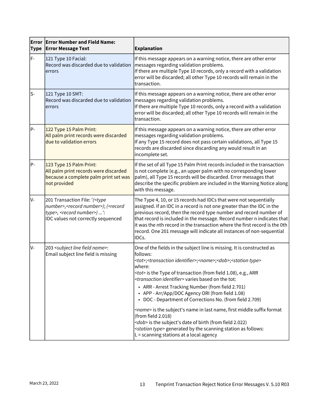| <b>Type</b> | <b>Error Error Number and Field Name:</b><br><b>Error Message Text</b>                                                                                                                         | <b>Explanation</b>                                                                                                                                                                                                                                                                                                                                                                                                                                                                                                                                                                                                                                                                                                                                                                                                                                                |  |
|-------------|------------------------------------------------------------------------------------------------------------------------------------------------------------------------------------------------|-------------------------------------------------------------------------------------------------------------------------------------------------------------------------------------------------------------------------------------------------------------------------------------------------------------------------------------------------------------------------------------------------------------------------------------------------------------------------------------------------------------------------------------------------------------------------------------------------------------------------------------------------------------------------------------------------------------------------------------------------------------------------------------------------------------------------------------------------------------------|--|
| $F -$       | 121 Type 10 Facial:<br>Record was discarded due to validation<br>errors                                                                                                                        | If this message appears on a warning notice, there are other error<br>messages regarding validation problems.<br>If there are multiple Type 10 records, only a record with a validation<br>error will be discarded; all other Type 10 records will remain in the<br>transaction.                                                                                                                                                                                                                                                                                                                                                                                                                                                                                                                                                                                  |  |
| $S-$        | 121 Type 10 SMT:<br>Record was discarded due to validation<br>errors                                                                                                                           | If this message appears on a warning notice, there are other error<br>messages regarding validation problems.<br>If there are multiple Type 10 records, only a record with a validation<br>error will be discarded; all other Type 10 records will remain in the<br>transaction.                                                                                                                                                                                                                                                                                                                                                                                                                                                                                                                                                                                  |  |
| P-          | 122 Type 15 Palm Print:<br>All palm print records were discarded<br>due to validation errors                                                                                                   | If this message appears on a warning notice, there are other error<br>messages regarding validation problems.<br>If any Type 15 record does not pass certain validations, all Type 15<br>records are discarded since discarding any would result in an<br>incomplete set.                                                                                                                                                                                                                                                                                                                                                                                                                                                                                                                                                                                         |  |
| $P -$       | 123 Type 15 Palm Print:<br>All palm print records were discarded<br>because a complete palm print set was<br>not provided                                                                      | If the set of all Type 15 Palm Print records included in the transaction<br>is not complete (e.g., an upper palm with no corresponding lower<br>palm), all Type 15 records will be discarded. Error messages that<br>describe the specific problem are included in the Warning Notice along<br>with this message.                                                                                                                                                                                                                                                                                                                                                                                                                                                                                                                                                 |  |
| lv-         | 201 Transaction File: '( <type<br>number&gt;, <record number="">); (<record<br>type&gt;, <record number="">) ':<br/>IDC values not correctly sequenced</record></record<br></record></type<br> | The Type 4, 10, or 15 records had IDCs that were not sequentially<br>assigned. If an IDC in a record is not one greater than the IDC in the<br>previous record, then the record type number and record number of<br>that record is included in the message. Record number n indicates that<br>it was the nth record in the transaction where the first record is the 0th<br>record. One 201 message will indicate all instances of non-sequential<br>IDCs.                                                                                                                                                                                                                                                                                                                                                                                                        |  |
| lv-         | 203 <subject field="" line="" name="">:<br/>Email subject line field is missing</subject>                                                                                                      | One of the fields in the subject line is missing. It is constructed as<br>follows:<br><tot>;<transaction identifier="">;<name>;<dob>;<station type=""><br/>where:<br/><tot> is the Type of transaction (from field 1.08), e.g., ARR<br/><transaction identifier=""> varies based on the tot:<br/>• ARR - Arrest Tracking Number (from field 2.701)<br/>• APP - Arr/App/DOC Agency ORI (from field 1.08)<br/>• DOC - Department of Corrections No. (from field 2.709)<br/><name> is the subject's name in last name, first middle suffix format<br/>(from field <math>2.018</math>)<br/><dob> is the subject's date of birth (from field 2.022)<br/><station type=""> generated by the scanning station as follows:<br/><math>L =</math> scanning stations at a local agency</station></dob></name></transaction></tot></station></dob></name></transaction></tot> |  |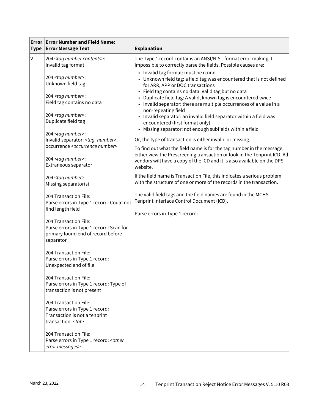| Error<br><b>Type</b> | <b>Error Number and Field Name:</b><br><b>Error Message Text</b>                                                                | Explanation                                                                                                                                                                                                                                                                                                                                     |  |
|----------------------|---------------------------------------------------------------------------------------------------------------------------------|-------------------------------------------------------------------------------------------------------------------------------------------------------------------------------------------------------------------------------------------------------------------------------------------------------------------------------------------------|--|
| V-                   | 204 <tag contents="" number="">:<br/>Invalid tag format</tag>                                                                   | The Type 1 record contains an ANSI/NIST format error making it<br>impossible to correctly parse the fields. Possible causes are:                                                                                                                                                                                                                |  |
|                      | 204 <tag number="">:<br/>Unknown field tag<br/>204 <tag number="">:<br/>Field tag contains no data</tag></tag>                  | • Invalid tag format: must be n.nnn<br>• Unknown field tag: a field tag was encountered that is not defined<br>for ARR, APP or DOC transactions<br>• Field tag contains no data: Valid tag but no data<br>• Duplicate field tag: A valid, known tag is encountered twice<br>• Invalid separator: there are multiple occurrences of a value in a |  |
|                      | 204 <tag number="">:<br/>Duplicate field tag</tag>                                                                              | non-repeating field<br>• Invalid separator: an invalid field separator within a field was<br>encountered (first format only)                                                                                                                                                                                                                    |  |
|                      | 204 <tag number="">:<br/>Invalid separator: <tag_number>,<br/>occurrence <occurrence number=""></occurrence></tag_number></tag> | • Missing separator: not enough subfields within a field<br>Or, the type of transaction is either invalid or missing.                                                                                                                                                                                                                           |  |
|                      | 204 <tag number="">:<br/>Extraneous separator</tag>                                                                             | To find out what the field name is for the tag number in the message,<br>either view the Prescreening transaction or look in the Tenprint ICD. All<br>vendors will have a copy of the ICD and it is also available on the DPS<br>website.                                                                                                       |  |
|                      | 204 <tag number="">:<br/>Missing separator(s)</tag>                                                                             | If the field name is Transaction File, this indicates a serious problem<br>with the structure of one or more of the records in the transaction.                                                                                                                                                                                                 |  |
|                      | 204 Transaction File:<br>Parse errors in Type 1 record: Could not<br>find length field                                          | The valid field tags and the field names are found in the MCHS<br>Tenprint Interface Control Document (ICD).                                                                                                                                                                                                                                    |  |
|                      | 204 Transaction File:<br>Parse errors in Type 1 record: Scan for<br>primary found end of record before<br>separator             | Parse errors in Type 1 record:                                                                                                                                                                                                                                                                                                                  |  |
|                      | 204 Transaction File:<br>Parse errors in Type 1 record:<br>Unexpected end of file                                               |                                                                                                                                                                                                                                                                                                                                                 |  |
|                      | 204 Transaction File:<br>Parse errors in Type 1 record: Type of<br>transaction is not present                                   |                                                                                                                                                                                                                                                                                                                                                 |  |
|                      | 204 Transaction File:<br>Parse errors in Type 1 record:<br>Transaction is not a tenprint<br>transaction: <tot></tot>            |                                                                                                                                                                                                                                                                                                                                                 |  |
|                      | 204 Transaction File:<br>Parse errors in Type 1 record: < other<br>error messages>                                              |                                                                                                                                                                                                                                                                                                                                                 |  |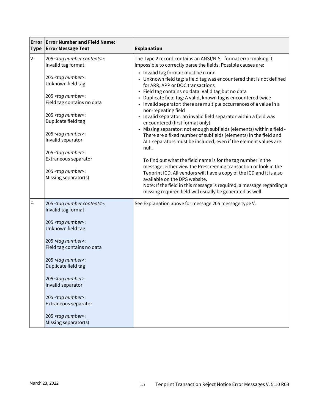| <b>Type</b> | <b>Error Error Number and Field Name:</b><br><b>Error Message Text</b>                                                                                                                                                                                                             | <b>Explanation</b>                                                                                                                                                                                                                                                                                                                                                                                                                                                                                                                                                                                                                                                                                                                                                      |
|-------------|------------------------------------------------------------------------------------------------------------------------------------------------------------------------------------------------------------------------------------------------------------------------------------|-------------------------------------------------------------------------------------------------------------------------------------------------------------------------------------------------------------------------------------------------------------------------------------------------------------------------------------------------------------------------------------------------------------------------------------------------------------------------------------------------------------------------------------------------------------------------------------------------------------------------------------------------------------------------------------------------------------------------------------------------------------------------|
| IV-         | 205 <tag contents="" number="">:<br/>Invalid tag format</tag>                                                                                                                                                                                                                      | The Type 2 record contains an ANSI/NIST format error making it<br>impossible to correctly parse the fields. Possible causes are:                                                                                                                                                                                                                                                                                                                                                                                                                                                                                                                                                                                                                                        |
|             | 205 <tag number="">:<br/>Unknown field tag<br/>205 <tag number="">:<br/>Field tag contains no data<br/>205 <tag number="">:<br/>Duplicate field tag<br/>205 <tag number="">:<br/>Invalid separator<br/>205 <tag number="">:<br/>Extraneous separator</tag></tag></tag></tag></tag> | • Invalid tag format: must be n.nnn<br>• Unknown field tag: a field tag was encountered that is not defined<br>for ARR, APP or DOC transactions<br>• Field tag contains no data: Valid tag but no data<br>Duplicate field tag: A valid, known tag is encountered twice<br>• Invalid separator: there are multiple occurrences of a value in a<br>non-repeating field<br>• Invalid separator: an invalid field separator within a field was<br>encountered (first format only)<br>• Missing separator: not enough subfields (elements) within a field -<br>There are a fixed number of subfields (elements) in the field and<br>ALL separators must be included, even if the element values are<br>null.<br>To find out what the field name is for the tag number in the |
|             | 205 <tag number="">:<br/>Missing separator(s)</tag>                                                                                                                                                                                                                                | message, either view the Prescreening transaction or look in the<br>Tenprint ICD. All vendors will have a copy of the ICD and it is also<br>available on the DPS website.<br>Note: If the field in this message is required, a message regarding a<br>missing required field will usually be generated as well.                                                                                                                                                                                                                                                                                                                                                                                                                                                         |
| lF-         | 205 <tag contents="" number="">:<br/>Invalid tag format</tag>                                                                                                                                                                                                                      | See Explanation above for message 205 message type V.                                                                                                                                                                                                                                                                                                                                                                                                                                                                                                                                                                                                                                                                                                                   |
|             | 205 <tag number="">:<br/>Unknown field tag</tag>                                                                                                                                                                                                                                   |                                                                                                                                                                                                                                                                                                                                                                                                                                                                                                                                                                                                                                                                                                                                                                         |
|             | 205 <tag number="">:<br/>Field tag contains no data</tag>                                                                                                                                                                                                                          |                                                                                                                                                                                                                                                                                                                                                                                                                                                                                                                                                                                                                                                                                                                                                                         |
|             | 205 <tag number="">:<br/>Duplicate field tag</tag>                                                                                                                                                                                                                                 |                                                                                                                                                                                                                                                                                                                                                                                                                                                                                                                                                                                                                                                                                                                                                                         |
|             | 205 <tag number="">:<br/>Invalid separator</tag>                                                                                                                                                                                                                                   |                                                                                                                                                                                                                                                                                                                                                                                                                                                                                                                                                                                                                                                                                                                                                                         |
|             | 205 <tag number="">:<br/>Extraneous separator</tag>                                                                                                                                                                                                                                |                                                                                                                                                                                                                                                                                                                                                                                                                                                                                                                                                                                                                                                                                                                                                                         |
|             | 205 <tag number="">:<br/>Missing separator(s)</tag>                                                                                                                                                                                                                                |                                                                                                                                                                                                                                                                                                                                                                                                                                                                                                                                                                                                                                                                                                                                                                         |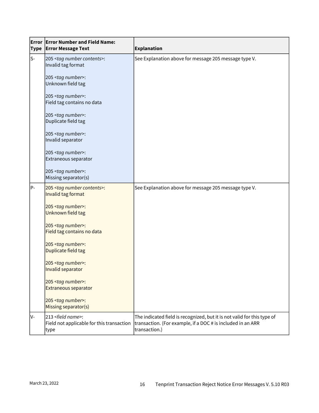| <b>Type</b> | <b>Error Error Number and Field Name:</b><br><b>Error Message Text</b>              | <b>Explanation</b>                                                                                                                                      |  |
|-------------|-------------------------------------------------------------------------------------|---------------------------------------------------------------------------------------------------------------------------------------------------------|--|
| ls-         | 205 <tag contents="" number="">:<br/>Invalid tag format</tag>                       | See Explanation above for message 205 message type V.                                                                                                   |  |
|             | 205 <tag number="">:<br/>Unknown field tag</tag>                                    |                                                                                                                                                         |  |
|             | 205 <tag number="">:<br/>Field tag contains no data</tag>                           |                                                                                                                                                         |  |
|             | 205 <tag number="">:<br/>Duplicate field tag</tag>                                  |                                                                                                                                                         |  |
|             | 205 <tag number="">:<br/>Invalid separator</tag>                                    |                                                                                                                                                         |  |
|             | 205 <tag number="">:<br/>Extraneous separator</tag>                                 |                                                                                                                                                         |  |
|             | 205 <tag number="">:<br/>Missing separator(s)</tag>                                 |                                                                                                                                                         |  |
| $P -$       | 205 <tag contents="" number="">:<br/>Invalid tag format</tag>                       | See Explanation above for message 205 message type V.                                                                                                   |  |
|             | 205 <tag number="">:<br/>Unknown field tag</tag>                                    |                                                                                                                                                         |  |
|             | 205 <tag number="">:<br/>Field tag contains no data</tag>                           |                                                                                                                                                         |  |
|             | 205 <tag number="">:<br/>Duplicate field tag</tag>                                  |                                                                                                                                                         |  |
|             | 205 <tag number="">:<br/>Invalid separator</tag>                                    |                                                                                                                                                         |  |
|             | 205 <tag number="">:<br/><b>Extraneous separator</b></tag>                          |                                                                                                                                                         |  |
|             | 205 <tag number="">:<br/>Missing separator(s)</tag>                                 |                                                                                                                                                         |  |
| lv-         | 213 <field name="">:<br/>Field not applicable for this transaction<br/>type</field> | The indicated field is recognized, but it is not valid for this type of<br>transaction. (For example, if a DOC # is included in an ARR<br>transaction.) |  |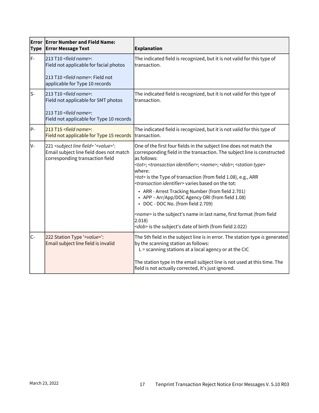| <b>Type</b> | <b>Error Error Number and Field Name:</b><br><b>Error Message Text</b>                                                                                        | <b>Explanation</b>                                                                                                                                                                                                                                                                                                                                                                                                                                                                                                                                                                                                                                                                                                                                       |  |
|-------------|---------------------------------------------------------------------------------------------------------------------------------------------------------------|----------------------------------------------------------------------------------------------------------------------------------------------------------------------------------------------------------------------------------------------------------------------------------------------------------------------------------------------------------------------------------------------------------------------------------------------------------------------------------------------------------------------------------------------------------------------------------------------------------------------------------------------------------------------------------------------------------------------------------------------------------|--|
| F-          | 213 T10 <field name="">:<br/>Field not applicable for facial photos<br/>213 T10 <field name="">: Field not<br/>applicable for Type 10 records</field></field> | The indicated field is recognized, but it is not valid for this type of<br>transaction.                                                                                                                                                                                                                                                                                                                                                                                                                                                                                                                                                                                                                                                                  |  |
| ls-         | 213 T10 <field name="">:<br/>Field not applicable for SMT photos<br/>213 T10 <field name="">:<br/>Field not applicable for Type 10 records</field></field>    | The indicated field is recognized, but it is not valid for this type of<br>transaction.                                                                                                                                                                                                                                                                                                                                                                                                                                                                                                                                                                                                                                                                  |  |
| P-          | 213 T15 <field name="">:<br/>Field not applicable for Type 15 records</field>                                                                                 | The indicated field is recognized, but it is not valid for this type of<br>transaction.                                                                                                                                                                                                                                                                                                                                                                                                                                                                                                                                                                                                                                                                  |  |
| V-          | 221 <subject field="" line=""> '<value>':<br/>Email subject line field does not match<br/>corresponding transaction field</value></subject>                   | One of the first four fields in the subject line does not match the<br>corresponding field in the transaction. The subject line is constructed<br>as follows:<br><tot>; <transaction identifier="">; <name>; <dob>; <station type=""><br/>where:<br/><tot> is the Type of transaction (from field 1.08), e.g., ARR<br/><transaction identifier=""> varies based on the tot:<br/>• ARR - Arrest Tracking Number (from field 2.701)<br/>• APP - Arr/App/DOC Agency ORI (from field 1.08)<br/>• DOC - DOC No. (from field 2.709)<br/><name> is the subject's name in last name, first format (from field<br/>2.018)<br/><dob> is the subject's date of birth (from field 2.022)</dob></name></transaction></tot></station></dob></name></transaction></tot> |  |
| $C -$       | 222 Station Type ' <value>':<br/>Email subject line field is invalid</value>                                                                                  | The 5th field in the subject line is in error. The station type is generated<br>by the scanning station as follows:<br>$L =$ scanning stations at a local agency or at the CIC<br>The station type in the email subject line is not used at this time. The<br>field is not actually corrected, it's just ignored.                                                                                                                                                                                                                                                                                                                                                                                                                                        |  |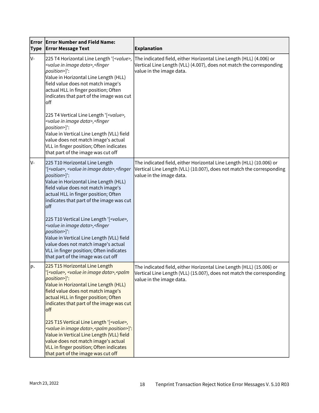| Error<br><b>Type</b> | <b>Error Number and Field Name:</b><br><b>Error Message Text</b>                                                                                                                                                                                                                                                                                                                                                                                                                                                                                 | <b>Explanation</b>                                                                                                                                                        |
|----------------------|--------------------------------------------------------------------------------------------------------------------------------------------------------------------------------------------------------------------------------------------------------------------------------------------------------------------------------------------------------------------------------------------------------------------------------------------------------------------------------------------------------------------------------------------------|---------------------------------------------------------------------------------------------------------------------------------------------------------------------------|
| V-                   | 225 T4 Horizontal Line Length '[ <value>,<br/><value data="" image="" in="">, <finger<br>position&gt;]':<br/>Value in Horizontal Line Length (HLL)<br/>field value does not match image's<br/>actual HLL in finger position; Often<br/>indicates that part of the image was cut<br/>off<br/>225 T4 Vertical Line Length '[<value>,<br/><value data="" image="" in="">, <finger<br>position&gt;]':<br/>Value in Vertical Line Length (VLL) field</finger<br></value></value></finger<br></value></value>                                          | The indicated field, either Horizontal Line Length (HLL) (4.006) or<br>Vertical Line Length (VLL) (4.007), does not match the corresponding<br>value in the image data.   |
|                      | value does not match image's actual<br>VLL in finger position; Often indicates<br>that part of the image was cut off                                                                                                                                                                                                                                                                                                                                                                                                                             |                                                                                                                                                                           |
| V-                   | 225 T10 Horizontal Line Length<br>'[ <value>, <value data="" image="" in="">, <finger<br>position&gt;]':<br/>Value in Horizontal Line Length (HLL)<br/>field value does not match image's<br/>actual HLL in finger position; Often<br/>indicates that part of the image was cut<br/>off<br/>225 T10 Vertical Line Length '[<value>,<br/><value data="" image="" in="">, <finger<br>position&gt;]':<br/>Value in Vertical Line Length (VLL) field<br/>value does not match image's actual</finger<br></value></value></finger<br></value></value> | The indicated field, either Horizontal Line Length (HLL) (10.006) or<br>Vertical Line Length (VLL) (10.007), does not match the corresponding<br>value in the image data. |
|                      | VLL in finger position; Often indicates<br>that part of the image was cut off                                                                                                                                                                                                                                                                                                                                                                                                                                                                    |                                                                                                                                                                           |
| lP-                  | 225 T15 Horizontal Line Length<br>'[ <value>, <value data="" image="" in="">,<palm<br>position&gt;]':<br/>Value in Horizontal Line Length (HLL)<br/>field value does not match image's<br/>actual HLL in finger position; Often<br/>indicates that part of the image was cut<br/>off</palm<br></value></value>                                                                                                                                                                                                                                   | The indicated field, either Horizontal Line Length (HLL) (15.006) or<br>Vertical Line Length (VLL) (15.007), does not match the corresponding<br>value in the image data. |
|                      | 225 T15 Vertical Line Length '[ <value>,<br/><value data="" image="" in="">, <palm position="">]':<br/>Value in Vertical Line Length (VLL) field<br/>value does not match image's actual<br/>VLL in finger position; Often indicates<br/>that part of the image was cut off</palm></value></value>                                                                                                                                                                                                                                               |                                                                                                                                                                           |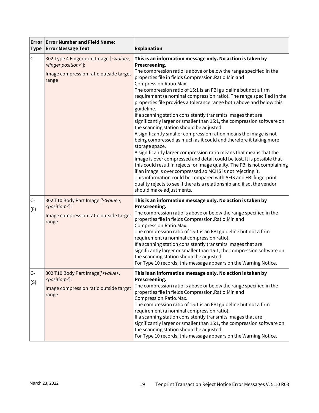| <b>Type</b> | <b>Error   Error Number and Field Name:</b><br><b>Error Message Text</b>                                                                   | <b>Explanation</b>                                                                                                                                                                                                                                                                                                                                                                                                                                                                                                                                                                                                                                                                                                                                                                                                                                                                                                                                                                                                                                                                                                                                                                                                                                                                              |  |
|-------------|--------------------------------------------------------------------------------------------------------------------------------------------|-------------------------------------------------------------------------------------------------------------------------------------------------------------------------------------------------------------------------------------------------------------------------------------------------------------------------------------------------------------------------------------------------------------------------------------------------------------------------------------------------------------------------------------------------------------------------------------------------------------------------------------------------------------------------------------------------------------------------------------------------------------------------------------------------------------------------------------------------------------------------------------------------------------------------------------------------------------------------------------------------------------------------------------------------------------------------------------------------------------------------------------------------------------------------------------------------------------------------------------------------------------------------------------------------|--|
| lc-         | 302 Type 4 Fingerprint Image [' <value>,<br/><finger position="">']:<br/>Image compression ratio outside target<br/>range</finger></value> | This is an information message only. No action is taken by<br>Prescreening.<br>The compression ratio is above or below the range specified in the<br>properties file in fields Compression.Ratio.Min and<br>Compression.Ratio.Max.<br>The compression ratio of 15:1 is an FBI guideline but not a firm<br>requirement (a nominal compression ratio). The range specified in the<br>properties file provides a tolerance range both above and below this<br>guideline.<br>If a scanning station consistently transmits images that are<br>significantly larger or smaller than 15:1, the compression software on<br>the scanning station should be adjusted.<br>A significantly smaller compression ration means the image is not<br>being compressed as much as it could and therefore it taking more<br>storage space.<br>A significantly larger compression ratio means that means that the<br>image is over compressed and detail could be lost. It is possible that<br>this could result in rejects for image quality. The FBI is not complaining<br>if an image is over compressed so MCHS is not rejecting it.<br>This information could be compared with AFIS and FBI fingerprint<br>quality rejects to see if there is a relationship and if so, the vendor<br>should make adjustments. |  |
| C-<br>(F)   | 302 T10 Body Part Image [' <value>,<br/><position>']:<br/>Image compression ratio outside target<br/>range</position></value>              | This is an information message only. No action is taken by<br>Prescreening.<br>The compression ratio is above or below the range specified in the<br>properties file in fields Compression.Ratio.Min and<br>Compression.Ratio.Max.<br>The compression ratio of 15:1 is an FBI guideline but not a firm<br>requirement (a nominal compression ratio).<br>If a scanning station consistently transmits images that are<br>significantly larger or smaller than 15:1, the compression software on<br>the scanning station should be adjusted.<br>For Type 10 records, this message appears on the Warning Notice.                                                                                                                                                                                                                                                                                                                                                                                                                                                                                                                                                                                                                                                                                  |  |
| lC-<br>(S)  | 302 T10 Body Part Image[' <value>,<br/><position>']:<br/>Image compression ratio outside target<br/>range</position></value>               | This is an information message only. No action is taken by<br>Prescreening.<br>The compression ratio is above or below the range specified in the<br>properties file in fields Compression. Ratio. Min and<br>Compression.Ratio.Max.<br>The compression ratio of 15:1 is an FBI guideline but not a firm<br>requirement (a nominal compression ratio).<br>If a scanning station consistently transmits images that are<br>significantly larger or smaller than 15:1, the compression software on<br>the scanning station should be adjusted.<br>For Type 10 records, this message appears on the Warning Notice.                                                                                                                                                                                                                                                                                                                                                                                                                                                                                                                                                                                                                                                                                |  |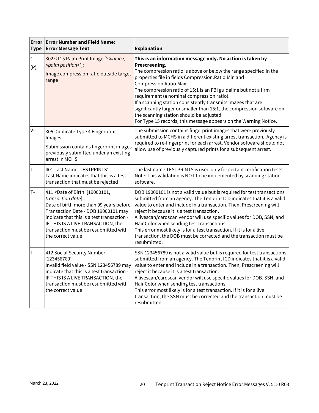| <b>Type</b>   | <b>Error Error Number and Field Name:</b><br><b>Error Message Text</b>                                                                                                                                                                                                                                         | <b>Explanation</b>                                                                                                                                                                                                                                                                                                                                                                                                                                                                                                                                                                                               |  |
|---------------|----------------------------------------------------------------------------------------------------------------------------------------------------------------------------------------------------------------------------------------------------------------------------------------------------------------|------------------------------------------------------------------------------------------------------------------------------------------------------------------------------------------------------------------------------------------------------------------------------------------------------------------------------------------------------------------------------------------------------------------------------------------------------------------------------------------------------------------------------------------------------------------------------------------------------------------|--|
| $ C -$<br>(P) | 302 <t15 ['<value="" image="" palm="" print="">,<br/><palm position="">']:<br/>Image compression ratio outside target<br/>range</palm></t15>                                                                                                                                                                   | This is an information message only. No action is taken by<br>Prescreening.<br>The compression ratio is above or below the range specified in the<br>properties file in fields Compression. Ratio. Min and<br>Compression.Ratio.Max.<br>The compression ratio of 15:1 is an FBI guideline but not a firm<br>requirement (a nominal compression ratio).<br>If a scanning station consistently transmits images that are<br>significantly larger or smaller than 15:1, the compression software on<br>the scanning station should be adjusted.<br>For Type 15 records, this message appears on the Warning Notice. |  |
| lv-           | 305 Duplicate Type 4 Fingerprint<br>Images:<br>Submission contains fingerprint images<br>previously submitted under an existing<br>arrest in MCHS                                                                                                                                                              | The submission contains fingerprint images that were previously<br>submitted to MCHS in a different existing arrest transaction. Agency is<br>required to re-fingerprint for each arrest. Vendor software should not<br>allow use of previously captured prints for a subsequent arrest.                                                                                                                                                                                                                                                                                                                         |  |
| lT-           | 401 Last Name 'TESTPRINTS':<br>Last Name indicates that this is a test<br>transaction that must be rejected                                                                                                                                                                                                    | The last name TESTPRINTS is used only for certain certification tests.<br>Note: This validation is NOT to be implemented by scanning station<br>software.                                                                                                                                                                                                                                                                                                                                                                                                                                                        |  |
| lT-           | 411 <date '[19000101,<br="" birth="" of="">transaction date]':<br/>Date of birth more than 99 years before<br/>Transaction Date - DOB 19000101 may<br/>indicate that this is a test transaction -<br/>IF THIS IS A LIVE TRANSACTION, the<br/>transaction must be resubmitted with<br/>the correct value</date> | DOB 19000101 is not a valid value but is required for test transactions<br>submitted from an agency. The Tenprint ICD indicates that it is a valid<br>value to enter and include in a transaction. Then, Prescreening will<br>reject it because it is a test transaction.<br>A livescan/cardscan vendor will use specific values for DOB, SSN, and<br>Hair Color when sending test transactions.<br>This error most likely is for a test transaction. If it is for a live<br>transaction, the DOB must be corrected and the transaction must be<br>resubmitted.                                                  |  |
| lT-           | 412 Social Security Number<br>'123456789':<br>Invalid field value - SSN 123456789 may<br>indicate that this is a test transaction -<br>IF THIS IS A LIVE TRANSACTION, the<br>transaction must be resubmitted with<br>the correct value                                                                         | SSN 123456789 is not a valid value but is required for test transactions<br>submitted from an agency. The Tenprint ICD indicates that it is a valid<br>value to enter and include in a transaction. Then, Prescreening will<br>reject it because it is a test transaction.<br>A livescan/cardscan vendor will use specific values for DOB, SSN, and<br>Hair Color when sending test transactions.<br>This error most likely is for a test transaction. If it is for a live<br>transaction, the SSN must be corrected and the transaction must be<br>resubmitted.                                                 |  |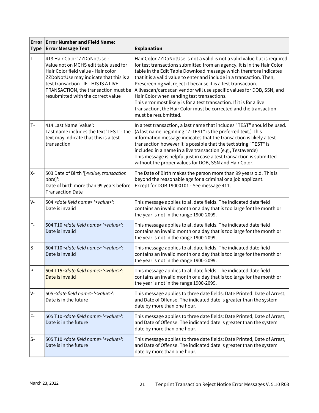| <b>Type</b> | <b>Error Error Number and Field Name:</b><br><b>Error Message Text</b>                                                                                                                                                                                                       | <b>Explanation</b>                                                                                                                                                                                                                                                                                                                                                                                                                                                                                                                                                                                                                                                |  |
|-------------|------------------------------------------------------------------------------------------------------------------------------------------------------------------------------------------------------------------------------------------------------------------------------|-------------------------------------------------------------------------------------------------------------------------------------------------------------------------------------------------------------------------------------------------------------------------------------------------------------------------------------------------------------------------------------------------------------------------------------------------------------------------------------------------------------------------------------------------------------------------------------------------------------------------------------------------------------------|--|
| T-          | 413 Hair Color 'ZZDoNotUse':<br>Value not on MCHS edit table used for<br>Hair Color field value - Hair color<br>ZZDoNotUse may indicate that this is a<br>test transaction - IF THIS IS A LIVE<br>TRANSACTION, the transaction must be<br>resubmitted with the correct value | Hair Color ZZDoNotUse is not a valid is not a valid value but is required<br>for test transactions submitted from an agency. It is in the Hair Color<br>table in the Edit Table Download message which therefore indicates<br>that it is a valid value to enter and include in a transaction. Then,<br>Prescreening will reject it because it is a test transaction.<br>A livescan/cardscan vendor will use specific values for DOB, SSN, and<br>Hair Color when sending test transactions.<br>This error most likely is for a test transaction. If it is for a live<br>transaction, the Hair Color must be corrected and the transaction<br>must be resubmitted. |  |
| lT-         | 414 Last Name 'value':<br>Last name includes the text 'TEST' - the<br>text may indicate that this is a test<br>transaction                                                                                                                                                   | In a test transaction, a last name that includes "TEST" should be used.<br>(A last name beginning "Z-TEST" is the preferred text.) This<br>information message indicates that the transaction is likely a test<br>transaction however it is possible that the text string "TEST" is<br>included in a name in a live transaction (e.g., Testaverde)<br>This message is helpful just in case a test transaction is submitted<br>without the proper values for DOB, SSN and Hair Color.                                                                                                                                                                              |  |
| X-          | 503 Date of Birth '[ <value, transaction<br="">date]':<br/>Date of birth more than 99 years before<br/><b>Transaction Date</b></value,>                                                                                                                                      | The Date of Birth makes the person more than 99 years old. This is<br>beyond the reasonable age for a criminal or a job applicant.<br>Except for DOB 19000101 - See message 411.                                                                                                                                                                                                                                                                                                                                                                                                                                                                                  |  |
| lv-         | 504 < date field name > '< value > ':<br>Date is invalid                                                                                                                                                                                                                     | This message applies to all date fields. The indicated date field<br>contains an invalid month or a day that is too large for the month or<br>the year is not in the range 1900-2099.                                                                                                                                                                                                                                                                                                                                                                                                                                                                             |  |
| lF-         | 504 T10 < date field name> ' <value>':<br/>Date is invalid</value>                                                                                                                                                                                                           | This message applies to all date fields. The indicated date field<br>contains an invalid month or a day that is too large for the month or<br>the year is not in the range 1900-2099.                                                                                                                                                                                                                                                                                                                                                                                                                                                                             |  |
| ls-         | 504 T10 < date field name> '< value>':<br>Date is invalid                                                                                                                                                                                                                    | This message applies to all date fields. The indicated date field<br>contains an invalid month or a day that is too large for the month or<br>the year is not in the range 1900-2099.                                                                                                                                                                                                                                                                                                                                                                                                                                                                             |  |
| IP-         | 504 T15 < date field name> ' <value>':<br/>Date is invalid</value>                                                                                                                                                                                                           | This message applies to all date fields. The indicated date field<br>contains an invalid month or a day that is too large for the month or<br>the year is not in the range 1900-2099.                                                                                                                                                                                                                                                                                                                                                                                                                                                                             |  |
| lV-         | 505 < date field name > '< value > ':<br>Date is in the future                                                                                                                                                                                                               | This message applies to three date fields: Date Printed, Date of Arrest,<br>and Date of Offense. The indicated date is greater than the system<br>date by more than one hour.                                                                                                                                                                                                                                                                                                                                                                                                                                                                                     |  |
| IF-         | 505 T10 < date field name> '< value>':<br>Date is in the future                                                                                                                                                                                                              | This message applies to three date fields: Date Printed, Date of Arrest,<br>and Date of Offense. The indicated date is greater than the system<br>date by more than one hour.                                                                                                                                                                                                                                                                                                                                                                                                                                                                                     |  |
| ls-         | 505 T10 < date field name> '< value>':<br>Date is in the future                                                                                                                                                                                                              | This message applies to three date fields: Date Printed, Date of Arrest,<br>and Date of Offense. The indicated date is greater than the system<br>date by more than one hour.                                                                                                                                                                                                                                                                                                                                                                                                                                                                                     |  |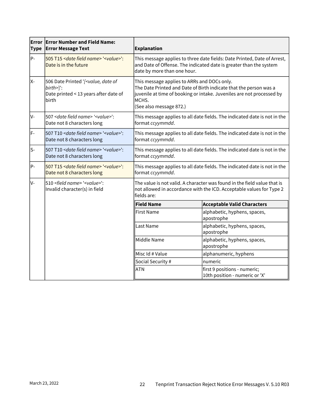| <b>Type</b> | <b>Error Error Number and Field Name:</b><br><b>Error Message Text</b>                                                    | <b>Explanation</b>                                                                                                                                                                                                            |                                                                           |  |
|-------------|---------------------------------------------------------------------------------------------------------------------------|-------------------------------------------------------------------------------------------------------------------------------------------------------------------------------------------------------------------------------|---------------------------------------------------------------------------|--|
| P-          | 505 T15 < date field name> ' <value>':<br/>Date is in the future</value>                                                  | This message applies to three date fields: Date Printed, Date of Arrest,<br>and Date of Offense. The indicated date is greater than the system<br>date by more than one hour.                                                 |                                                                           |  |
| X-          | 506 Date Printed '[ <value, date="" of<br="">birth&gt;]':<br/>Date printed &lt; 13 years after date of<br/>birth</value,> | This message applies to ARRs and DOCs only.<br>The Date Printed and Date of Birth indicate that the person was a<br>juvenile at time of booking or intake. Juveniles are not processed by<br>MCHS.<br>(See also message 872.) |                                                                           |  |
| IV-         | 507 < date field name > '< value > ':<br>Date not 8 characters long                                                       | format ccyymmdd.                                                                                                                                                                                                              | This message applies to all date fields. The indicated date is not in the |  |
| lF-         | 507 T10 < date field name> '< value>':<br>Date not 8 characters long                                                      | This message applies to all date fields. The indicated date is not in the<br>format ccyymmdd.                                                                                                                                 |                                                                           |  |
| ls-         | 507 T10 < date field name> '< value>':<br>Date not 8 characters long                                                      | This message applies to all date fields. The indicated date is not in the<br>format ccyymmdd.                                                                                                                                 |                                                                           |  |
| P-          | 507 T15 < date field name > '< value > ':<br>Date not 8 characters long                                                   | This message applies to all date fields. The indicated date is not in the<br>format ccyymmdd.                                                                                                                                 |                                                                           |  |
| lv-         | 510 <field name=""> '<value>':<br/>Invalid character(s) in field</value></field>                                          | The value is not valid. A character was found in the field value that is<br>not allowed in accordance with the ICD. Acceptable values for Type 2<br>fields are:                                                               |                                                                           |  |
|             |                                                                                                                           | <b>Field Name</b>                                                                                                                                                                                                             | <b>Acceptable Valid Characters</b>                                        |  |
|             |                                                                                                                           | <b>First Name</b>                                                                                                                                                                                                             | alphabetic, hyphens, spaces,<br>apostrophe                                |  |
|             |                                                                                                                           | Last Name                                                                                                                                                                                                                     | alphabetic, hyphens, spaces,<br>apostrophe                                |  |
|             |                                                                                                                           | Middle Name                                                                                                                                                                                                                   | alphabetic, hyphens, spaces,<br>apostrophe                                |  |
|             |                                                                                                                           | Misc Id # Value                                                                                                                                                                                                               | alphanumeric, hyphens                                                     |  |
|             |                                                                                                                           | Social Security #                                                                                                                                                                                                             | numeric                                                                   |  |
|             |                                                                                                                           | <b>ATN</b>                                                                                                                                                                                                                    | first 9 positions - numeric;<br>10th position - numeric or 'X'            |  |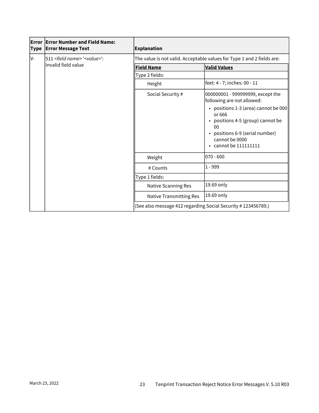| <b>Error</b><br><b>Type</b> | <b>Error Number and Field Name:</b><br><b>Error Message Text</b> | <b>Explanation</b>                                                     |                                                                                                                                                                                     |  |
|-----------------------------|------------------------------------------------------------------|------------------------------------------------------------------------|-------------------------------------------------------------------------------------------------------------------------------------------------------------------------------------|--|
| lV-                         | 511 <field name=""> '<value>':</value></field>                   | The value is not valid. Acceptable values for Type 1 and 2 fields are: |                                                                                                                                                                                     |  |
|                             | Invalid field value                                              | <b>Field Name</b>                                                      | <b>Valid Values</b>                                                                                                                                                                 |  |
|                             |                                                                  | Type 2 fields:                                                         |                                                                                                                                                                                     |  |
|                             |                                                                  | Height                                                                 | feet: 4 - 7; inches: 00 - 11                                                                                                                                                        |  |
|                             |                                                                  | Social Security #                                                      | 000000001 - 999999999, except the<br>following are not allowed:                                                                                                                     |  |
|                             |                                                                  |                                                                        | • positions 1-3 (area) cannot be 000<br>or 666<br>• positions 4-5 (group) cannot be<br>0 <sup>0</sup><br>• positions 6-9 (serial number)<br>cannot be 0000<br>• cannot be 111111111 |  |
|                             |                                                                  | Weight                                                                 | $070 - 600$                                                                                                                                                                         |  |
|                             |                                                                  | # Counts                                                               | $1 - 999$                                                                                                                                                                           |  |
|                             |                                                                  | Type 1 fields:                                                         |                                                                                                                                                                                     |  |
|                             |                                                                  | Native Scanning Res                                                    | 19.69 only                                                                                                                                                                          |  |
|                             |                                                                  | <b>Native Transmitting Res</b>                                         | 19.69 only                                                                                                                                                                          |  |
|                             |                                                                  | (See also message 412 regarding Social Security #123456789.)           |                                                                                                                                                                                     |  |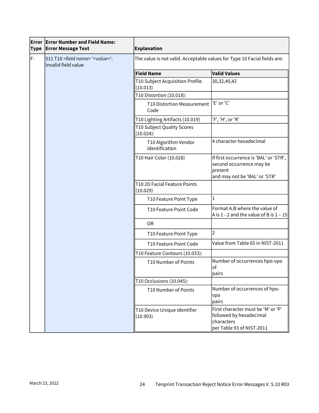| <b>Error</b><br><b>Type</b> | <b>Error Number and Field Name:</b><br><b>Error Message Text</b>           | <b>Explanation</b>                                                       |                                                                                                                |  |
|-----------------------------|----------------------------------------------------------------------------|--------------------------------------------------------------------------|----------------------------------------------------------------------------------------------------------------|--|
| lF-                         | 511 T10 <field name=""> '<value>':<br/>Invalid field value</value></field> | The value is not valid. Acceptable values for Type 10 Facial fields are: |                                                                                                                |  |
|                             |                                                                            | <b>Field Name</b>                                                        | <b>Valid Values</b>                                                                                            |  |
|                             |                                                                            | T10 Subject Acquisition Profile<br>(10.013)                              | 30, 32, 40, 42                                                                                                 |  |
|                             |                                                                            | T10 Distortion (10.018):                                                 |                                                                                                                |  |
|                             |                                                                            | <b>T10 Distortion Measurement</b><br>Code                                | 'E' or 'C'                                                                                                     |  |
|                             |                                                                            | T10 Lighting Artifacts (10.019)                                          | 'F', 'H', or 'R'                                                                                               |  |
|                             |                                                                            | T10 Subject Quality Scores<br>(10.024):                                  |                                                                                                                |  |
|                             |                                                                            | T10 Algorithm Vendor<br>Identification                                   | 4 character hexadecimal                                                                                        |  |
|                             |                                                                            | T10 Hair Color (10.028)                                                  | If first occurrence is 'BAL' or 'STR',<br>second occurrence may be<br>present<br>and may not be 'BAL' or 'STR' |  |
|                             |                                                                            | T10 2D Facial Feature Points<br>(10.029)                                 |                                                                                                                |  |
|                             |                                                                            | T10 Feature Point Type                                                   | $\mathbf{1}$                                                                                                   |  |
|                             |                                                                            | T10 Feature Point Code                                                   | Format A.B where the value of<br>A is $1 - 2$ and the value of B is $1 - 15$                                   |  |
|                             |                                                                            | <b>OR</b>                                                                |                                                                                                                |  |
|                             |                                                                            | T10 Feature Point Type                                                   | $\overline{2}$                                                                                                 |  |
|                             |                                                                            | T10 Feature Point Code                                                   | Value from Table 65 in NIST-2011                                                                               |  |
|                             |                                                                            | T10 Feature Contours (10.033):                                           |                                                                                                                |  |
|                             |                                                                            | T10 Number of Points                                                     | Number of occurrences hpo-vpo<br><b>of</b><br>pairs                                                            |  |
|                             |                                                                            | T10 Occlusions (10.045):                                                 |                                                                                                                |  |
|                             |                                                                            | T10 Number of Points                                                     | Number of occurrences of hpo-<br>vpo<br>pairs                                                                  |  |
|                             |                                                                            | T10 Device Unique Identifier<br>(10.903)                                 | First character must be 'M' or 'P'<br>followed by hexadecimal<br>characters<br>per Table 93 of NIST-2011       |  |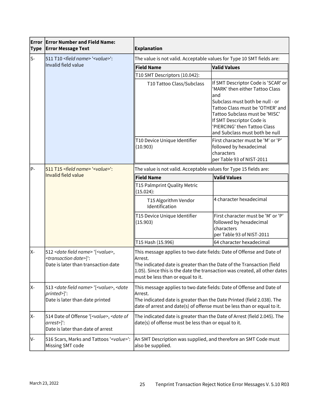| <b>Type</b> | $\,$ Error $\,$ Error Number and Field Name:<br><b>Error Message Text</b>                                                      | <b>Explanation</b>                                                                                                                                                                                                                                                          |                                                                                                                                                                                                                                                                                        |  |
|-------------|--------------------------------------------------------------------------------------------------------------------------------|-----------------------------------------------------------------------------------------------------------------------------------------------------------------------------------------------------------------------------------------------------------------------------|----------------------------------------------------------------------------------------------------------------------------------------------------------------------------------------------------------------------------------------------------------------------------------------|--|
| ls-         | 511 T10 <field name=""> '<value>':<br/>Invalid field value</value></field>                                                     | The value is not valid. Acceptable values for Type 10 SMT fields are:                                                                                                                                                                                                       |                                                                                                                                                                                                                                                                                        |  |
|             |                                                                                                                                | <b>Field Name</b>                                                                                                                                                                                                                                                           | <b>Valid Values</b>                                                                                                                                                                                                                                                                    |  |
|             |                                                                                                                                | T10 SMT Descriptors (10.042):                                                                                                                                                                                                                                               |                                                                                                                                                                                                                                                                                        |  |
|             |                                                                                                                                | T10 Tattoo Class/Subclass                                                                                                                                                                                                                                                   | If SMT Descriptor Code is 'SCAR' or<br>'MARK' then either Tattoo Class<br>land<br>Subclass must both be null - or<br>Tattoo Class must be 'OTHER' and<br>Tattoo Subclass must be 'MISC'<br>If SMT Descriptor Code is<br>'PIERCING' then Tattoo Class<br>and Subclass must both be null |  |
|             |                                                                                                                                | T10 Device Unique Identifier<br>(10.903)                                                                                                                                                                                                                                    | First character must be 'M' or 'P'<br>followed by hexadecimal<br>characters<br>per Table 93 of NIST-2011                                                                                                                                                                               |  |
| P-          | 511 T15 <field name=""> '<value>':</value></field>                                                                             | The value is not valid. Acceptable values for Type 15 fields are:                                                                                                                                                                                                           |                                                                                                                                                                                                                                                                                        |  |
|             | <b>Invalid field value</b>                                                                                                     | <b>Field Name</b>                                                                                                                                                                                                                                                           | <b>Valid Values</b>                                                                                                                                                                                                                                                                    |  |
|             |                                                                                                                                | T15 Palmprint Quality Metric<br>(15.024):                                                                                                                                                                                                                                   |                                                                                                                                                                                                                                                                                        |  |
|             |                                                                                                                                | T15 Algorithm Vendor<br>Identification                                                                                                                                                                                                                                      | 4 character hexadecimal                                                                                                                                                                                                                                                                |  |
|             |                                                                                                                                | T15 Device Unique Identifier<br>(15.903)                                                                                                                                                                                                                                    | First character must be 'M' or 'P'<br>followed by hexadecimal<br>characters<br>per Table 93 of NIST-2011                                                                                                                                                                               |  |
|             |                                                                                                                                | T15 Hash (15.996)                                                                                                                                                                                                                                                           | 64 character hexadecimal                                                                                                                                                                                                                                                               |  |
| X-          | 512 < date field name > '[ <value>,<br/><transaction date="">]":<br/>Date is later than transaction date</transaction></value> | This message applies to two date fields: Date of Offense and Date of<br>Arrest.<br>The indicated date is greater than the Date of the Transaction (field<br>1.05). Since this is the date the transaction was created, all other dates<br>must be less than or equal to it. |                                                                                                                                                                                                                                                                                        |  |
| X-          | 513 < date field name > '[ <value>, &lt; date<br/>printed&gt;]':<br/>Date is later than date printed</value>                   | This message applies to two date fields: Date of Offense and Date of<br>Arrest.<br>The indicated date is greater than the Date Printed (field 2.038). The<br>date of arrest and date(s) of offense must be less than or equal to it.                                        |                                                                                                                                                                                                                                                                                        |  |
| X-          | 514 Date of Offense '[ <value>, <date of<br="">arrest&gt;]':<br/>Date is later than date of arrest</date></value>              | The indicated date is greater than the Date of Arrest (field 2.045). The<br>date(s) of offense must be less than or equal to it.                                                                                                                                            |                                                                                                                                                                                                                                                                                        |  |
| IV-         | 516 Scars, Marks and Tattoos ' <value>':<br/>Missing SMT code</value>                                                          | An SMT Description was supplied, and therefore an SMT Code must<br>also be supplied.                                                                                                                                                                                        |                                                                                                                                                                                                                                                                                        |  |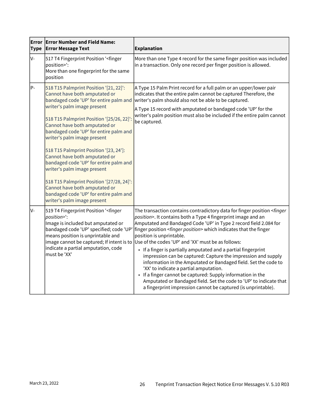| Error<br><b>Type</b> | <b>Error Number and Field Name:</b><br><b>Error Message Text</b>                                                                                                                                                                                                                                                                                                                                                                                                                                                                                                                                                   | <b>Explanation</b>                                                                                                                                                                                                                                                                                                                                                                                                                                                                                                                                                                                                                                                                                                                                                                                                                                               |
|----------------------|--------------------------------------------------------------------------------------------------------------------------------------------------------------------------------------------------------------------------------------------------------------------------------------------------------------------------------------------------------------------------------------------------------------------------------------------------------------------------------------------------------------------------------------------------------------------------------------------------------------------|------------------------------------------------------------------------------------------------------------------------------------------------------------------------------------------------------------------------------------------------------------------------------------------------------------------------------------------------------------------------------------------------------------------------------------------------------------------------------------------------------------------------------------------------------------------------------------------------------------------------------------------------------------------------------------------------------------------------------------------------------------------------------------------------------------------------------------------------------------------|
| V-                   | 517 T4 Fingerprint Position ' <finger<br>position&gt;':<br/>More than one fingerprint for the same<br/>position</finger<br>                                                                                                                                                                                                                                                                                                                                                                                                                                                                                        | More than one Type 4 record for the same finger position was included<br>in a transaction. Only one record per finger position is allowed.                                                                                                                                                                                                                                                                                                                                                                                                                                                                                                                                                                                                                                                                                                                       |
| P-                   | 518 T15 Palmprint Position '[21, 22]':<br>Cannot have both amputated or<br>bandaged code 'UP' for entire palm and<br>writer's palm image present<br>518 T15 Palmprint Position '[25/26, 22]':<br>Cannot have both amputated or<br>bandaged code 'UP' for entire palm and<br>writer's palm image present<br>518 T15 Palmprint Position '[23, 24']:<br>Cannot have both amputated or<br>bandaged code 'UP' for entire palm and<br>writer's palm image present<br>518 T15 Palmprint Position '[27/28, 24]':<br>Cannot have both amputated or<br>bandaged code 'UP' for entire palm and<br>writer's palm image present | A Type 15 Palm Print record for a full palm or an upper/lower pair<br>indicates that the entire palm cannot be captured Therefore, the<br>writer's palm should also not be able to be captured.<br>A Type 15 record with amputated or bandaged code 'UP' for the<br>writer's palm position must also be included if the entire palm cannot<br>be captured.                                                                                                                                                                                                                                                                                                                                                                                                                                                                                                       |
| lv-                  | 519 T4 Fingerprint Position ' <finger<br>position&gt;":<br/>Image is included but amputated or<br/>bandaged code 'UP' specified; code 'UP'<br/>means position is unprintable and<br/>image cannot be captured; If intent is to<br/>indicate a partial amputation, code<br/>must be 'XX'</finger<br>                                                                                                                                                                                                                                                                                                                | The transaction contains contradictory data for finger position <finger<br>position&gt;. It contains both a Type 4 fingerprint image and an<br/>Amputated and Bandaged Code 'UP' in Type 2 record field 2.084 for<br/>finger position <finger position=""> which indicates that the finger<br/>position is unprintable.<br/>Use of the codes 'UP' and 'XX' must be as follows:<br/>• If a finger is partially amputated and a partial fingerprint<br/>impression can be captured: Capture the impression and supply<br/>information in the Amputated or Bandaged field. Set the code to<br/>'XX' to indicate a partial amputation.<br/>• If a finger cannot be captured: Supply information in the<br/>Amputated or Bandaged field. Set the code to 'UP' to indicate that<br/>a fingerprint impression cannot be captured (is unprintable).</finger></finger<br> |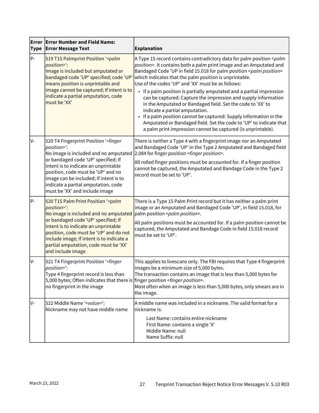| Error<br><b>Type</b> | <b>Error Number and Field Name:</b><br><b>Error Message Text</b>                                                                                                                                                                                                                                                                                            | <b>Explanation</b>                                                                                                                                                                                                                                                                                                                                                                                                                                                                                                                                                                                                                                                                                                                                                                                                       |  |
|----------------------|-------------------------------------------------------------------------------------------------------------------------------------------------------------------------------------------------------------------------------------------------------------------------------------------------------------------------------------------------------------|--------------------------------------------------------------------------------------------------------------------------------------------------------------------------------------------------------------------------------------------------------------------------------------------------------------------------------------------------------------------------------------------------------------------------------------------------------------------------------------------------------------------------------------------------------------------------------------------------------------------------------------------------------------------------------------------------------------------------------------------------------------------------------------------------------------------------|--|
| P-                   | 519 T15 Palmprint Position '< palm<br>position>':<br>Image is included but amputated or<br>bandaged code 'UP' specified; code 'UP'<br>means position is unprintable and<br>image cannot be captured; If intent is to<br>indicate a partial amputation, code<br>must be 'XX'                                                                                 | A Type 15 record contains contradictory data for palm position <palm<br>position&gt;. It contains both a palm print image and an Amputated and<br/>Bandaged Code 'UP in field 15.018 for palm position <palm position=""><br/>which indicates that the palm position is unprintable.<br/>Use of the codes 'UP' and 'XX' must be as follows:<br/>• If a palm position is partially amputated and a partial impression<br/>can be captured: Capture the impression and supply information<br/>in the Amputated or Bandaged field. Set the code to 'XX' to<br/>indicate a partial amputation.<br/>If a palm position cannot be captured: Supply information in the<br/>Amputated or Bandaged field. Set the code to 'UP' to indicate that<br/>a palm print impression cannot be captured (is unprintable).</palm></palm<br> |  |
| IV-                  | 520 T4 Fingerprint Position ' <finger<br>position&gt;":<br/>No image is included and no amputated<br/>or bandaged code 'UP' specified; If<br/>intent is to indicate an unprintable<br/>position, code must be 'UP' and no<br/>image can be included; If intent is to<br/>indicate a partial amputation, code<br/>must be 'XX' and include image</finger<br> | There is neither a Type 4 with a fingerprint image nor an Amputated<br>and Bandaged Code 'UP' in the Type 2 Amputated and Bandaged field<br>2.084 for finger position <finger position="">.<br/>All rolled finger positions must be accounted for. If a finger position<br/>cannot be captured, the Amputated and Bandage Code in the Type 2<br/>record must be set to 'UP'.</finger>                                                                                                                                                                                                                                                                                                                                                                                                                                    |  |
| P-                   | 520 T15 Palm Print Position ' <palm<br>position&gt;':<br/>No image is included and no amputated<br/>or bandaged code 'UP' specified; If<br/>intent is to indicate an unprintable<br/>position, code must be 'UP' and do not<br/>include image; If intent is to indicate a<br/>partial amputation, code must be 'XX'<br/>and include image</palm<br>         | There is a Type 15 Palm Print record but it has neither a palm print<br>image or an Amputated and Bandaged Code 'UP', in field 15.018, for<br>palm position <palm position="">.<br/>All palm positions must be accounted for. If a palm position cannot be<br/>captured, the Amputated and Bandage Code in field 15.018 record<br/>must be set to 'UP'.</palm>                                                                                                                                                                                                                                                                                                                                                                                                                                                           |  |
| lv-                  | 521 T4 Fingerprint Position ' <finger<br>position&gt;":<br/>Type 4 fingerprint record is less than<br/>5,000 bytes; Often indicates that there is finger position <finger position="">.<br/>no fingerprint in the image</finger></finger<br>                                                                                                                | This applies to livescans only. The FBI requires that Type 4 fingerprint<br>images be a minimum size of 5,000 bytes.<br>The transaction contains an image that is less than 5,000 bytes for<br>Most often when an image is less than 5,000 bytes, only smears are in<br>the image.                                                                                                                                                                                                                                                                                                                                                                                                                                                                                                                                       |  |
| IV-                  | 522 Middle Name ' <value>':<br/>Nickname may not have middle name</value>                                                                                                                                                                                                                                                                                   | A middle name was included in a nickname. The valid format for a<br>nickname is:<br>Last Name: contains entire nickname<br>First Name: contains a single 'X'<br>Middle Name: null<br>Name Suffix: null                                                                                                                                                                                                                                                                                                                                                                                                                                                                                                                                                                                                                   |  |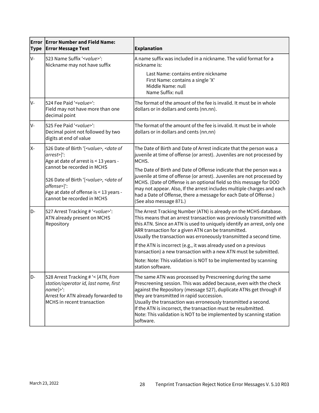| <b>Type</b>                                                                                     | $\,$ Error $\,$ Error Number and Field Name:<br><b>Error Message Text</b>                                                                                                             | <b>Explanation</b>                                                                                                                                                                                                                                                                                                                                                                                                                                                       |  |
|-------------------------------------------------------------------------------------------------|---------------------------------------------------------------------------------------------------------------------------------------------------------------------------------------|--------------------------------------------------------------------------------------------------------------------------------------------------------------------------------------------------------------------------------------------------------------------------------------------------------------------------------------------------------------------------------------------------------------------------------------------------------------------------|--|
| V-<br>523 Name Suffix ' <value>':<br/>Nickname may not have suffix</value>                      |                                                                                                                                                                                       | A name suffix was included in a nickname. The valid format for a<br>nickname is:                                                                                                                                                                                                                                                                                                                                                                                         |  |
|                                                                                                 |                                                                                                                                                                                       | Last Name: contains entire nickname<br>First Name: contains a single 'X'<br>Middle Name: null<br>Name Suffix: null                                                                                                                                                                                                                                                                                                                                                       |  |
| lv-                                                                                             | 524 Fee Paid ' <value>':<br/>Field may not have more than one<br/>decimal point</value>                                                                                               | The format of the amount of the fee is invalid. It must be in whole<br>dollars or in dollars and cents (nn.nn).                                                                                                                                                                                                                                                                                                                                                          |  |
| V-                                                                                              | 525 Fee Paid ' <value>':<br/>Decimal point not followed by two<br/>digits at end of value</value>                                                                                     | The format of the amount of the fee is invalid. It must be in whole<br>dollars or in dollars and cents (nn.nn)                                                                                                                                                                                                                                                                                                                                                           |  |
| X-                                                                                              | 526 Date of Birth '[ <value>, <date of<br="">arrest&gt;]':<br/>Age at date of arrest is &lt; 13 years -</date></value>                                                                | The Date of Birth and Date of Arrest indicate that the person was a<br>juvenile at time of offense (or arrest). Juveniles are not processed by<br>MCHS.                                                                                                                                                                                                                                                                                                                  |  |
|                                                                                                 | cannot be recorded in MCHS<br>526 Date of Birth '[ <value>, <date of<br="">offense&gt;]':<br/>Age at date of offense is &lt; 13 years -<br/>cannot be recorded in MCHS</date></value> | The Date of Birth and Date of Offense indicate that the person was a<br>juvenile at time of offense (or arrest). Juveniles are not processed by<br>MCHS. (Date of Offense is an optional field so this message for DOO<br>may not appear. Also, If the arrest includes multiple charges and each<br>had a Date of Offense, there a message for each Date of Offense.)<br>(See also message 871.)                                                                         |  |
| 527 Arrest Tracking # ' <value>':<br/>D-<br/>ATN already present on MCHS<br/>Repository</value> |                                                                                                                                                                                       | The Arrest Tracking Number (ATN) is already on the MCHS database.<br>This means that an arrest transaction was previously transmitted with<br>this ATN. Since an ATN is used to uniquely identify an arrest, only one<br>ARR transaction for a given ATN can be transmitted.<br>Usually the transaction was erroneously transmitted a second time.                                                                                                                       |  |
|                                                                                                 |                                                                                                                                                                                       | If the ATN is incorrect (e.g., it was already used on a previous<br>transaction) a new transaction with a new ATN must be submitted.                                                                                                                                                                                                                                                                                                                                     |  |
|                                                                                                 |                                                                                                                                                                                       | Note: Note: This validation is NOT to be implemented by scanning<br>station software.                                                                                                                                                                                                                                                                                                                                                                                    |  |
| D-                                                                                              | 528 Arrest Tracking # '< [ATN, from<br>station/operator id, last name, first<br>$name]$ :<br>Arrest for ATN already forwarded to<br>MCHS in recent transaction                        | The same ATN was processed by Prescreening during the same<br>Prescreening session. This was added because, even with the check<br>against the Repository (message 527), duplicate ATNs get through if<br>they are transmitted in rapid succession.<br>Usually the transaction was erroneously transmitted a second.<br>If the ATN is incorrect, the transaction must be resubmitted.<br>Note: This validation is NOT to be implemented by scanning station<br>software. |  |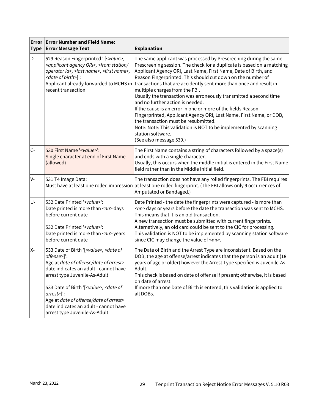| <b>Type</b> | <b>Error Error Number and Field Name:</b><br><b>Error Message Text</b>                                                                                                                                                                                                                                                                                                                                      | <b>Explanation</b>                                                                                                                                                                                                                                                                                                                                                                                                                                                                                                                                                                                                                                                                                                                                                                                                                      |  |
|-------------|-------------------------------------------------------------------------------------------------------------------------------------------------------------------------------------------------------------------------------------------------------------------------------------------------------------------------------------------------------------------------------------------------------------|-----------------------------------------------------------------------------------------------------------------------------------------------------------------------------------------------------------------------------------------------------------------------------------------------------------------------------------------------------------------------------------------------------------------------------------------------------------------------------------------------------------------------------------------------------------------------------------------------------------------------------------------------------------------------------------------------------------------------------------------------------------------------------------------------------------------------------------------|--|
| D-          | 529 Reason Fingerprinted ' [ <value>,<br/><applicant agency="" ori="">, <from <br="" station="">operator id&gt;, <last name="">, <first name="">,<br/><date birth="" of="">]':<br/>recent transaction</date></first></last></from></applicant></value>                                                                                                                                                      | The same applicant was processed by Prescreening during the same<br>Prescreening session. The check for a duplicate is based on a matching<br>Applicant Agency ORI, Last Name, First Name, Date of Birth, and<br>Reason Fingerprinted. This should cut down on the number of<br>Applicant already forwarded to MCHS in transactions that are accidently sent more than once and result in<br>multiple charges from the FBI.<br>Usually the transaction was erroneously transmitted a second time<br>and no further action is needed.<br>If the cause is an error in one or more of the fields Reason<br>Fingerprinted, Applicant Agency ORI, Last Name, First Name, or DOB,<br>the transaction must be resubmitted.<br>Note: Note: This validation is NOT to be implemented by scanning<br>station software.<br>(See also message 539.) |  |
| IC-         | 530 First Name ' <value>':<br/>Single character at end of First Name<br/>(allowed)</value>                                                                                                                                                                                                                                                                                                                  | The First Name contains a string of characters followed by a space(s)<br>and ends with a single character.<br>Usually, this occurs when the middle initial is entered in the First Name<br>field rather than in the Middle Initial field.                                                                                                                                                                                                                                                                                                                                                                                                                                                                                                                                                                                               |  |
| V-          | 531 T4 Image Data:                                                                                                                                                                                                                                                                                                                                                                                          | The transaction does not have any rolled fingerprints. The FBI requires<br>Must have at least one rolled impression at least one rolled fingerprint. (The FBI allows only 9 occurrences of<br>Amputated or Bandaged.)                                                                                                                                                                                                                                                                                                                                                                                                                                                                                                                                                                                                                   |  |
| lu-         | 532 Date Printed ' <value>':<br/>Date printed is more than <nn> days<br/>before current date<br/>532 Date Printed '<value>':<br/>Date printed is more than <nn> years<br/>before current date</nn></value></nn></value>                                                                                                                                                                                     | Date Printed - the date the fingerprints were captured - is more than<br><nn> days or years before the date the transaction was sent to MCHS.<br/>This means that it is an old transaction.<br/>A new transaction must be submitted with current fingerprints.<br/>Alternatively, an old card could be sent to the CIC for processing.<br/>This validation is NOT to be implemented by scanning station software<br/>since CIC may change the value of <nn>.</nn></nn>                                                                                                                                                                                                                                                                                                                                                                  |  |
| X-          | 533 Date of Birth '[ <value>, <date of<br="">offense&gt;]':<br/>Age at date of offense/date of arrest&gt;<br/>date indicates an adult - cannot have<br/>arrest type Juvenile-As-Adult<br/>533 Date of Birth '[<value>, <date of<br="">arrest&gt;]':<br/>Age at date of offense/date of arrest&gt;<br/>date indicates an adult - cannot have<br/>arrest type Juvenile-As-Adult</date></value></date></value> | The Date of Birth and the Arrest Type are inconsistent. Based on the<br>DOB, the age at offense/arrest indicates that the person is an adult (18<br>years of age or older) however the Arrest Type specified is Juvenile-As-<br>Adult.<br>This check is based on date of offense if present; otherwise, it is based<br>on date of arrest.<br>If more than one Date of Birth is entered, this validation is applied to<br>all DOBs.                                                                                                                                                                                                                                                                                                                                                                                                      |  |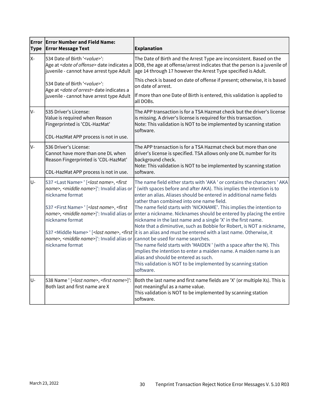| <b>Type</b> | <b>Error Error Number and Field Name:</b><br><b>Error Message Text</b>                                                                                                                                                                                                                                                                                                                          | <b>Explanation</b>                                                                                                                                                                                                                                                                                                                                                                                                                                                                                                                                                                                                                                                                                                                                                                                                                                                                                                                                                                                                             |  |
|-------------|-------------------------------------------------------------------------------------------------------------------------------------------------------------------------------------------------------------------------------------------------------------------------------------------------------------------------------------------------------------------------------------------------|--------------------------------------------------------------------------------------------------------------------------------------------------------------------------------------------------------------------------------------------------------------------------------------------------------------------------------------------------------------------------------------------------------------------------------------------------------------------------------------------------------------------------------------------------------------------------------------------------------------------------------------------------------------------------------------------------------------------------------------------------------------------------------------------------------------------------------------------------------------------------------------------------------------------------------------------------------------------------------------------------------------------------------|--|
| X-          | 534 Date of Birth ' <value>':<br/>Age at <date of="" offense=""> date indicates a<br/>juvenile - cannot have arrest type Adult</date></value>                                                                                                                                                                                                                                                   | The Date of Birth and the Arrest Type are inconsistent. Based on the<br>DOB, the age at offense/arrest indicates that the person is a juvenile of<br>age 14 through 17 however the Arrest Type specified is Adult.                                                                                                                                                                                                                                                                                                                                                                                                                                                                                                                                                                                                                                                                                                                                                                                                             |  |
|             | 534 Date of Birth ' <value>':<br/>Age at <date arrest="" of=""> date indicates a<br/>juvenile - cannot have arrest type Adult</date></value>                                                                                                                                                                                                                                                    | This check is based on date of offense if present; otherwise, it is based<br>on date of arrest.<br>If more than one Date of Birth is entered, this validation is applied to<br>all DOBs.                                                                                                                                                                                                                                                                                                                                                                                                                                                                                                                                                                                                                                                                                                                                                                                                                                       |  |
| V-          | 535 Driver's License:<br>Value is required when Reason<br>Fingerprinted is 'CDL-HazMat'<br>CDL-HazMat APP process is not in use.                                                                                                                                                                                                                                                                | The APP transaction is for a TSA Hazmat check but the driver's license<br>is missing. A driver's license is required for this transaction.<br>Note: This validation is NOT to be implemented by scanning station<br>software.                                                                                                                                                                                                                                                                                                                                                                                                                                                                                                                                                                                                                                                                                                                                                                                                  |  |
| lv-         | 536 Driver's License:<br>Cannot have more than one DL when<br>Reason Fingerprinted is 'CDL-HazMat'<br>CDL-HazMat APP process is not in use.                                                                                                                                                                                                                                                     | The APP transaction is for a TSA Hazmat check but more than one<br>driver's license is specified. TSA allows only one DL number for its<br>background check.<br>Note: This validation is NOT to be implemented by scanning station<br>software.                                                                                                                                                                                                                                                                                                                                                                                                                                                                                                                                                                                                                                                                                                                                                                                |  |
| U-          | 537 <last name=""> ' [<last name="">, <first<br>name&gt;, <middle name="">]': Invalid alias or<br/>nickname format<br/>537 <first name=""> ' [<last name="">, <first<br>name&gt;, <middle name="">]': Invalid alias or<br/>nickname format<br/>name&gt;, <middle name="">]': Invalid alias or<br/>nickname format</middle></middle></first<br></last></first></middle></first<br></last></last> | The name field either starts with 'AKA' or contains the characters ' AKA<br>(with spaces before and after AKA). This implies the intention is to<br>enter an alias. Aliases should be entered in additional name fields<br>rather than combined into one name field.<br>The name field starts with 'NICKNAME'. This implies the intention to<br>enter a nickname. Nicknames should be entered by placing the entire<br>nickname in the last name and a single 'X' in the first name.<br>Note that a diminutive, such as Bobbie for Robert, is NOT a nickname,<br>537 <middle name=""> ' [&lt;<i>last name</i>&gt;, &lt;<i>first</i>  it is an alias and must be entered with a last name. Otherwise, it<br/>cannot be used for name searches.<br/>The name field starts with 'MAIDEN ' (with a space after the N). This<br/>implies the intention to enter a maiden name. A maiden name is an<br/>alias and should be entered as such.<br/>This validation is NOT to be implemented by scanning station<br/>software.</middle> |  |
| U-          | 538 Name ' [ <last name="">, <first name="">]':<br/>Both last and first name are X</first></last>                                                                                                                                                                                                                                                                                               | Both the last name and first name fields are 'X' (or multiple Xs). This is<br>not meaningful as a name value.<br>This validation is NOT to be implemented by scanning station<br>software.                                                                                                                                                                                                                                                                                                                                                                                                                                                                                                                                                                                                                                                                                                                                                                                                                                     |  |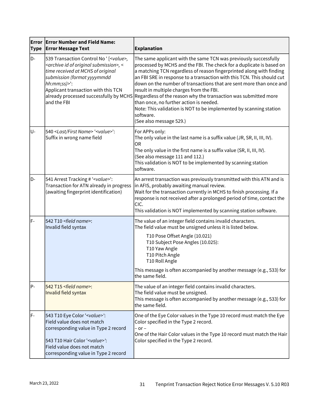| <b>Type</b> | <b>Error Error Number and Field Name:</b><br><b>Error Message Text</b>                                                                                                                                                                                                | <b>Explanation</b>                                                                                                                                                                                                                                                                                                                                                                                                                                                                                                                                                                                                                                                               |  |
|-------------|-----------------------------------------------------------------------------------------------------------------------------------------------------------------------------------------------------------------------------------------------------------------------|----------------------------------------------------------------------------------------------------------------------------------------------------------------------------------------------------------------------------------------------------------------------------------------------------------------------------------------------------------------------------------------------------------------------------------------------------------------------------------------------------------------------------------------------------------------------------------------------------------------------------------------------------------------------------------|--|
| D-          | 539 Transaction Control No ' [ <value>,<br/><archive id="" of="" original="" submission="">, &lt;<br/>time received at MCHS of original<br/>submission (format yyyymmdd<br/>hh:mm;ss)&gt;':<br/>Applicant transaction with this TCN<br/>and the FBI</archive></value> | The same applicant with the same TCN was previously successfully<br>processed by MCHS and the FBI. The check for a duplicate is based on<br>a matching TCN regardless of reason fingerprinted along with finding<br>an FBI SRE in response to a transaction with this TCN. This should cut<br>down on the number of transactions that are sent more than once and<br>result in multiple charges from the FBI.<br>already processed successfully by MCHS Regardless of the reason why the transaction was submitted more<br>than once, no further action is needed.<br>Note: This validation is NOT to be implemented by scanning station<br>software.<br>(See also message 529.) |  |
| U-          | 540 <last first="" name=""> '<value>':<br/>Suffix in wrong name field</value></last>                                                                                                                                                                                  | For APPs only:<br>The only value in the last name is a suffix value (JR, SR, II, III, IV).<br><b>OR</b><br>The only value in the first name is a suffix value (SR, II, III, IV).<br>(See also message 111 and 112.)<br>This validation is NOT to be implemented by scanning station<br>software.                                                                                                                                                                                                                                                                                                                                                                                 |  |
| D-          | 541 Arrest Tracking # ' <value>':<br/>Transaction for ATN already in progress<br/>(awaiting fingerprint identification)</value>                                                                                                                                       | An arrest transaction was previously transmitted with this ATN and is<br>in AFIS, probably awaiting manual review.<br>Wait for the transaction currently in MCHS to finish processing. If a<br>response is not received after a prolonged period of time, contact the<br>CIC.<br>This validation is NOT implemented by scanning station software.                                                                                                                                                                                                                                                                                                                                |  |
| F-          | 542 T10 <field name="">:<br/>Invalid field syntax</field>                                                                                                                                                                                                             | The value of an integer field contains invalid characters.<br>The field value must be unsigned unless it is listed below.<br>T10 Pose Offset Angle (10.021)<br>T10 Subject Pose Angles (10.025):<br>T10 Yaw Angle<br>T10 Pitch Angle<br>T10 Roll Angle<br>This message is often accompanied by another message (e.g., 533) for<br>the same field.                                                                                                                                                                                                                                                                                                                                |  |
| P-          | 542 T15 <field name="">:<br/>Invalid field syntax</field>                                                                                                                                                                                                             | The value of an integer field contains invalid characters.<br>The field value must be unsigned.<br>This message is often accompanied by another message (e.g., 533) for<br>the same field.                                                                                                                                                                                                                                                                                                                                                                                                                                                                                       |  |
| lF-         | 543 T10 Eye Color ' <value>':<br/>Field value does not match<br/>corresponding value in Type 2 record<br/>543 T10 Hair Color '<value>':<br/>Field value does not match<br/>corresponding value in Type 2 record</value></value>                                       | One of the Eye Color values in the Type 10 record must match the Eye<br>Color specified in the Type 2 record.<br>$-$ or $-$<br>One of the Hair Color values in the Type 10 record must match the Hair<br>Color specified in the Type 2 record.                                                                                                                                                                                                                                                                                                                                                                                                                                   |  |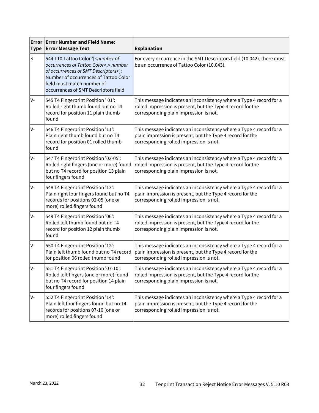| Error<br><b>Type</b> | <b>Error Number and Field Name:</b><br><b>Error Message Text</b>                                                                                                                                                                                            | <b>Explanation</b>                                                                                                                                                           |  |
|----------------------|-------------------------------------------------------------------------------------------------------------------------------------------------------------------------------------------------------------------------------------------------------------|------------------------------------------------------------------------------------------------------------------------------------------------------------------------------|--|
| ls-                  | 544 T10 Tattoo Color '[ <number of<br="">occurrences of Tattoo Color&gt;,&lt; number<br/>of occurrences of SMT Descriptors&gt;]:<br/>Number of occurrences of Tattoo Color<br/>field must match number of<br/>occurrences of SMT Descriptors field</number> | For every occurrence in the SMT Descriptors field (10.042), there must<br>be an occurrence of Tattoo Color (10.043).                                                         |  |
| lv-                  | 545 T4 Fingerprint Position ' 01':<br>Rolled right thumb found but no T4<br>record for position 11 plain thumb<br>found                                                                                                                                     | This message indicates an inconsistency where a Type 4 record for a<br>rolled impression is present, but the Type 4 record for the<br>corresponding plain impression is not. |  |
| V-                   | 546 T4 Fingerprint Position '11':<br>Plain right thumb found but no T4<br>record for position 01 rolled thumb<br>found                                                                                                                                      | This message indicates an inconsistency where a Type 4 record for a<br>plain impression is present, but the Type 4 record for the<br>corresponding rolled impression is not. |  |
| lV-                  | 547 T4 Fingerprint Position '02-05':<br>Rolled right fingers (one or more) found<br>but no T4 record for position 13 plain<br>four fingers found                                                                                                            | This message indicates an inconsistency where a Type 4 record for a<br>rolled impression is present, but the Type 4 record for the<br>corresponding plain impression is not. |  |
| V-                   | 548 T4 Fingerprint Position '13':<br>Plain right four fingers found but no T4<br>records for positions 02-05 (one or<br>more) rolled fingers found                                                                                                          | This message indicates an inconsistency where a Type 4 record for a<br>plain impression is present, but the Type 4 record for the<br>corresponding rolled impression is not. |  |
| V-                   | 549 T4 Fingerprint Position '06':<br>Rolled left thumb found but no T4<br>record for position 12 plain thumb<br>found                                                                                                                                       | This message indicates an inconsistency where a Type 4 record for a<br>rolled impression is present, but the Type 4 record for the<br>corresponding plain impression is not. |  |
| lv-                  | 550 T4 Fingerprint Position '12':<br>Plain left thumb found but no T4 record<br>for position 06 rolled thumb found                                                                                                                                          | This message indicates an inconsistency where a Type 4 record for a<br>plain impression is present, but the Type 4 record for the<br>corresponding rolled impression is not. |  |
| V-                   | 551 T4 Fingerprint Position '07-10':<br>Rolled left fingers (one or more) found<br>but no T4 record for position 14 plain<br>four fingers found                                                                                                             | This message indicates an inconsistency where a Type 4 record for a<br>rolled impression is present, but the Type 4 record for the<br>corresponding plain impression is not. |  |
| lv-                  | 552 T4 Fingerprint Position '14':<br>Plain left four fingers found but no T4<br>records for positions 07-10 (one or<br>more) rolled fingers found                                                                                                           | This message indicates an inconsistency where a Type 4 record for a<br>plain impression is present, but the Type 4 record for the<br>corresponding rolled impression is not. |  |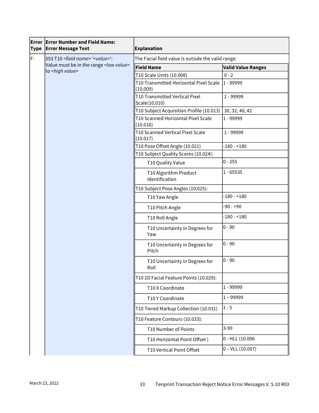| <b>Type</b> | <b>Error Error Number and Field Name:</b><br><b>Error Message Text</b> | <b>Explanation</b>                                 |                           |
|-------------|------------------------------------------------------------------------|----------------------------------------------------|---------------------------|
| F-          | 553 T10 <field name=""> '<value>':</value></field>                     | The Facial field value is outside the valid range: |                           |
|             | Value must be in the range < low value><br>to <high value=""></high>   | <b>Field Name</b>                                  | <b>Valid Value Ranges</b> |
|             |                                                                        | T10 Scale Units (10.008)                           | $0 - 2$                   |
|             |                                                                        | T10 Transmitted Horizontal Pixel Scale<br>(10.009) | 1 - 99999                 |
|             |                                                                        | T10 Transmitted Vertical Pixel<br>Scale(10.010)    | 1 - 99999                 |
|             |                                                                        | T10 Subject Acquisition Profile (10.013)           | 30, 32, 40, 42            |
|             |                                                                        | T10 Scanned Horizontal Pixel Scale<br>(10.016)     | 1 - 99999                 |
|             |                                                                        | T10 Scanned Vertical Pixel Scale<br>(10.017)       | 1 - 99999                 |
|             |                                                                        | T10 Pose Offset Angle (10.021)                     | $-180 - +180$             |
|             |                                                                        | T10 Subject Quality Scores (10.024):               |                           |
|             |                                                                        | T10 Quality Value                                  | $0 - 255$                 |
|             |                                                                        | T10 Algorithm Product<br>Identification            | $1 - 65535$               |
|             |                                                                        | T10 Subject Pose Angles (10.025):                  |                           |
|             |                                                                        | T10 Yaw Angle                                      | $-180 - +180$             |
|             |                                                                        | T10 Pitch Angle                                    | $-90 - +90$               |
|             |                                                                        | T10 Roll Angle                                     | $-180 - +180$             |
|             |                                                                        | T10 Uncertainty in Degrees for<br>Yaw              | $0 - 90$                  |
|             |                                                                        | T10 Uncertainty in Degrees for<br>Pitch            | $0 - 90$                  |
|             |                                                                        | T10 Uncertainty in Degrees for<br>Roll             | $0 - 90$                  |
|             |                                                                        | T10 2D Facial Feature Points (10.029):             |                           |
|             |                                                                        | T10 X Coordinate                                   | 1 - 99999                 |
|             |                                                                        | T10 Y Coordinate                                   | $1 - 99999$               |
|             |                                                                        | T10 Tiered Markup Collection (10.031)              | $1 - 5$                   |
|             |                                                                        | T10 Feature Contours (10.033):                     |                           |
|             |                                                                        | T10 Number of Points                               | $3-99$                    |
|             |                                                                        | T10 Horizontal Point Offset)                       | 0 - HLL (10.006           |
|             |                                                                        | T10 Vertical Point Offset                          | $0 - VLL (10.007)$        |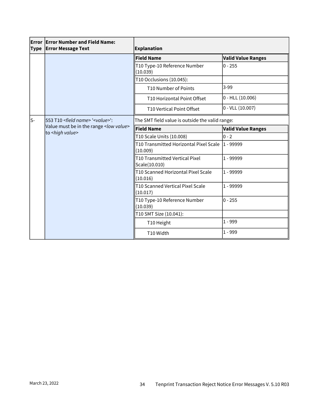| Type | <b>Error Error Number and Field Name:</b><br><b>Error Message Text</b>                                                               | <b>Explanation</b>                                 |                           |
|------|--------------------------------------------------------------------------------------------------------------------------------------|----------------------------------------------------|---------------------------|
|      |                                                                                                                                      | <b>Field Name</b>                                  | <b>Valid Value Ranges</b> |
|      |                                                                                                                                      | T10 Type-10 Reference Number<br>(10.039)           | $0 - 255$                 |
|      |                                                                                                                                      | T10 Occlusions (10.045):                           |                           |
|      |                                                                                                                                      | T10 Number of Points                               | $3-99$                    |
|      |                                                                                                                                      | T10 Horizontal Point Offset                        | $0 - HLL (10.006)$        |
|      |                                                                                                                                      | T10 Vertical Point Offset                          | $0 - VLL (10.007)$        |
| ls-  | 553 T10 <field name=""> '<value>':<br/>Value must be in the range <low value=""><br/>to <high value=""></high></low></value></field> | The SMT field value is outside the valid range:    |                           |
|      |                                                                                                                                      | <b>Field Name</b>                                  | <b>Valid Value Ranges</b> |
|      |                                                                                                                                      | T10 Scale Units (10.008)                           | $0 - 2$                   |
|      |                                                                                                                                      | T10 Transmitted Horizontal Pixel Scale<br>(10.009) | l1 - 99999                |
|      |                                                                                                                                      | T10 Transmitted Vertical Pixel<br>Scale(10.010)    | 1 - 99999                 |
|      |                                                                                                                                      | T10 Scanned Horizontal Pixel Scale<br>(10.016)     | 1 - 99999                 |
|      |                                                                                                                                      | T10 Scanned Vertical Pixel Scale<br>(10.017)       | 1 - 99999                 |
|      |                                                                                                                                      | T10 Type-10 Reference Number<br>(10.039)           | $0 - 255$                 |
|      |                                                                                                                                      | T10 SMT Size (10.041):                             |                           |
|      |                                                                                                                                      | T10 Height                                         | $1 - 999$                 |
|      |                                                                                                                                      | T10 Width                                          | $1 - 999$                 |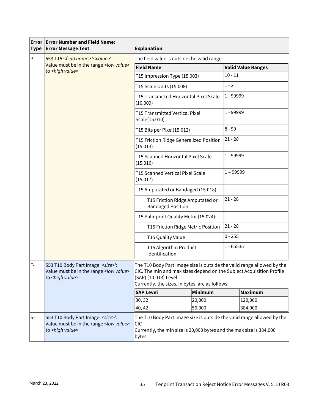| Type | <b>Error Error Number and Field Name:</b><br><b>Error Message Text</b>                                                      | <b>Explanation</b>                                                                                                                                                                                                         |                |             |                           |
|------|-----------------------------------------------------------------------------------------------------------------------------|----------------------------------------------------------------------------------------------------------------------------------------------------------------------------------------------------------------------------|----------------|-------------|---------------------------|
| P-   | 553 T15 <field name=""> '<value>':</value></field>                                                                          | The field value is outside the valid range:                                                                                                                                                                                |                |             |                           |
|      | Value must be in the range <low value=""><br/>to <high value=""></high></low>                                               | <b>Field Name</b>                                                                                                                                                                                                          |                |             | <b>Valid Value Ranges</b> |
|      |                                                                                                                             | T15 Impression Type (15.003)                                                                                                                                                                                               |                | $10 - 11$   |                           |
|      |                                                                                                                             | T15 Scale Units (15.008)                                                                                                                                                                                                   |                | $1 - 2$     |                           |
|      |                                                                                                                             | T15 Transmitted Horizontal Pixel Scale<br>(10.009)                                                                                                                                                                         |                | $1 - 99999$ |                           |
|      |                                                                                                                             | <b>T15 Transmitted Vertical Pixel</b><br>Scale(15.010)                                                                                                                                                                     |                | 1 - 99999   |                           |
|      |                                                                                                                             | T15 Bits per Pixel(15.012)                                                                                                                                                                                                 |                | 8 - 99      |                           |
|      |                                                                                                                             | T15 Friction Ridge Generalized Position<br>(15.013)                                                                                                                                                                        |                | $ 21 - 28$  |                           |
|      |                                                                                                                             | T15 Scanned Horizontal Pixel Scale<br>(15.016)                                                                                                                                                                             |                | 1 - 99999   |                           |
|      |                                                                                                                             | T15 Scanned Vertical Pixel Scale<br>(15.017)                                                                                                                                                                               |                | $1 - 99999$ |                           |
|      |                                                                                                                             | T15 Amputated or Bandaged (15.018):                                                                                                                                                                                        |                |             |                           |
|      | T15 Friction Ridge Amputated or<br><b>Bandaged Position</b>                                                                 |                                                                                                                                                                                                                            |                | $21 - 28$   |                           |
|      |                                                                                                                             | T15 Palmprint Quality Metric(15.024):                                                                                                                                                                                      |                |             |                           |
|      |                                                                                                                             | T15 Friction Ridge Metric Position                                                                                                                                                                                         |                | $ 21 - 28$  |                           |
|      |                                                                                                                             | T15 Quality Value                                                                                                                                                                                                          |                | $0 - 255$   |                           |
|      |                                                                                                                             | T15 Algorithm Product<br>Identification                                                                                                                                                                                    |                | 1 - 65535   |                           |
| lF-  | 553 T10 Body Part Image ' <size>':<br/>Value must be in the range <low value=""><br/>to <high value=""></high></low></size> | The T10 Body Part Image size is outside the valid range allowed by the<br>CIC. The min and max sizes depend on the Subject Acquisition Profile<br>(SAP) (10.013) Level:<br>Currently, the sizes, in bytes, are as follows: |                |             |                           |
|      |                                                                                                                             | <b>SAP Level</b>                                                                                                                                                                                                           | <b>Minimum</b> |             | Maximum                   |
|      |                                                                                                                             | 30, 32                                                                                                                                                                                                                     | 20,000         |             | 120,000                   |
|      |                                                                                                                             | 40, 42                                                                                                                                                                                                                     | 56,000         |             | 384,000                   |
| ls-  | 553 T10 Body Part Image ' <size>':<br/>Value must be in the range <low value=""><br/>to <high value=""></high></low></size> | The T10 Body Part Image size is outside the valid range allowed by the<br><b>CIC</b><br>Currently, the min size is 20,000 bytes and the max size is 384,000<br>bytes.                                                      |                |             |                           |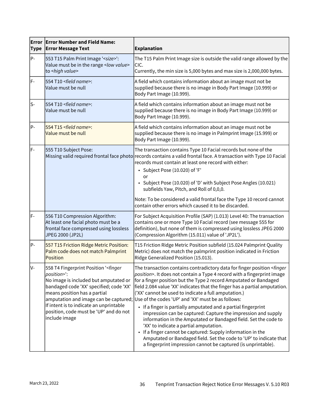| Error<br><b>Type</b> | <b>Error Number and Field Name:</b><br><b>Error Message Text</b>                                                                                                                                                                                                                                    | <b>Explanation</b>                                                                                                                                                                                                                                                                                                                                                                                                                                                                                                                                                                                                                                                                                                                                                                                                                                                                                                                      |
|----------------------|-----------------------------------------------------------------------------------------------------------------------------------------------------------------------------------------------------------------------------------------------------------------------------------------------------|-----------------------------------------------------------------------------------------------------------------------------------------------------------------------------------------------------------------------------------------------------------------------------------------------------------------------------------------------------------------------------------------------------------------------------------------------------------------------------------------------------------------------------------------------------------------------------------------------------------------------------------------------------------------------------------------------------------------------------------------------------------------------------------------------------------------------------------------------------------------------------------------------------------------------------------------|
| $P -$                | 553 T15 Palm Print Image ' <size>':<br/>Value must be in the range &lt; low value&gt;<br/>to <high value=""></high></size>                                                                                                                                                                          | The T15 Palm Print Image size is outside the valid range allowed by the<br>CIC.<br>Currently, the min size is 5,000 bytes and max size is 2,000,000 bytes.                                                                                                                                                                                                                                                                                                                                                                                                                                                                                                                                                                                                                                                                                                                                                                              |
| lF-                  | 554 T10 <field name="">:<br/>Value must be null</field>                                                                                                                                                                                                                                             | A field which contains information about an image must not be<br>supplied because there is no image in Body Part Image (10.999) or<br>Body Part Image (10.999).                                                                                                                                                                                                                                                                                                                                                                                                                                                                                                                                                                                                                                                                                                                                                                         |
| ls-                  | 554 T10 <field name="">:<br/>Value must be null</field>                                                                                                                                                                                                                                             | A field which contains information about an image must not be<br>supplied because there is no image in Body Part Image (10.999) or<br>Body Part Image (10.999).                                                                                                                                                                                                                                                                                                                                                                                                                                                                                                                                                                                                                                                                                                                                                                         |
| P-                   | 554 T15 <field name="">:<br/>Value must be null</field>                                                                                                                                                                                                                                             | A field which contains information about an image must not be<br>supplied because there is no image in Palmprint Image (15.999) or<br>Body Part Image (10.999).                                                                                                                                                                                                                                                                                                                                                                                                                                                                                                                                                                                                                                                                                                                                                                         |
| lF-                  | 555 T10 Subject Pose:                                                                                                                                                                                                                                                                               | The transaction contains Type 10 Facial records but none of the<br>Missing valid required frontal face photo records contains a valid frontal face. A transaction with Type 10 Facial<br>records must contain at least one record with either:<br>· Subject Pose (10.020) of 'F'<br>or<br>• Subject Pose (10.020) of 'D' with Subject Pose Angles (10.021)<br>subfields Yaw, Pitch, and Roll of 0,0,0.<br>Note: To be considered a valid frontal face the Type 10 record cannot<br>contain other errors which caused it to be discarded.                                                                                                                                                                                                                                                                                                                                                                                                |
| lF-                  | 556 T10 Compression Algorithm:<br>At least one facial photo must be a<br>frontal face compressed using lossless<br>JPEG 2000 (JP2L)                                                                                                                                                                 | For Subject Acquisition Profile (SAP) (1.013) Level 40: The transaction<br>contains one or more Type 10 Facial record (see message 555 for<br>definition), but none of them is compressed using lossless JPEG 2000<br>(Compression Algorithm (15.011) value of 'JP2L').                                                                                                                                                                                                                                                                                                                                                                                                                                                                                                                                                                                                                                                                 |
| P-                   | 557 T15 Friction Ridge Metric Position:<br>Palm code does not match Palmprint<br>Position                                                                                                                                                                                                           | T15 Friction Ridge Metric Position subfield (15.024 Palmprint Quality<br>Metric) does not match the palmprint position indicated in Friction<br>Ridge Generalized Position (15.013).                                                                                                                                                                                                                                                                                                                                                                                                                                                                                                                                                                                                                                                                                                                                                    |
| lv-                  | 558 T4 Fingerprint Position ' <finger<br>position&gt;":<br/>No image is included but amputated or<br/>bandaged code 'XX' specified; code 'XX'<br/>means position has a partial<br/>If intent is to indicate an unprintable<br/>position, code must be 'UP' and do not<br/>include image</finger<br> | The transaction contains contradictory data for finger position <finger<br>position&gt;. It does not contain a Type 4 record with a fingerprint image<br/>for a finger position but the Type 2 record Amputated or Bandaged<br/>field 2.084 value 'XX' indicates that the finger has a partial amputation.<br/>('XX' cannot be used to indicate a full amputation.)<br/>amputation and image can be captured; Use of the codes 'UP' and 'XX' must be as follows:<br/>• If a finger is partially amputated and a partial fingerprint<br/>impression can be captured: Capture the impression and supply<br/>information in the Amputated or Bandaged field. Set the code to<br/>'XX' to indicate a partial amputation.<br/>If a finger cannot be captured: Supply information in the<br/>Amputated or Bandaged field. Set the code to 'UP' to indicate that<br/>a fingerprint impression cannot be captured (is unprintable).</finger<br> |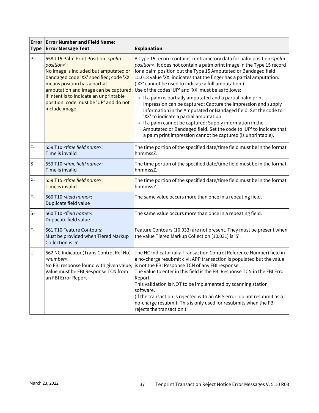| <b>Type</b> | <b>Error Error Number and Field Name:</b><br><b>Error Message Text</b>                                                                                                                                                                                                       | <b>Explanation</b>                                                                                                                                                                                                                                                                                                                                                                                                                                                                                                                                                                                                                                                                                                                                                                                                                                                                                                    |
|-------------|------------------------------------------------------------------------------------------------------------------------------------------------------------------------------------------------------------------------------------------------------------------------------|-----------------------------------------------------------------------------------------------------------------------------------------------------------------------------------------------------------------------------------------------------------------------------------------------------------------------------------------------------------------------------------------------------------------------------------------------------------------------------------------------------------------------------------------------------------------------------------------------------------------------------------------------------------------------------------------------------------------------------------------------------------------------------------------------------------------------------------------------------------------------------------------------------------------------|
| P-          | 558 T15 Palm Print Position '< palm<br>position>":<br>No image is included but amputated or<br>bandaged code 'XX' specified; code 'XX'<br>means position has a partial<br>If intent is to indicate an unprintable<br>position, code must be 'UP' and do not<br>include image | A Type 15 record contains contradictory data for palm position <palm<br>position&gt;. It does not contain a palm print image in the Type 15 record<br/>for a palm position but the Type 15 Amputated or Bandaged field<br/>15.018 value 'XX' indicates that the finger has a partial amputation.<br/>('XX' cannot be used to indicate a full amputation.)<br/>amputation and image can be captured; Use of the codes 'UP' and 'XX' must be as follows:<br/>• If a palm is partially amputated and a partial palm print<br/>impression can be captured: Capture the impression and supply<br/>information in the Amputated or Bandaged field. Set the code to<br/>'XX' to indicate a partial amputation.<br/>If a palm cannot be captured: Supply information in the<br/>Amputated or Bandaged field. Set the code to 'UP' to indicate that<br/>a palm print impression cannot be captured (is unprintable).</palm<br> |
| F-          | 559 T10 <time field="" name="">:<br/>Time is invalid</time>                                                                                                                                                                                                                  | The time portion of the specified date/time field must be in the format<br>hhmmssZ.                                                                                                                                                                                                                                                                                                                                                                                                                                                                                                                                                                                                                                                                                                                                                                                                                                   |
| ls-         | 559 T10 <time field="" name="">:<br/>Time is invalid</time>                                                                                                                                                                                                                  | The time portion of the specified date/time field must be in the format<br>hhmmssZ.                                                                                                                                                                                                                                                                                                                                                                                                                                                                                                                                                                                                                                                                                                                                                                                                                                   |
| P-          | 559 T15 <time field="" name="">:<br/>Time is invalid</time>                                                                                                                                                                                                                  | The time portion of the specified date/time field must be in the format<br>hhmmssZ.                                                                                                                                                                                                                                                                                                                                                                                                                                                                                                                                                                                                                                                                                                                                                                                                                                   |
| F-          | 560 T10 <field name="">:<br/>Duplicate field value</field>                                                                                                                                                                                                                   | The same value occurs more than once in a repeating field.                                                                                                                                                                                                                                                                                                                                                                                                                                                                                                                                                                                                                                                                                                                                                                                                                                                            |
| ls-         | 560 T10 <field name="">:<br/>Duplicate field value</field>                                                                                                                                                                                                                   | The same value occurs more than once in a repeating field.                                                                                                                                                                                                                                                                                                                                                                                                                                                                                                                                                                                                                                                                                                                                                                                                                                                            |
| F-          | 561 T10 Feature Contours:<br>Must be provided when Tiered Markup<br>Collection is '5'                                                                                                                                                                                        | Feature Contours (10.033) are not present. They must be present when<br>the value Tiered Markup Collection (10.031) is '5'.                                                                                                                                                                                                                                                                                                                                                                                                                                                                                                                                                                                                                                                                                                                                                                                           |
| lU-         | 562 NC Indicator (Trans Control Ref No)<br><number>:<br/>Value must be FBI Response TCN from<br/>an FBI Error Report</number>                                                                                                                                                | The NC Indicator (aka Transaction Control Reference Number) field in<br>a no-charge resubmit civil APP transaction is populated but the value<br>No FBI response found with given value; is not the FBI Response TCN of any FBI response.<br>The value to enter in this field is the FBI Response TCN in the FBI Error<br>Report.<br>This validation is NOT to be implemented by scanning station<br>software.<br>(If the transaction is rejected with an AFIS error, do not resubmit as a<br>no-charge resubmit. This is only used for resubmits when the FBI<br>rejects the transaction.)                                                                                                                                                                                                                                                                                                                           |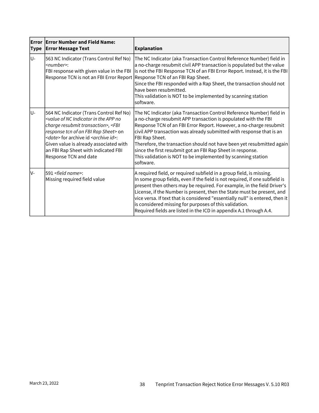| <b>Type</b> | <b>Error Error Number and Field Name:</b><br><b>Error Message Text</b>                                                                                                                                                                                                                                                                                                             | <b>Explanation</b>                                                                                                                                                                                                                                                                                                                                                                                                                                                                                                         |
|-------------|------------------------------------------------------------------------------------------------------------------------------------------------------------------------------------------------------------------------------------------------------------------------------------------------------------------------------------------------------------------------------------|----------------------------------------------------------------------------------------------------------------------------------------------------------------------------------------------------------------------------------------------------------------------------------------------------------------------------------------------------------------------------------------------------------------------------------------------------------------------------------------------------------------------------|
| U-          | 563 NC Indicator (Trans Control Ref No)<br><number>:<br/>FBI response with given value in the FBI<br/>Response TCN is not an FBI Error Report Response TCN of an FBI Rap Sheet.</number>                                                                                                                                                                                           | The NC Indicator (aka Transaction Control Reference Number) field in<br>a no-charge resubmit civil APP transaction is populated but the value<br>is not the FBI Response TCN of an FBI Error Report. Instead, it is the FBI<br>Since the FBI responded with a Rap Sheet, the transaction should not<br>have been resubmitted.<br>This validation is NOT to be implemented by scanning station<br>software.                                                                                                                 |
| U-          | 564 NC Indicator (Trans Control Ref No)<br><value app="" in="" indicator="" nc="" no<br="" of="" the="">charge resubmit transaction&gt;, <fbi<br>response tcn of an FBI Rap Sheet&gt; on<br/><date> for archive id <archive id="">:<br/>Given value is already associated with<br/>an FBI Rap Sheet with indicated FBI<br/>Response TCN and date</archive></date></fbi<br></value> | The NC Indicator (aka Transaction Control Reference Number) field in<br>a no-charge resubmit APP transaction is populated with the FBI<br>Response TCN of an FBI Error Report. However, a no-charge resubmit<br>civil APP transaction was already submitted with response that is an<br>FBI Rap Sheet.<br>Therefore, the transaction should not have been yet resubmitted again<br>since the first resubmit got an FBI Rap Sheet in response.<br>This validation is NOT to be implemented by scanning station<br>software. |
| lv-         | 591 <field name="">:<br/>Missing required field value</field>                                                                                                                                                                                                                                                                                                                      | A required field, or required subfield in a group field, is missing.<br>In some group fields, even if the field is not required, if one subfield is<br>present then others may be required. For example, in the field Driver's<br>License, if the Number is present, then the State must be present, and<br>vice versa. If text that is considered "essentially null" is entered, then it<br>is considered missing for purposes of this validation.<br>Required fields are listed in the ICD in appendix A.1 through A.4.  |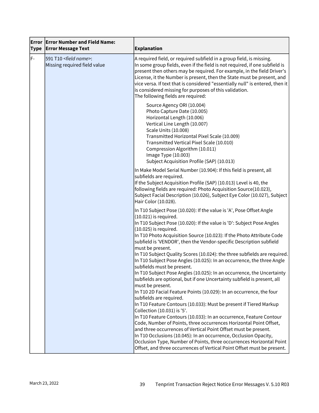| Error<br><b>Type</b> | <b>Error Number and Field Name:</b><br><b>Error Message Text</b>  | Explanation                                                                                                                                                                                                                                                                                                                                                                                                                                                                                                                                                                                                                                                                                                                          |
|----------------------|-------------------------------------------------------------------|--------------------------------------------------------------------------------------------------------------------------------------------------------------------------------------------------------------------------------------------------------------------------------------------------------------------------------------------------------------------------------------------------------------------------------------------------------------------------------------------------------------------------------------------------------------------------------------------------------------------------------------------------------------------------------------------------------------------------------------|
| lF-                  | 591 T10 <field name="">:<br/>Missing required field value</field> | A required field, or required subfield in a group field, is missing.<br>In some group fields, even if the field is not required, if one subfield is<br>present then others may be required. For example, in the field Driver's<br>License, it the Number is present, then the State must be present, and<br>vice versa. If text that is considered "essentially null" is entered, then it<br>is considered missing for purposes of this validation.<br>The following fields are required:                                                                                                                                                                                                                                            |
|                      |                                                                   | Source Agency ORI (10.004)<br>Photo Capture Date (10.005)<br>Horizontal Length (10.006)<br>Vertical Line Length (10.007)<br><b>Scale Units (10.008)</b><br>Transmitted Horizontal Pixel Scale (10.009)<br>Transmitted Vertical Pixel Scale (10.010)<br>Compression Algorithm (10.011)<br>Image Type (10.003)<br>Subject Acquisition Profile (SAP) (10.013)                                                                                                                                                                                                                                                                                                                                                                           |
|                      |                                                                   | In Make Model Serial Number (10.904): If this field is present, all<br>subfields are required.<br>If the Subject Acquisition Profile (SAP) (10.013) Level is 40, the<br>following fields are required: Photo Acquisition Source(10.023),<br>Subject Facial Description (10.026), Subject Eye Color (10.027), Subject<br>Hair Color (10.028).                                                                                                                                                                                                                                                                                                                                                                                         |
|                      |                                                                   | In T10 Subject Pose (10.020): If the value is 'A', Pose Offset Angle<br>$(10.021)$ is required.<br>In T10 Subject Pose (10.020): If the value is 'D': Subject Pose Angles<br>(10.025) is required.<br>In T10 Photo Acquisition Source (10.023): If the Photo Attribute Code<br>subfield is 'VENDOR', then the Vendor-specific Description subfield<br>must be present.<br>In T10 Subject Quality Scores (10.024): the three subfields are required.<br>In T10 Subject Pose Angles (10.025): In an occurrence, the three Angle<br>subfields must be present.<br>In T10 Subject Pose Angles (10.025): In an occurrence, the Uncertainty<br>subfields are optional, but if one Uncertainty subfield is present, all<br>must be present. |
|                      |                                                                   | In T10 2D Facial Feature Points (10.029): In an occurrence, the four<br>subfields are required.<br>In T10 Feature Contours (10.033): Must be present if Tiered Markup<br>Collection (10.031) is '5'.<br>In T10 Feature Contours (10.033): In an occurrence, Feature Contour<br>Code, Number of Points, three occurrences Horizontal Point Offset,<br>and three occurrences of Vertical Point Offset must be present.<br>In T10 Occlusions (10.045): In an occurrence, Occlusion Opacity,<br>Occlusion Type, Number of Points, three occurrences Horizontal Point<br>Offset, and three occurrences of Vertical Point Offset must be present.                                                                                          |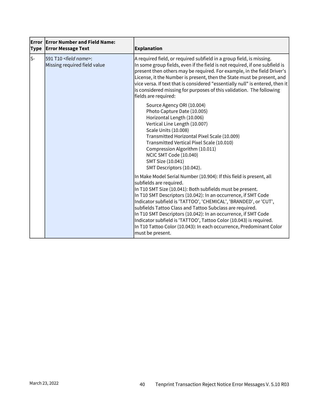| <b>Type</b> | <b>Error Error Number and Field Name:</b><br><b>Error Message Text</b> | <b>Explanation</b>                                                                                                                                                                                                                                                                                                                                                                                                                                                                                                                                                                               |
|-------------|------------------------------------------------------------------------|--------------------------------------------------------------------------------------------------------------------------------------------------------------------------------------------------------------------------------------------------------------------------------------------------------------------------------------------------------------------------------------------------------------------------------------------------------------------------------------------------------------------------------------------------------------------------------------------------|
| ls-         | 591 T10 <field name="">:<br/>Missing required field value</field>      | A required field, or required subfield in a group field, is missing.<br>In some group fields, even if the field is not required, if one subfield is<br>present then others may be required. For example, in the field Driver's<br>License, it the Number is present, then the State must be present, and<br>vice versa. If text that is considered "essentially null" is entered, then it<br>is considered missing for purposes of this validation. The following<br>fields are required:                                                                                                        |
|             |                                                                        | Source Agency ORI (10.004)<br>Photo Capture Date (10.005)<br>Horizontal Length (10.006)<br>Vertical Line Length (10.007)<br><b>Scale Units (10.008)</b><br>Transmitted Horizontal Pixel Scale (10.009)<br>Transmitted Vertical Pixel Scale (10.010)<br>Compression Algorithm (10.011)<br>NCIC SMT Code (10.040)<br>SMT Size (10.041)<br>SMT Descriptors (10.042).                                                                                                                                                                                                                                |
|             |                                                                        | In Make Model Serial Number (10.904): If this field is present, all<br>subfields are required.<br>In T10 SMT Size (10.041): Both subfields must be present.<br>In T10 SMT Descriptors (10.042): In an occurrence, if SMT Code<br>Indicator subfield is 'TATTOO', 'CHEMICAL', 'BRANDED', or 'CUT',<br>subfields Tattoo Class and Tattoo Subclass are required.<br>In T10 SMT Descriptors (10.042): In an occurrence, if SMT Code<br>Indicator subfield is 'TATTOO', Tattoo Color (10.043) is required.<br>In T10 Tattoo Color (10.043): In each occurrence, Predominant Color<br>must be present. |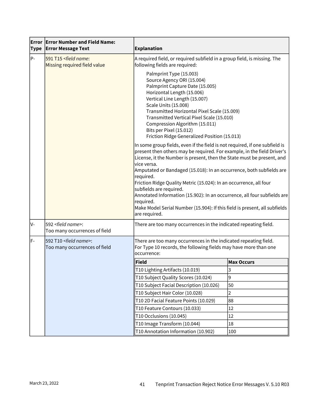| <b>Type</b> | <b>Error Error Number and Field Name:</b><br><b>Error Message Text</b> | <b>Explanation</b>                                                                                                                                                                                                                                                                                                                                                                                                                                                                                                                                                                                                            |                   |
|-------------|------------------------------------------------------------------------|-------------------------------------------------------------------------------------------------------------------------------------------------------------------------------------------------------------------------------------------------------------------------------------------------------------------------------------------------------------------------------------------------------------------------------------------------------------------------------------------------------------------------------------------------------------------------------------------------------------------------------|-------------------|
| lP-         | 591 T15 <field name:<br="">Missing required field value</field>        | A required field, or required subfield in a group field, is missing. The<br>following fields are required:<br>Palmprint Type (15.003)<br>Source Agency ORI (15.004)<br>Palmprint Capture Date (15.005)<br>Horizontal Length (15.006)<br>Vertical Line Length (15.007)<br><b>Scale Units (15.008)</b><br>Transmitted Horizontal Pixel Scale (15.009)<br>Transmitted Vertical Pixel Scale (15.010)<br>Compression Algorithm (15.011)<br>Bits per Pixel (15.012)<br>Friction Ridge Generalized Position (15.013)                                                                                                                 |                   |
|             |                                                                        |                                                                                                                                                                                                                                                                                                                                                                                                                                                                                                                                                                                                                               |                   |
|             |                                                                        | In some group fields, even if the field is not required, if one subfield is<br>present then others may be required. For example, in the field Driver's<br>License, it the Number is present, then the State must be present, and<br>vice versa.<br>Amputated or Bandaged (15.018): In an occurrence, both subfields are<br>required.<br>Friction Ridge Quality Metric (15.024): In an occurrence, all four<br>subfields are required.<br>Annotated Information (15.902): In an occurrence, all four subfields are<br>required.<br>Make Model Serial Number (15.904): If this field is present, all subfields<br>are required. |                   |
| V-          | 592 <field name="">:<br/>Too many occurrences of field</field>         | There are too many occurrences in the indicated repeating field.                                                                                                                                                                                                                                                                                                                                                                                                                                                                                                                                                              |                   |
| lF-         | 592 T10 <field name="">:<br/>Too many occurrences of field</field>     | There are too many occurrences in the indicated repeating field.<br>For Type 10 records, the following fields may have more than one<br>occurrence:                                                                                                                                                                                                                                                                                                                                                                                                                                                                           |                   |
|             |                                                                        | $ $ Field                                                                                                                                                                                                                                                                                                                                                                                                                                                                                                                                                                                                                     | <b>Max Occurs</b> |
|             |                                                                        | ∥T10 Lighting Artifacts (10.019)                                                                                                                                                                                                                                                                                                                                                                                                                                                                                                                                                                                              | 3                 |
|             |                                                                        | T10 Subject Quality Scores (10.024)                                                                                                                                                                                                                                                                                                                                                                                                                                                                                                                                                                                           | 9                 |
|             |                                                                        | T10 Subject Facial Description (10.026)                                                                                                                                                                                                                                                                                                                                                                                                                                                                                                                                                                                       | 50                |
|             |                                                                        | T10 Subject Hair Color (10.028)                                                                                                                                                                                                                                                                                                                                                                                                                                                                                                                                                                                               | $\overline{2}$    |
|             |                                                                        | T10 2D Facial Feature Points (10.029)                                                                                                                                                                                                                                                                                                                                                                                                                                                                                                                                                                                         | 88                |
|             |                                                                        | T10 Feature Contours (10.033)                                                                                                                                                                                                                                                                                                                                                                                                                                                                                                                                                                                                 | 12                |
|             |                                                                        | T10 Occlusions (10.045)<br>T10 Image Transform (10.044)                                                                                                                                                                                                                                                                                                                                                                                                                                                                                                                                                                       | 12<br>18          |
|             |                                                                        | T10 Annotation Information (10.902)                                                                                                                                                                                                                                                                                                                                                                                                                                                                                                                                                                                           | 100               |
|             |                                                                        |                                                                                                                                                                                                                                                                                                                                                                                                                                                                                                                                                                                                                               |                   |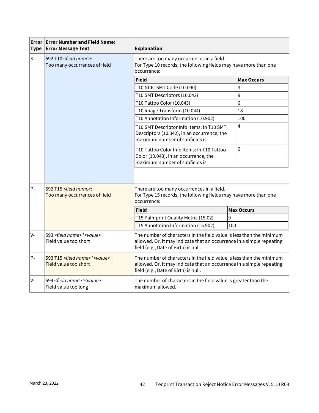| <b>Type</b> | <b>Error Error Number and Field Name:</b><br><b>Error Message Text</b>       | <b>Explanation</b>                                                                                                                                                                    |                   |
|-------------|------------------------------------------------------------------------------|---------------------------------------------------------------------------------------------------------------------------------------------------------------------------------------|-------------------|
| ls-         | 592 T10 <field name="">:<br/>Too many occurrences of field</field>           | There are too many occurrences in a field.<br>For Type 10 records, the following fields may have more than one<br>occurrence:                                                         |                   |
|             |                                                                              | Field                                                                                                                                                                                 | <b>Max Occurs</b> |
|             |                                                                              | T10 NCIC SMT Code (10.040)                                                                                                                                                            | 3                 |
|             |                                                                              | T10 SMT Descriptors (10.042)                                                                                                                                                          | 9                 |
|             |                                                                              | T10 Tattoo Color (10.043)                                                                                                                                                             | 6                 |
|             |                                                                              | T10 Image Transform (10.044)                                                                                                                                                          | 18                |
|             |                                                                              | T10 Annotation Information (10.902)                                                                                                                                                   | 100               |
|             |                                                                              | T10 SMT Descriptor Info Items: In T10 SMT<br>Descriptors (10.042), in an occurrence, the<br>maximum number of subfields is                                                            | 4                 |
|             |                                                                              | T10 Tattoo Color Info Items: In T10 Tattoo<br>Color (10.043), in an occurrence, the<br>maximum number of subfields is                                                                 | 6                 |
| lP-         | 592 T15 <field name="">:<br/>Too many occurrences of field</field>           | There are too many occurrences in a field.<br>For Type 15 records, the following fields may have more than one<br>occurrence:                                                         |                   |
|             |                                                                              | <b>Field</b>                                                                                                                                                                          | <b>Max Occurs</b> |
|             |                                                                              | T15 Palmprint Quality Metric (15.02)                                                                                                                                                  | 9                 |
|             |                                                                              | T15 Annotation Information (15.902)                                                                                                                                                   | 100               |
| lv-         | 593 <field name=""> '<value>':<br/>Field value too short</value></field>     | The number of characters in the field value is less than the minimum<br>allowed. Or, it may indicate that an occurrence in a simple repeating<br>field (e.g., Date of Birth) is null. |                   |
| lP-         | 593 T15 <field name=""> '<value>':<br/>Field value too short</value></field> | The number of characters in the field value is less than the minimum<br>allowed. Or, it may indicate that an occurrence in a simple repeating<br>field (e.g., Date of Birth) is null. |                   |
| lv-         | 594 <field name=""> '<value>':<br/>Field value too long</value></field>      | The number of characters in the field value is greater than the<br>maximum allowed.                                                                                                   |                   |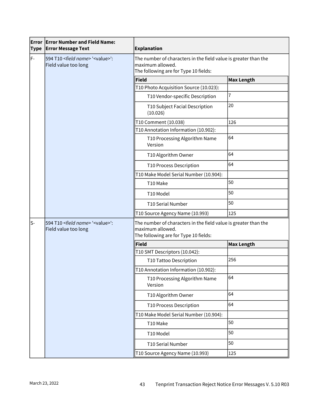| Error<br><b>Type</b> | <b>Error Number and Field Name:</b><br><b>Error Message Text</b>            | <b>Explanation</b>                                                                                                           |                   |  |
|----------------------|-----------------------------------------------------------------------------|------------------------------------------------------------------------------------------------------------------------------|-------------------|--|
| F-                   | 594 T10 <field name=""> '<value>':<br/>Field value too long</value></field> | The number of characters in the field value is greater than the<br>maximum allowed.<br>The following are for Type 10 fields: |                   |  |
|                      |                                                                             | Field                                                                                                                        | Max Length        |  |
|                      |                                                                             | T10 Photo Acquisition Source (10.023):                                                                                       |                   |  |
|                      |                                                                             | T10 Vendor-specific Description                                                                                              | 7                 |  |
|                      |                                                                             | T10 Subject Facial Description<br>(10.026)                                                                                   | 20                |  |
|                      |                                                                             | T10 Comment (10.038)                                                                                                         | 126               |  |
|                      |                                                                             | T10 Annotation Information (10.902):                                                                                         |                   |  |
|                      |                                                                             | T10 Processing Algorithm Name<br>Version                                                                                     | 64                |  |
|                      |                                                                             | T10 Algorithm Owner                                                                                                          | 64                |  |
|                      |                                                                             | T10 Process Description                                                                                                      | 64                |  |
|                      |                                                                             | T10 Make Model Serial Number (10.904):                                                                                       |                   |  |
|                      |                                                                             | T10 Make                                                                                                                     | 50                |  |
|                      |                                                                             | T10 Model                                                                                                                    | 50                |  |
|                      |                                                                             | T10 Serial Number                                                                                                            | 50                |  |
|                      |                                                                             | T10 Source Agency Name (10.993)                                                                                              | 125               |  |
| ls-                  | 594 T10 <field name=""> '<value>':<br/>Field value too long</value></field> | The number of characters in the field value is greater than the<br>maximum allowed.<br>The following are for Type 10 fields: |                   |  |
|                      |                                                                             | Field                                                                                                                        | <b>Max Length</b> |  |
|                      |                                                                             | T10 SMT Descriptors (10.042):                                                                                                |                   |  |
|                      |                                                                             | T10 Tattoo Description                                                                                                       | 256               |  |
|                      |                                                                             | T10 Annotation Information (10.902):                                                                                         |                   |  |
|                      |                                                                             | T10 Processing Algorithm Name<br>Version                                                                                     | 64                |  |
|                      |                                                                             | T10 Algorithm Owner                                                                                                          | 64                |  |
|                      |                                                                             | T10 Process Description                                                                                                      | 64                |  |
|                      |                                                                             | T10 Make Model Serial Number (10.904):                                                                                       |                   |  |
|                      |                                                                             | T10 Make                                                                                                                     | 50                |  |
|                      |                                                                             | T10 Model                                                                                                                    | 50                |  |
|                      |                                                                             | T10 Serial Number                                                                                                            | 50                |  |
|                      |                                                                             | T10 Source Agency Name (10.993)                                                                                              | 125               |  |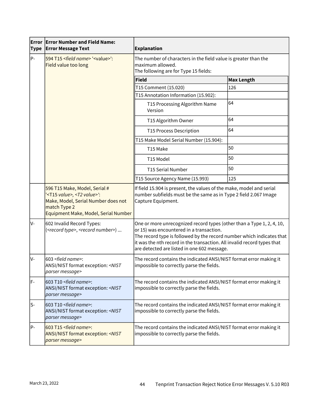| Error<br><b>Type</b> | <b>Error Number and Field Name:</b><br><b>Error Message Text</b>                                                                                                                | <b>Explanation</b>                                                                                                                                                                                                                                                                                                   |                   |
|----------------------|---------------------------------------------------------------------------------------------------------------------------------------------------------------------------------|----------------------------------------------------------------------------------------------------------------------------------------------------------------------------------------------------------------------------------------------------------------------------------------------------------------------|-------------------|
| P-                   | 594 T15 <field name=""> '<value>':<br/>Field value too long</value></field>                                                                                                     | The number of characters in the field value is greater than the<br>maximum allowed.<br>The following are for Type 15 fields:                                                                                                                                                                                         |                   |
|                      |                                                                                                                                                                                 | <b>Field</b>                                                                                                                                                                                                                                                                                                         | <b>Max Length</b> |
|                      |                                                                                                                                                                                 | T15 Comment (15.020)                                                                                                                                                                                                                                                                                                 | 126               |
|                      |                                                                                                                                                                                 | T15 Annotation Information (15.902):                                                                                                                                                                                                                                                                                 |                   |
|                      |                                                                                                                                                                                 | T15 Processing Algorithm Name<br>Version                                                                                                                                                                                                                                                                             | 64                |
|                      |                                                                                                                                                                                 | T15 Algorithm Owner                                                                                                                                                                                                                                                                                                  | 64                |
|                      |                                                                                                                                                                                 | T15 Process Description                                                                                                                                                                                                                                                                                              | 64                |
|                      |                                                                                                                                                                                 | T15 Make Model Serial Number (15.904):                                                                                                                                                                                                                                                                               |                   |
|                      |                                                                                                                                                                                 | T15 Make                                                                                                                                                                                                                                                                                                             | 50                |
|                      |                                                                                                                                                                                 | T15 Model                                                                                                                                                                                                                                                                                                            | 50                |
|                      |                                                                                                                                                                                 | T15 Serial Number                                                                                                                                                                                                                                                                                                    | 50                |
|                      |                                                                                                                                                                                 | T15 Source Agency Name (15.993)                                                                                                                                                                                                                                                                                      | 125               |
|                      | 596 T15 Make, Model, Serial #<br>' <t15 value="">, <t2 value="">':<br/>Make, Model, Serial Number does not<br/>match Type 2<br/>Equipment Make, Model, Serial Number</t2></t15> | If field 15.904 is present, the values of the make, model and serial<br>number subfields must be the same as in Type 2 field 2.067 Image<br>Capture Equipment.                                                                                                                                                       |                   |
| lv-                  | 602 Invalid Record Types:<br>( <record type="">, <record number="">)</record></record>                                                                                          | One or more unrecognized record types (other than a Type 1, 2, 4, 10,<br>or 15) was encountered in a transaction.<br>The record type is followed by the record number which indicates that<br>it was the nth record in the transaction. All invalid record types that<br>are detected are listed in one 602 message. |                   |
| Iv-                  | 603 <field name="">:<br/>ANSI/NIST format exception: <nist<br>parser message&gt;</nist<br></field>                                                                              | The record contains the indicated ANSI/NIST format error making it<br>impossible to correctly parse the fields.                                                                                                                                                                                                      |                   |
| F-                   | 603 T10 <field name="">:<br/>ANSI/NIST format exception: <nist<br>parser message&gt;</nist<br></field>                                                                          | The record contains the indicated ANSI/NIST format error making it<br>impossible to correctly parse the fields.                                                                                                                                                                                                      |                   |
| $S-$                 | 603 T10 <field name="">:<br/>ANSI/NIST format exception: <nist<br>parser message&gt;</nist<br></field>                                                                          | The record contains the indicated ANSI/NIST format error making it<br>impossible to correctly parse the fields.                                                                                                                                                                                                      |                   |
| P-                   | 603 T15 <field name="">:<br/><b>ANSI/NIST format exception: <nist< b=""><br/>parser message&gt;</nist<></b></field>                                                             | The record contains the indicated ANSI/NIST format error making it<br>impossible to correctly parse the fields.                                                                                                                                                                                                      |                   |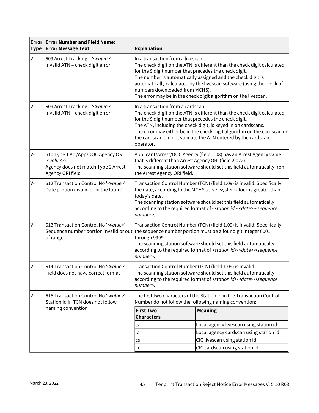| <b>Error</b><br><b>Type</b> | <b>Error Number and Field Name:</b><br><b>Error Message Text</b>                                                      | <b>Explanation</b>                                                                                                                                                                                                                                                                                                                                                                                                |                                                                                                                                |  |
|-----------------------------|-----------------------------------------------------------------------------------------------------------------------|-------------------------------------------------------------------------------------------------------------------------------------------------------------------------------------------------------------------------------------------------------------------------------------------------------------------------------------------------------------------------------------------------------------------|--------------------------------------------------------------------------------------------------------------------------------|--|
| V-                          | 609 Arrest Tracking # ' <value>':<br/>Invalid ATN - check digit error</value>                                         | In a transaction from a livescan:<br>The check digit on the ATN is different than the check digit calculated<br>for the 9 digit number that precedes the check digit.<br>The number is automatically assigned and the check digit is<br>automatically calculated by the livescan software (using the block of<br>numbers downloaded from MCHS).<br>The error may be in the check digit algorithm on the livescan. |                                                                                                                                |  |
| lv-                         | 609 Arrest Tracking # ' <value>':<br/>Invalid ATN - check digit error</value>                                         | In a transaction from a cardscan:<br>The check digit on the ATN is different than the check digit calculated<br>for the 9 digit number that precedes the check digit.<br>The ATN, including the check digit, is keyed in on cardscans.<br>The error may either be in the check digit algorithm on the cardscan or<br>the cardscan did not validate the ATN entered by the cardscan<br>operator.                   |                                                                                                                                |  |
| lv-                         | 610 Type 1 Arr/App/DOC Agency ORI<br>' <value>':<br/>Agency does not match Type 2 Arrest<br/>Agency ORI field</value> | Applicant/Arrest/DOC Agency (field 1.08) has an Arrest Agency value<br>that is different than Arrest Agency ORI (field 2.072).<br>The scanning station software should set this field automatically from<br>the Arrest Agency ORI field.                                                                                                                                                                          |                                                                                                                                |  |
| lv-                         | 612 Transaction Control No ' <value>':<br/>Date portion invalid or in the future</value>                              | Transaction Control Number (TCN) (field 1.09) is invalid. Specifically,<br>the date, according to the MCHS server system clock is greater than<br>today's date.<br>The scanning station software should set this field automatically<br>according to the required format of <station id="">-<date>-<sequence<br>number&gt;.</sequence<br></date></station>                                                        |                                                                                                                                |  |
| lv-                         | 613 Transaction Control No ' <value>':<br/>of range</value>                                                           | Transaction Control Number (TCN) (field 1.09) is invalid. Specifically,<br>Sequence number portion invalid or out the sequence number portion must be a four digit integer 0001<br>through 9999.<br>The scanning station software should set this field automatically<br>according to the required format of <station id="">-<date>-<sequence<br>number&gt;.</sequence<br></date></station>                       |                                                                                                                                |  |
| V-                          | 614 Transaction Control No ' <value>':<br/>Field does not have correct format</value>                                 | Transaction Control Number (TCN) (field 1.09) is invalid.<br>The scanning station software should set this field automatically<br>according to the required format of <station id="">-<date>-<sequence<br>number&gt;.</sequence<br></date></station>                                                                                                                                                              |                                                                                                                                |  |
| IV-                         | 615 Transaction Control No ' <value>':<br/>Station Id in TCN does not follow</value>                                  |                                                                                                                                                                                                                                                                                                                                                                                                                   | The first two characters of the Station Id in the Transaction Control<br>Number do not follow the following naming convention: |  |
|                             | naming convention                                                                                                     | <b>First Two</b><br><b>Characters</b>                                                                                                                                                                                                                                                                                                                                                                             | <b>Meaning</b>                                                                                                                 |  |
|                             |                                                                                                                       | ls                                                                                                                                                                                                                                                                                                                                                                                                                | Local agency livescan using station id                                                                                         |  |
|                             |                                                                                                                       | lc                                                                                                                                                                                                                                                                                                                                                                                                                | Local agency cardscan using station id                                                                                         |  |
|                             |                                                                                                                       | <b>CS</b>                                                                                                                                                                                                                                                                                                                                                                                                         | CIC livescan using station id                                                                                                  |  |
|                             |                                                                                                                       | cc                                                                                                                                                                                                                                                                                                                                                                                                                | CIC cardscan using station id                                                                                                  |  |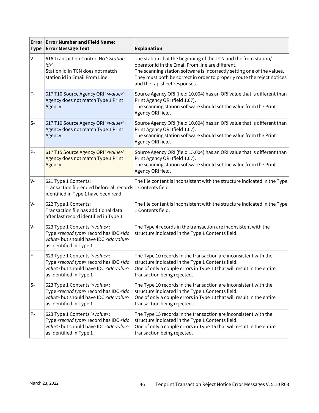| <b>Type</b> | <b>Error Error Number and Field Name:</b><br><b>Error Message Text</b>                                                                                                                   | <b>Explanation</b>                                                                                                                                                                                                                                                                                          |
|-------------|------------------------------------------------------------------------------------------------------------------------------------------------------------------------------------------|-------------------------------------------------------------------------------------------------------------------------------------------------------------------------------------------------------------------------------------------------------------------------------------------------------------|
| V-          | 616 Transaction Control No ' <station<br><math>id</math>&gt;':<br/>Station Id in TCN does not match<br/>station id in Email From Line</station<br>                                       | The station id at the beginning of the TCN and the from station/<br>operator id in the Email From line are different.<br>The scanning station software is incorrectly setting one of the values.<br>They must both be correct in order to properly route the reject notices<br>and the rap sheet responses. |
| F-          | 617 T10 Source Agency ORI ' <value>':<br/>Agency does not match Type 1 Print<br/>Agency</value>                                                                                          | Source Agency ORI (field 10.004) has an ORI value that is different than<br>Print Agency ORI (field 1.07).<br>The scanning station software should set the value from the Print<br>Agency ORI field.                                                                                                        |
| ls-         | 617 T10 Source Agency ORI ' <value>':<br/>Agency does not match Type 1 Print<br/>Agency</value>                                                                                          | Source Agency ORI (field 10.004) has an ORI value that is different than<br>Print Agency ORI (field 1.07).<br>The scanning station software should set the value from the Print<br>Agency ORI field.                                                                                                        |
| $P -$       | 617 T15 Source Agency ORI ' <value>':<br/>Agency does not match Type 1 Print<br/>Agency</value>                                                                                          | Source Agency ORI (field 15.004) has an ORI value that is different than<br>Print Agency ORI (field 1.07).<br>The scanning station software should set the value from the Print<br>Agency ORI field.                                                                                                        |
| V-          | 621 Type 1 Contents:<br>Transaction file ended before all records $ 1$ Contents field.<br>identified in Type 1 have been read                                                            | The file content is inconsistent with the structure indicated in the Type                                                                                                                                                                                                                                   |
| V-          | 622 Type 1 Contents:<br>Transaction file has additional data<br>after last record identified in Type 1                                                                                   | The file content is inconsistent with the structure indicated in the Type<br>1 Contents field.                                                                                                                                                                                                              |
| IV-         | 623 Type 1 Contents ' <value>:<br/>Type <record type=""> record has IDC <idc<br>value&gt; but should have IDC <idc value=""><br/>as identified in Type 1</idc></idc<br></record></value> | The Type 4 records in the transaction are inconsistent with the<br>structure indicated in the Type 1 Contents field.                                                                                                                                                                                        |
| F-          | 623 Type 1 Contents ' <value>:<br/>Type <record type=""> record has IDC <idc<br>value&gt; but should have IDC <idc value=""><br/>as identified in Type 1</idc></idc<br></record></value> | The Type 10 records in the transaction are inconsistent with the<br>structure indicated in the Type 1 Contents field.<br>One of only a couple errors in Type 10 that will result in the entire<br>transaction being rejected.                                                                               |
| $S-$        | 623 Type 1 Contents ' <value>:<br/>Type <record type=""> record has IDC <idc<br>value&gt; but should have IDC <idc value=""><br/>as identified in Type 1</idc></idc<br></record></value> | The Type 10 records in the transaction are inconsistent with the<br>structure indicated in the Type 1 Contents field.<br>One of only a couple errors in Type 10 that will result in the entire<br>transaction being rejected.                                                                               |
| P-          | 623 Type 1 Contents ' <value>:<br/>Type <record type=""> record has IDC <idc<br>value&gt; but should have IDC <idc value=""><br/>as identified in Type 1</idc></idc<br></record></value> | The Type 15 records in the transaction are inconsistent with the<br>structure indicated in the Type 1 Contents field.<br>One of only a couple errors in Type 15 that will result in the entire<br>transaction being rejected.                                                                               |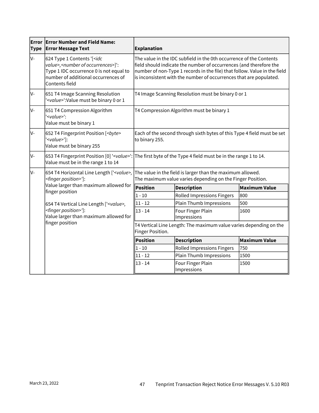| Error<br><b>Type</b> | <b>Error Number and Field Name:</b><br><b>Error Message Text</b>                                                                                                                                   | <b>Explanation</b>                                                                                                                                                                                                                                                                           |                                                    |                      |  |
|----------------------|----------------------------------------------------------------------------------------------------------------------------------------------------------------------------------------------------|----------------------------------------------------------------------------------------------------------------------------------------------------------------------------------------------------------------------------------------------------------------------------------------------|----------------------------------------------------|----------------------|--|
| lv-                  | 624 Type 1 Contents '[ <idc<br>value&gt;,<number occurrences="" of="">]':<br/>Type 1 IDC occurrence 0 is not equal to<br/>number of additional occurrences of<br/>Contents field</number></idc<br> | The value in the IDC subfield in the 0th occurrence of the Contents<br>field should indicate the number of occurrences (and therefore the<br>number of non-Type 1 records in the file) that follow. Value in the field<br>is inconsistent with the number of occurrences that are populated. |                                                    |                      |  |
| V-                   | 651 T4 Image Scanning Resolution<br><value>':Value must be binary 0 or 1</value>                                                                                                                   |                                                                                                                                                                                                                                                                                              | T4 Image Scanning Resolution must be binary 0 or 1 |                      |  |
| lv-                  | 651 T4 Compression Algorithm<br>' <value>':<br/>Value must be binary 1</value>                                                                                                                     |                                                                                                                                                                                                                                                                                              | T4 Compression Algorithm must be binary 1          |                      |  |
| lv-                  | 652 T4 Fingerprint Position [ <byte><br/>'<value>']:<br/>Value must be binary 255</value></byte>                                                                                                   | Each of the second through sixth bytes of this Type 4 field must be set<br>to binary 255.                                                                                                                                                                                                    |                                                    |                      |  |
| IV-                  | Value must be in the range 1 to 14                                                                                                                                                                 | 653 T4 Fingerprint Position [0] ' <value>': The first byte of the Type 4 field must be in the range 1 to 14.</value>                                                                                                                                                                         |                                                    |                      |  |
| lv-                  | 654 T4 Horizontal Line Length [' <value>,<br/><finger position="">']:</finger></value>                                                                                                             | The value in the field is larger than the maximum allowed.<br>The maximum value varies depending on the Finger Position.                                                                                                                                                                     |                                                    |                      |  |
|                      | Value larger than maximum allowed for<br>finger position                                                                                                                                           | Position                                                                                                                                                                                                                                                                                     | <b>Description</b>                                 | <b>Maximum Value</b> |  |
|                      |                                                                                                                                                                                                    | $1 - 10$                                                                                                                                                                                                                                                                                     | <b>Rolled Impressions Fingers</b>                  | 800                  |  |
|                      | 654 T4 Vertical Line Length [' <value>,<br/><finger position="">']:<br/>Value larger than maximum allowed for<br/>finger position</finger></value>                                                 | $11 - 12$                                                                                                                                                                                                                                                                                    | <b>Plain Thumb Impressions</b>                     | 500                  |  |
|                      |                                                                                                                                                                                                    | $13 - 14$                                                                                                                                                                                                                                                                                    | Four Finger Plain<br>Impressions                   | 1600                 |  |
|                      |                                                                                                                                                                                                    | T4 Vertical Line Length: The maximum value varies depending on the<br>Finger Position.                                                                                                                                                                                                       |                                                    |                      |  |
|                      |                                                                                                                                                                                                    | <b>Position</b>                                                                                                                                                                                                                                                                              | <b>Description</b>                                 | <b>Maximum Value</b> |  |
|                      |                                                                                                                                                                                                    | $1 - 10$                                                                                                                                                                                                                                                                                     | <b>Rolled Impressions Fingers</b>                  | 750                  |  |
|                      |                                                                                                                                                                                                    | $11 - 12$                                                                                                                                                                                                                                                                                    | <b>Plain Thumb Impressions</b>                     | 1500                 |  |
|                      |                                                                                                                                                                                                    | $13 - 14$                                                                                                                                                                                                                                                                                    | Four Finger Plain<br>Impressions                   | 1500                 |  |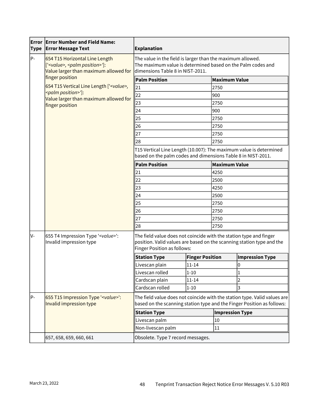| <b>Type</b> | <b>Error Error Number and Field Name:</b><br><b>Error Message Text</b>                                                       | <b>Explanation</b>                                                                                                                                            |                        |                        |                                                                       |  |
|-------------|------------------------------------------------------------------------------------------------------------------------------|---------------------------------------------------------------------------------------------------------------------------------------------------------------|------------------------|------------------------|-----------------------------------------------------------------------|--|
| $P -$       | 654 T15 Horizontal Line Length<br>[' <value>, <palm position="">']:<br/>Value larger than maximum allowed for</palm></value> | The value in the field is larger than the maximum allowed.<br>The maximum value is determined based on the Palm codes and<br>dimensions Table 8 in NIST-2011. |                        |                        |                                                                       |  |
|             | finger position                                                                                                              | <b>Palm Position</b>                                                                                                                                          |                        | <b>Maximum Value</b>   |                                                                       |  |
|             | 654 T15 Vertical Line Length [' <value>,</value>                                                                             | 21                                                                                                                                                            |                        | 2750                   |                                                                       |  |
|             | <palm position="">']:<br/>Value larger than maximum allowed for</palm>                                                       | 22                                                                                                                                                            |                        | 900                    |                                                                       |  |
|             | finger position                                                                                                              | 23                                                                                                                                                            |                        | 2750                   |                                                                       |  |
|             |                                                                                                                              | 24                                                                                                                                                            |                        | 900                    |                                                                       |  |
|             |                                                                                                                              | 25                                                                                                                                                            |                        | 2750                   |                                                                       |  |
|             |                                                                                                                              | 26                                                                                                                                                            |                        | 2750                   |                                                                       |  |
|             |                                                                                                                              | 27                                                                                                                                                            |                        | 2750                   |                                                                       |  |
|             |                                                                                                                              | 28                                                                                                                                                            |                        | 2750                   |                                                                       |  |
|             |                                                                                                                              | T15 Vertical Line Length (10.007): The maximum value is determined<br>based on the palm codes and dimensions Table 8 in NIST-2011.                            |                        |                        |                                                                       |  |
|             |                                                                                                                              | <b>Palm Position</b>                                                                                                                                          |                        | <b>Maximum Value</b>   |                                                                       |  |
|             |                                                                                                                              | 21                                                                                                                                                            |                        | 4250                   |                                                                       |  |
|             |                                                                                                                              | 22                                                                                                                                                            |                        | 2500                   |                                                                       |  |
|             |                                                                                                                              | 23                                                                                                                                                            |                        | 4250                   |                                                                       |  |
|             |                                                                                                                              | 24                                                                                                                                                            |                        | 2500                   |                                                                       |  |
|             |                                                                                                                              | 25                                                                                                                                                            |                        | 2750                   |                                                                       |  |
|             |                                                                                                                              | 26                                                                                                                                                            |                        | 2750                   |                                                                       |  |
|             |                                                                                                                              | 27                                                                                                                                                            |                        | 2750                   |                                                                       |  |
|             |                                                                                                                              | 28                                                                                                                                                            |                        | 2750                   |                                                                       |  |
| lv-         | 655 T4 Impression Type ' <value>':<br/>Invalid impression type</value>                                                       | The field value does not coincide with the station type and finger<br><b>Finger Position as follows:</b>                                                      |                        |                        | position. Valid values are based on the scanning station type and the |  |
|             |                                                                                                                              | <b>Station Type</b>                                                                                                                                           | <b>Finger Position</b> |                        | <b>Impression Type</b>                                                |  |
|             |                                                                                                                              | Livescan plain                                                                                                                                                | $11 - 14$              |                        | 0                                                                     |  |
|             |                                                                                                                              | Livescan rolled                                                                                                                                               | 1-10                   |                        | Ŧ                                                                     |  |
|             |                                                                                                                              | Cardscan plain                                                                                                                                                | $11 - 14$              |                        | $\overline{2}$                                                        |  |
|             |                                                                                                                              | Cardscan rolled                                                                                                                                               | $1 - 10$               |                        | 3                                                                     |  |
| $P -$       | 655 T15 Impression Type ' <value>':<br/>Invalid impression type</value>                                                      | The field value does not coincide with the station type. Valid values are<br>based on the scanning station type and the Finger Position as follows:           |                        |                        |                                                                       |  |
|             |                                                                                                                              | <b>Station Type</b>                                                                                                                                           |                        | <b>Impression Type</b> |                                                                       |  |
|             |                                                                                                                              | Livescan palm                                                                                                                                                 |                        | 10                     |                                                                       |  |
|             |                                                                                                                              | Non-livescan palm                                                                                                                                             |                        | 11                     |                                                                       |  |
|             | 657, 658, 659, 660, 661                                                                                                      | Obsolete. Type 7 record messages.                                                                                                                             |                        |                        |                                                                       |  |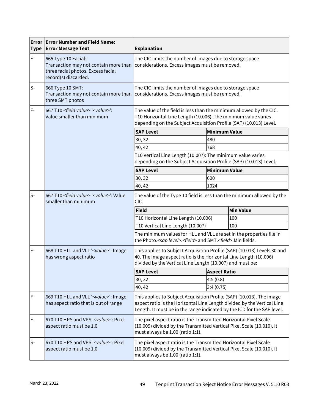| <b>Type</b> | <b>Error Error Number and Field Name:</b><br><b>Error Message Text</b>                                                     | <b>Explanation</b>                                                                                                                                                                                                          |                                                                                                            |                  |
|-------------|----------------------------------------------------------------------------------------------------------------------------|-----------------------------------------------------------------------------------------------------------------------------------------------------------------------------------------------------------------------------|------------------------------------------------------------------------------------------------------------|------------------|
| F-          | 665 Type 10 Facial:<br>Transaction may not contain more than<br>three facial photos. Excess facial<br>record(s) discarded. |                                                                                                                                                                                                                             | The CIC limits the number of images due to storage space<br>considerations. Excess images must be removed. |                  |
| ls-         | 666 Type 10 SMT:<br>Transaction may not contain more than<br>three SMT photos                                              | The CIC limits the number of images due to storage space<br>considerations. Excess images must be removed.                                                                                                                  |                                                                                                            |                  |
| lF-         | 667 T10 <field value=""> '<value>':<br/>Value smaller than minimum</value></field>                                         | The value of the field is less than the minimum allowed by the CIC.<br>T10 Horizontal Line Length (10.006): The minimum value varies<br>depending on the Subject Acquisition Profile (SAP) (10.013) Level.                  |                                                                                                            |                  |
|             |                                                                                                                            | <b>SAP Level</b>                                                                                                                                                                                                            | <b>Minimum Value</b>                                                                                       |                  |
|             |                                                                                                                            | 30, 32                                                                                                                                                                                                                      | 480                                                                                                        |                  |
|             |                                                                                                                            | 40, 42                                                                                                                                                                                                                      | 768                                                                                                        |                  |
|             |                                                                                                                            | T10 Vertical Line Length (10.007): The minimum value varies<br>depending on the Subject Acquisition Profile (SAP) (10.013) Level.                                                                                           |                                                                                                            |                  |
|             |                                                                                                                            | <b>SAP Level</b>                                                                                                                                                                                                            | <b>Minimum Value</b>                                                                                       |                  |
|             |                                                                                                                            | 30, 32                                                                                                                                                                                                                      | 600                                                                                                        |                  |
|             |                                                                                                                            | 40, 42                                                                                                                                                                                                                      | 1024                                                                                                       |                  |
| ls-         | 667 T10 <field value=""> '<value>': Value<br/>smaller than minimum</value></field>                                         | The value of the Type 10 field is less than the minimum allowed by the<br>CIC.                                                                                                                                              |                                                                                                            |                  |
|             |                                                                                                                            | Field                                                                                                                                                                                                                       |                                                                                                            | <b>Min Value</b> |
|             |                                                                                                                            | T10 Horizontal Line Length (10.006)                                                                                                                                                                                         |                                                                                                            | 100              |
|             |                                                                                                                            | T10 Vertical Line Length (10.007)                                                                                                                                                                                           |                                                                                                            | 100              |
|             |                                                                                                                            | The minimum values for HLL and VLL are set in the properties file in<br>the Photo. <sap level="">.<field> and SMT.<field>.Min fields.</field></field></sap>                                                                 |                                                                                                            |                  |
| lF-         | 668 T10 HLL and VLL ' <value>': Image<br/>has wrong aspect ratio</value>                                                   | This applies to Subject Acquisition Profile (SAP) (10.013) Levels 30 and<br>40. The image aspect ratio is the Horizontal Line Length (10.006)<br>divided by the Vertical Line Length (10.007) and must be:                  |                                                                                                            |                  |
|             |                                                                                                                            | <b>SAP Level</b>                                                                                                                                                                                                            | Aspect Ratio                                                                                               |                  |
|             |                                                                                                                            | 30, 32                                                                                                                                                                                                                      | 4:5(0.8)                                                                                                   |                  |
|             |                                                                                                                            | 40, 42                                                                                                                                                                                                                      | 3:4(0.75)                                                                                                  |                  |
| lF-         | 669 T10 HLL and VLL ' <value>': Image<br/>has aspect ratio that is out of range</value>                                    | This applies to Subject Acquisition Profile (SAP) (10.013). The image<br>aspect ratio is the Horizontal Line Length divided by the Vertical Line<br>Length. It must be in the range indicated by the ICD for the SAP level. |                                                                                                            |                  |
| F-          | 670 T10 HPS and VPS ' <value>': Pixel<br/>aspect ratio must be 1.0</value>                                                 | The pixel aspect ratio is the Transmitted Horizontal Pixel Scale<br>(10.009) divided by the Transmitted Vertical Pixel Scale (10.010). It<br>must always be 1.00 (ratio 1:1).                                               |                                                                                                            |                  |
| ls-         | 670 T10 HPS and VPS ' <value>': Pixel<br/>aspect ratio must be 1.0</value>                                                 | The pixel aspect ratio is the Transmitted Horizontal Pixel Scale<br>(10.009) divided by the Transmitted Vertical Pixel Scale (10.010). It<br>must always be 1.00 (ratio 1:1).                                               |                                                                                                            |                  |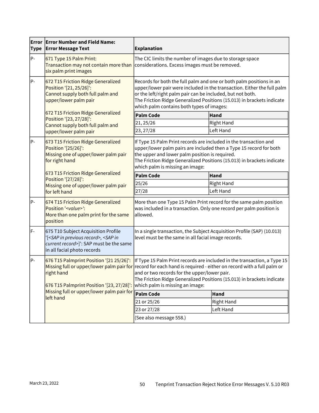| <b>Type</b> | <b>Error Error Number and Field Name:</b><br><b>Error Message Text</b>                                                                                                                                                                                                                                                                                                                                                                                            | <b>Explanation</b>                                                                                                                                                                                                                                                                                                                                                                                   |                   |  |
|-------------|-------------------------------------------------------------------------------------------------------------------------------------------------------------------------------------------------------------------------------------------------------------------------------------------------------------------------------------------------------------------------------------------------------------------------------------------------------------------|------------------------------------------------------------------------------------------------------------------------------------------------------------------------------------------------------------------------------------------------------------------------------------------------------------------------------------------------------------------------------------------------------|-------------------|--|
| $P -$       | 671 Type 15 Palm Print:<br>Transaction may not contain more than<br>six palm print images                                                                                                                                                                                                                                                                                                                                                                         | The CIC limits the number of images due to storage space<br>considerations. Excess images must be removed.                                                                                                                                                                                                                                                                                           |                   |  |
| P-          | 672 T15 Friction Ridge Generalized<br>Records for both the full palm and one or both palm positions in an<br>upper/lower pair were included in the transaction. Either the full palm<br>Position '[21, 25/26]':<br>Cannot supply both full palm and<br>or the left/right palm pair can be included, but not both.<br>upper/lower palm pair<br>The Friction Ridge Generalized Positions (15.013) in brackets indicate<br>which palm contains both types of images: |                                                                                                                                                                                                                                                                                                                                                                                                      |                   |  |
|             | 672 T15 Friction Ridge Generalized<br>Position '[23, 27/28]':                                                                                                                                                                                                                                                                                                                                                                                                     | <b>Palm Code</b>                                                                                                                                                                                                                                                                                                                                                                                     | Hand              |  |
|             | Cannot supply both full palm and                                                                                                                                                                                                                                                                                                                                                                                                                                  | 21, 25/26                                                                                                                                                                                                                                                                                                                                                                                            | <b>Right Hand</b> |  |
|             | upper/lower palm pair                                                                                                                                                                                                                                                                                                                                                                                                                                             | 23, 27/28                                                                                                                                                                                                                                                                                                                                                                                            | Left Hand         |  |
| $P -$       | 673 T15 Friction Ridge Generalized<br>Position '[25/26]':<br>Missing one of upper/lower palm pair<br>for right hand<br>673 T15 Friction Ridge Generalized<br>Position '[27/28]':<br>Missing one of upper/lower palm pair<br>for left hand                                                                                                                                                                                                                         | If Type 15 Palm Print records are included in the transaction and<br>upper/lower palm pairs are included then a Type 15 record for both<br>the upper and lower palm position is required.<br>The Friction Ridge Generalized Positions (15.013) in brackets indicate<br>which palm is missing an image:                                                                                               |                   |  |
|             |                                                                                                                                                                                                                                                                                                                                                                                                                                                                   | <b>Palm Code</b>                                                                                                                                                                                                                                                                                                                                                                                     | Hand              |  |
|             |                                                                                                                                                                                                                                                                                                                                                                                                                                                                   | 25/26                                                                                                                                                                                                                                                                                                                                                                                                | <b>Right Hand</b> |  |
|             |                                                                                                                                                                                                                                                                                                                                                                                                                                                                   | 27/28                                                                                                                                                                                                                                                                                                                                                                                                | Left Hand         |  |
| P-          | 674 T15 Friction Ridge Generalized<br>Position ' <value>':<br/>More than one palm print for the same<br/>position</value>                                                                                                                                                                                                                                                                                                                                         | More than one Type 15 Palm Print record for the same palm position<br>was included in a transaction. Only one record per palm position is<br>allowed.                                                                                                                                                                                                                                                |                   |  |
| F-          | 675 T10 Subject Acquisition Profile<br>[ <sap in="" previous="" record="">, <sap in<br="">current record&gt;]': SAP must be the same<br/>in all facial photo records</sap></sap>                                                                                                                                                                                                                                                                                  | In a single transaction, the Subject Acquisition Profile (SAP) (10.013)<br>level must be the same in all facial image records.                                                                                                                                                                                                                                                                       |                   |  |
| P-          | right hand<br>676 T15 Palmprint Position '[23, 27/28]':                                                                                                                                                                                                                                                                                                                                                                                                           | 676 T15 Palmprint Position '[21 25/26]':  If Type 15 Palm Print records are included in the transaction, a Type 15<br>Missing full or upper/lower palm pair for record for each hand is required - either on record with a full palm or<br>and or two records for the upper/lower pair.<br>The Friction Ridge Generalized Positions (15.013) in brackets indicate<br>which palm is missing an image: |                   |  |
|             | Missing full or upper/lower palm pair for <b>Palm Code</b><br>left hand                                                                                                                                                                                                                                                                                                                                                                                           |                                                                                                                                                                                                                                                                                                                                                                                                      | Hand              |  |
|             |                                                                                                                                                                                                                                                                                                                                                                                                                                                                   | 21 or 25/26                                                                                                                                                                                                                                                                                                                                                                                          | Right Hand        |  |
|             |                                                                                                                                                                                                                                                                                                                                                                                                                                                                   | 23 or 27/28                                                                                                                                                                                                                                                                                                                                                                                          | Left Hand         |  |
|             |                                                                                                                                                                                                                                                                                                                                                                                                                                                                   | (See also message 558.)                                                                                                                                                                                                                                                                                                                                                                              |                   |  |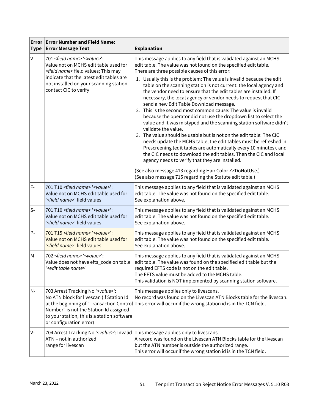| Error<br><b>Type</b> | <b>Error Number and Field Name:</b><br><b>Error Message Text</b>                                                                                                                                               | <b>Explanation</b>                                                                                                                                                                                                                                                                                                                                                                                                                                                                                                                                                                                                                                                                                                                                                                                                               |
|----------------------|----------------------------------------------------------------------------------------------------------------------------------------------------------------------------------------------------------------|----------------------------------------------------------------------------------------------------------------------------------------------------------------------------------------------------------------------------------------------------------------------------------------------------------------------------------------------------------------------------------------------------------------------------------------------------------------------------------------------------------------------------------------------------------------------------------------------------------------------------------------------------------------------------------------------------------------------------------------------------------------------------------------------------------------------------------|
| V-                   | 701 <field name=""> '<value>':<br/>Value not on MCHS edit table used for<br/><field name=""> field values; This may<br/>indicate that the latest edit tables are</field></value></field>                       | This message applies to any field that is validated against an MCHS<br>edit table. The value was not found on the specified edit table.<br>There are three possible causes of this error:<br>1. Usually this is the problem: The value is invalid because the edit                                                                                                                                                                                                                                                                                                                                                                                                                                                                                                                                                               |
|                      | not installed on your scanning station -<br>contact CIC to verify                                                                                                                                              | table on the scanning station is not current: the local agency and<br>the vendor need to ensure that the edit tables are installed. If<br>necessary, the local agency or vendor needs to request that CIC<br>send a new Edit Table Download message.<br>2. This is the second most common cause: The value is invalid<br>because the operator did not use the dropdown list to select the<br>value and it was mistyped and the scanning station software didn't<br>validate the value.<br>3. The value should be usable but is not on the edit table: The CIC<br>needs update the MCHS table, the edit tables must be refreshed in<br>Prescreening (edit tables are automatically every 10 minutes). and<br>the CIC needs to download the edit tables. Then the CIC and local<br>agency needs to verify that they are installed. |
|                      |                                                                                                                                                                                                                | (See also message 413 regarding Hair Color ZZDoNotUse.)<br>(See also message 715 regarding the Statute edit table.)                                                                                                                                                                                                                                                                                                                                                                                                                                                                                                                                                                                                                                                                                                              |
| $F -$                | 701 T10 <field name=""> '<value>':<br/>Value not on MCHS edit table used for<br/>'<field name="">' field values</field></value></field>                                                                        | This message applies to any field that is validated against an MCHS<br>edit table. The value was not found on the specified edit table.<br>See explanation above.                                                                                                                                                                                                                                                                                                                                                                                                                                                                                                                                                                                                                                                                |
| ls-                  | 701 T10 <field name=""> '<value>':<br/>Value not on MCHS edit table used for<br/>'<field name="">' field values</field></value></field>                                                                        | This message applies to any field that is validated against an MCHS<br>edit table. The value was not found on the specified edit table.<br>See explanation above.                                                                                                                                                                                                                                                                                                                                                                                                                                                                                                                                                                                                                                                                |
| lP-                  | 701 T15 <field name=""> '<value>':<br/>Value not on MCHS edit table used for<br/>'<field name="">' field values</field></value></field>                                                                        | This message applies to any field that is validated against an MCHS<br>edit table. The value was not found on the specified edit table.<br>See explanation above.                                                                                                                                                                                                                                                                                                                                                                                                                                                                                                                                                                                                                                                                |
| M-                   | 702 <field name=""> '<value>':<br/>Value does not have efts_code on table<br/>'<edit name="" table="">'</edit></value></field>                                                                                 | This message applies to any field that is validated against an MCHS<br>edit table. The value was found on the specified edit table but the<br>required EFTS code is not on the edit table.<br>The EFTS value must be added to the MCHS table.<br>This validation is NOT implemented by scanning station software.                                                                                                                                                                                                                                                                                                                                                                                                                                                                                                                |
| N-                   | 703 Arrest Tracking No ' <value>':<br/>No ATN block for livescan (If Station Id<br/>Number" is not the Station Id assigned<br/>to your station, this is a station software<br/>or configuration error)</value> | This message applies only to livescans.<br>No record was found on the Livescan ATN Blocks table for the livescan.<br>at the beginning of "Transaction Control This error will occur if the wrong station id is in the TCN field.                                                                                                                                                                                                                                                                                                                                                                                                                                                                                                                                                                                                 |
| IV-                  | 704 Arrest Tracking No ' <value>': Invalid<br/>ATN - not in authorized<br/>range for livescan</value>                                                                                                          | This message applies only to livescans.<br>A record was found on the Livescan ATN Blocks table for the livescan<br>but the ATN number is outside the authorized range.<br>This error will occur if the wrong station id is in the TCN field.                                                                                                                                                                                                                                                                                                                                                                                                                                                                                                                                                                                     |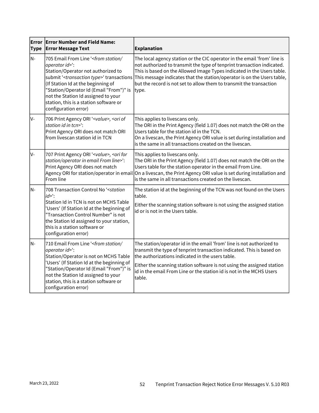| <b>Type</b> | <b>Error Error Number and Field Name:</b><br><b>Error Message Text</b>                                                                                                                                                                                                                                                                                                     | <b>Explanation</b>                                                                                                                                                                                                                                                                                                                                                                      |
|-------------|----------------------------------------------------------------------------------------------------------------------------------------------------------------------------------------------------------------------------------------------------------------------------------------------------------------------------------------------------------------------------|-----------------------------------------------------------------------------------------------------------------------------------------------------------------------------------------------------------------------------------------------------------------------------------------------------------------------------------------------------------------------------------------|
| N-          | 705 Email From Line ' <from <br="" station="">operator id&gt;':<br/>Station/Operator not authorized to<br/>submit '<transaction type="">' transactions<br/>(If Station Id at the beginning of<br/>"Station/Operator Id (Email "From")" is<br/>not the Station Id assigned to your<br/>station, this is a station software or<br/>configuration error)</transaction></from> | The local agency station or the CIC operator in the email 'from' line is<br>not authorized to transmit the type of tenprint transaction indicated.<br>This is based on the Allowed Image Types indicated in the Users table.<br>This message indicates that the station/operator is on the Users table,<br>but the record is not set to allow them to transmit the transaction<br>type. |
| lv-         | 706 Print Agency ORI ' <value>, <ori of<br="">station id in tcn&gt;':<br/>Print Agency ORI does not match ORI<br/>from livescan station id in TCN</ori></value>                                                                                                                                                                                                            | This applies to livescans only.<br>The ORI in the Print Agency (field 1.07) does not match the ORI on the<br>Users table for the station id in the TCN.<br>On a livescan, the Print Agency ORI value is set during installation and<br>is the same in all transactions created on the livescan.                                                                                         |
| V-          | 707 Print Agency ORI ' <value>, <ori for<br="">station/operator in email From line&gt;':<br/>Print Agency ORI does not match<br/>Agency ORI for station/operator in email<br/>From line</ori></value>                                                                                                                                                                      | This applies to livescans only.<br>The ORI in the Print Agency (field 1.07) does not match the ORI on the<br>Users table for the station operator in the email From Line.<br>On a livescan, the Print Agency ORI value is set during installation and<br>is the same in all transactions created on the livescan.                                                                       |
| N-          | 708 Transaction Control No ' <station<br><math>id</math>&gt;':<br/>Station Id in TCN is not on MCHS Table<br/>'Users' (If Station Id at the beginning of<br/>"Transaction Control Number" is not<br/>the Station Id assigned to your station,<br/>this is a station software or<br/>configuration error)</station<br>                                                      | The station id at the beginning of the TCN was not found on the Users<br>table.<br>Either the scanning station software is not using the assigned station<br>id or is not in the Users table.                                                                                                                                                                                           |
| N-          | 710 Email From Line ' <from <br="" station="">operator id&gt;':<br/>Station/Operator is not on MCHS Table<br/>'Users' (If Station Id at the beginning of<br/>"Station/Operator Id (Email "From")" is<br/>not the Station Id assigned to your<br/>station, this is a station software or<br/>configuration error)</from>                                                    | The station/operator id in the email 'from' line is not authorized to<br>transmit the type of tenprint transaction indicated. This is based on<br>the authorizations indicated in the users table.<br>Either the scanning station software is not using the assigned station<br>id in the email From Line or the station id is not in the MCHS Users<br>table.                          |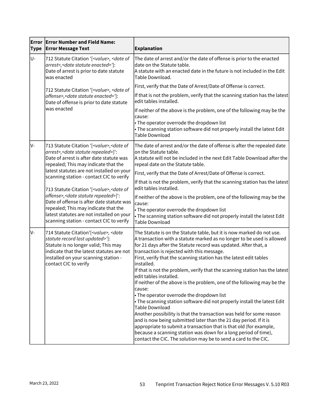| <b>Type</b> | <b>Error Error Number and Field Name:</b><br><b>Error Message Text</b>                                                                                                                                                                                                                          | <b>Explanation</b>                                                                                                                                                                                                                                                                                                                                                                                                                                                                                                                                                                                                                                                                                                                                                                                                                                                                                                                                                                                                                                            |
|-------------|-------------------------------------------------------------------------------------------------------------------------------------------------------------------------------------------------------------------------------------------------------------------------------------------------|---------------------------------------------------------------------------------------------------------------------------------------------------------------------------------------------------------------------------------------------------------------------------------------------------------------------------------------------------------------------------------------------------------------------------------------------------------------------------------------------------------------------------------------------------------------------------------------------------------------------------------------------------------------------------------------------------------------------------------------------------------------------------------------------------------------------------------------------------------------------------------------------------------------------------------------------------------------------------------------------------------------------------------------------------------------|
| U-          | 712 Statute Citation '[ <value>, <date of<br="">arrest&gt;, &lt; date statute enacted&gt;']:<br/>Date of arrest is prior to date statute<br/>was enacted</date></value>                                                                                                                         | The date of arrest and/or the date of offense is prior to the enacted<br>date on the Statute table.<br>A statute with an enacted date in the future is not included in the Edit<br>Table Download.                                                                                                                                                                                                                                                                                                                                                                                                                                                                                                                                                                                                                                                                                                                                                                                                                                                            |
|             | 712 Statute Citation '[ <value>, <date of<br="">offense&gt;,<date enacted="" statute="">']:<br/>Date of offense is prior to date statute<br/>was enacted</date></date></value>                                                                                                                  | First, verify that the Date of Arrest/Date of Offense is correct.                                                                                                                                                                                                                                                                                                                                                                                                                                                                                                                                                                                                                                                                                                                                                                                                                                                                                                                                                                                             |
|             |                                                                                                                                                                                                                                                                                                 | If that is not the problem, verify that the scanning station has the latest<br>edit tables installed.                                                                                                                                                                                                                                                                                                                                                                                                                                                                                                                                                                                                                                                                                                                                                                                                                                                                                                                                                         |
|             |                                                                                                                                                                                                                                                                                                 | If neither of the above is the problem, one of the following may be the<br>cause:<br>• The operator overrode the dropdown list<br>• The scanning station software did not properly install the latest Edit<br><b>Table Download</b>                                                                                                                                                                                                                                                                                                                                                                                                                                                                                                                                                                                                                                                                                                                                                                                                                           |
| lv-         | 713 Statute Citation '[ <value>, <date of<br="">arrest&gt;, &lt; date statute repealed&gt;]':<br/>Date of arrest is after date statute was<br/>repealed; This may indicate that the<br/>latest statutes are not installed on your<br/>scanning station - contact CIC to verify</date></value>   | The date of arrest and/or the date of offense is after the repealed date<br>on the Statute table.<br>A statute will not be included in the next Edit Table Download after the<br>repeal date on the Statute table.                                                                                                                                                                                                                                                                                                                                                                                                                                                                                                                                                                                                                                                                                                                                                                                                                                            |
|             |                                                                                                                                                                                                                                                                                                 | First, verify that the Date of Arrest/Date of Offense is correct.                                                                                                                                                                                                                                                                                                                                                                                                                                                                                                                                                                                                                                                                                                                                                                                                                                                                                                                                                                                             |
|             | 713 Statute Citation '[ <value>, <date of<br="">offense&gt;, &lt; date statute repealed&gt;]':<br/>Date of offense is after date statute was<br/>repealed; This may indicate that the<br/>latest statutes are not installed on your<br/>scanning station - contact CIC to verify</date></value> | If that is not the problem, verify that the scanning station has the latest<br>edit tables installed.                                                                                                                                                                                                                                                                                                                                                                                                                                                                                                                                                                                                                                                                                                                                                                                                                                                                                                                                                         |
|             |                                                                                                                                                                                                                                                                                                 | If neither of the above is the problem, one of the following may be the<br>cause:<br>• The operator overrode the dropdown list<br>• The scanning station software did not properly install the latest Edit                                                                                                                                                                                                                                                                                                                                                                                                                                                                                                                                                                                                                                                                                                                                                                                                                                                    |
|             |                                                                                                                                                                                                                                                                                                 | <b>Table Download</b>                                                                                                                                                                                                                                                                                                                                                                                                                                                                                                                                                                                                                                                                                                                                                                                                                                                                                                                                                                                                                                         |
| IV-         | 714 Statute Citation'[ <value>, <date<br>statute record last updated&gt;']:<br/>Statute is no longer valid; This may<br/>indicate that the latest statutes are not<br/>installed on your scanning station -<br/>contact CIC to verify</date<br></value>                                         | The Statute is on the Statute table, but it is now marked do not use.<br>A transaction with a statute marked as no longer to be used is allowed<br>for 21 days after the Statute record was updated. After that, a<br>transaction is rejected with this message.<br>First, verify that the scanning station has the latest edit tables<br>installed.<br>If that is not the problem, verify that the scanning station has the latest<br>edit tables installed.<br>If neither of the above is the problem, one of the following may be the<br>cause:<br>• The operator overrode the dropdown list<br>• The scanning station software did not properly install the latest Edit<br><b>Table Download</b><br>Another possibility is that the transaction was held for some reason<br>and is now being submitted later than the 21 day period. If it is<br>appropriate to submit a transaction that is that old (for example,<br>because a scanning station was down for a long period of time),<br>contact the CIC. The solution may be to send a card to the CIC. |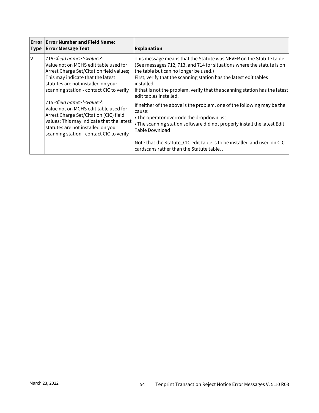| <b>Error</b><br> Type | <b>Error Number and Field Name:</b><br><b>Error Message Text</b>                                                                                                                                                                                                      | Explanation                                                                                                                                                                                                                                                                                                                                                                           |
|-----------------------|-----------------------------------------------------------------------------------------------------------------------------------------------------------------------------------------------------------------------------------------------------------------------|---------------------------------------------------------------------------------------------------------------------------------------------------------------------------------------------------------------------------------------------------------------------------------------------------------------------------------------------------------------------------------------|
| IV-                   | 715 <field name=""> '<value>':<br/>Value not on MCHS edit table used for<br/>Arrest Charge Set/Citation field values;<br/>This may indicate that the latest<br/>statutes are not installed on your<br/>scanning station - contact CIC to verify</value></field>       | This message means that the Statute was NEVER on the Statute table.<br>(See messages 712, 713, and 714 for situations where the statute is on<br>the table but can no longer be used.)<br>First, verify that the scanning station has the latest edit tables<br>linstalled.<br>If that is not the problem, verify that the scanning station has the latest<br>ledit tables installed. |
|                       | 715 <field name=""> '<value>':<br/>Value not on MCHS edit table used for<br/>Arrest Charge Set/Citation (CIC) field<br/>values; This may indicate that the latest<br/>statutes are not installed on your<br/>scanning station - contact CIC to verify</value></field> | If neither of the above is the problem, one of the following may be the<br>lcause:<br>$\cdot$ The operator overrode the dropdown list<br>$\cdot$ The scanning station software did not properly install the latest Edit<br>Table Download<br>Note that the Statute_CIC edit table is to be installed and used on CIC<br>cardscans rather than the Statute table                       |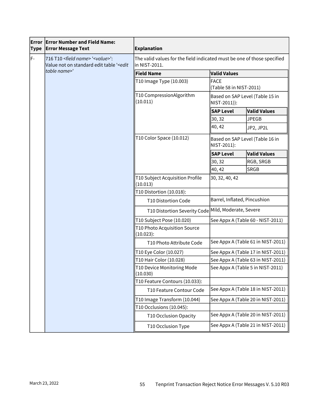| <b>Type</b> | <b>Error Error Number and Field Name:</b><br><b>Error Message Text</b>                                                      | <b>Explanation</b>                                                                       |                                                 |                                    |  |
|-------------|-----------------------------------------------------------------------------------------------------------------------------|------------------------------------------------------------------------------------------|-------------------------------------------------|------------------------------------|--|
| F-          | 716 T10 <field name=""> '<value>':<br/>Value not on standard edit table '<edit<br>table name&gt;'</edit<br></value></field> | The valid values for the field indicated must be one of those specified<br>in NIST-2011. |                                                 |                                    |  |
|             |                                                                                                                             | <b>Field Name</b>                                                                        | <b>Valid Values</b>                             |                                    |  |
|             |                                                                                                                             | T10 Image Type (10.003)                                                                  | <b>FACE</b>                                     | (Table 58 in NIST-2011)            |  |
|             |                                                                                                                             | T10 CompressionAlgorithm<br>(10.011)                                                     | Based on SAP Level (Table 15 in<br>NIST-2011)): |                                    |  |
|             |                                                                                                                             |                                                                                          | <b>SAP Level</b>                                | <b>Valid Values</b>                |  |
|             |                                                                                                                             |                                                                                          | 30, 32                                          | <b>JPEGB</b>                       |  |
|             |                                                                                                                             |                                                                                          | 40, 42                                          | JP2, JP2L                          |  |
|             |                                                                                                                             | T10 Color Space (10.012)                                                                 | Based on SAP Level (Table 16 in<br>NIST-2011):  |                                    |  |
|             |                                                                                                                             |                                                                                          | <b>SAP Level</b>                                | <b>Valid Values</b>                |  |
|             |                                                                                                                             |                                                                                          | 30, 32                                          | RGB, SRGB                          |  |
|             |                                                                                                                             |                                                                                          | 40, 42                                          | <b>SRGB</b>                        |  |
|             |                                                                                                                             | T10 Subject Acquisition Profile<br>(10.013)                                              | 30, 32, 40, 42                                  |                                    |  |
|             |                                                                                                                             | T10 Distortion (10.018):                                                                 |                                                 |                                    |  |
|             |                                                                                                                             | T10 Distortion Code                                                                      | Barrel, Inflated, Pincushion                    |                                    |  |
|             |                                                                                                                             | T10 Distortion Severity Code Mild, Moderate, Severe                                      |                                                 |                                    |  |
|             |                                                                                                                             | T10 Subject Pose (10.020)                                                                | See Appx A (Table 60 - NIST-2011)               |                                    |  |
|             |                                                                                                                             | T10 Photo Acquisition Source<br>(10.023):                                                |                                                 |                                    |  |
|             |                                                                                                                             | T10 Photo Attribute Code                                                                 | See Appx A (Table 61 in NIST-2011)              |                                    |  |
|             |                                                                                                                             | T10 Eye Color (10.027)                                                                   | See Appx A (Table 17 in NIST-2011)              |                                    |  |
|             |                                                                                                                             | T10 Hair Color (10.028)                                                                  | See Appx A (Table 63 in NIST-2011)              |                                    |  |
|             |                                                                                                                             | T10 Device Monitoring Mode<br>(10.030)                                                   | See Appx A (Table 5 in NIST-2011)               |                                    |  |
|             |                                                                                                                             | T10 Feature Contours (10.033):                                                           |                                                 |                                    |  |
|             |                                                                                                                             | T10 Feature Contour Code                                                                 |                                                 | See Appx A (Table 18 in NIST-2011) |  |
|             |                                                                                                                             | T10 Image Transform (10.044)                                                             |                                                 | See Appx A (Table 20 in NIST-2011) |  |
|             |                                                                                                                             | T10 Occlusions (10.045):                                                                 |                                                 |                                    |  |
|             |                                                                                                                             | T10 Occlusion Opacity                                                                    |                                                 | See Appx A (Table 20 in NIST-2011) |  |
|             |                                                                                                                             | T10 Occlusion Type                                                                       |                                                 | See Appx A (Table 21 in NIST-2011) |  |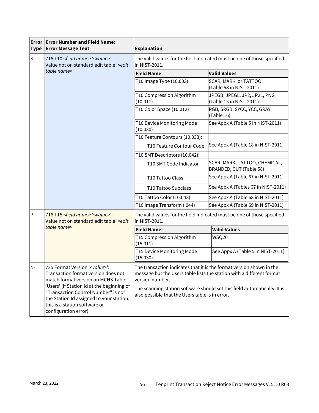| Error<br><b>Type</b> | <b>Error Number and Field Name:</b><br><b>Error Message Text</b>                                                                                                                                                                                                                                                     | <b>Explanation</b>                                                                                                                                               |                                                                          |  |
|----------------------|----------------------------------------------------------------------------------------------------------------------------------------------------------------------------------------------------------------------------------------------------------------------------------------------------------------------|------------------------------------------------------------------------------------------------------------------------------------------------------------------|--------------------------------------------------------------------------|--|
| ls-                  | 716 T10 <field name=""> '<value>':<br/>Value not on standard edit table '<edit< td=""><td colspan="3">The valid values for the field indicated must be one of those specified<br/>in NIST-2011.</td></edit<></value></field>                                                                                         | The valid values for the field indicated must be one of those specified<br>in NIST-2011.                                                                         |                                                                          |  |
|                      | table name>'                                                                                                                                                                                                                                                                                                         | <b>Field Name</b>                                                                                                                                                | <b>Valid Values</b>                                                      |  |
|                      |                                                                                                                                                                                                                                                                                                                      | T10 Image Type (10.003)                                                                                                                                          | SCAR, MARK, or TATTOO<br>(Table 58 in NIST-2011)                         |  |
|                      |                                                                                                                                                                                                                                                                                                                      | T10 Compression Algorithm<br>(10.011)                                                                                                                            | JPEGB, JPEGL, JP2, JP2L, PNG<br>(Table 15 in NIST-2011)                  |  |
|                      |                                                                                                                                                                                                                                                                                                                      | T10 Color Space (10.012)                                                                                                                                         | RGB, SRGB, SYCC, YCC, GRAY<br>(Table 16)                                 |  |
|                      |                                                                                                                                                                                                                                                                                                                      | T10 Device Monitoring Mode<br>(10.030)                                                                                                                           | See Appx A (Table 5 in NIST-2011)                                        |  |
|                      |                                                                                                                                                                                                                                                                                                                      | T10 Feature Contours (10.033):                                                                                                                                   |                                                                          |  |
|                      |                                                                                                                                                                                                                                                                                                                      | T10 Feature Contour Code                                                                                                                                         | See Appx A (Table 18 in NIST-2011)                                       |  |
|                      |                                                                                                                                                                                                                                                                                                                      | T10 SMT Descriptors (10.042):                                                                                                                                    |                                                                          |  |
|                      |                                                                                                                                                                                                                                                                                                                      | T10 SMT Code Indicator                                                                                                                                           | SCAR, MARK, TATTOO, CHEMICAL,<br>BRANDED, CUT (Table 58)                 |  |
|                      |                                                                                                                                                                                                                                                                                                                      | T10 Tattoo Class                                                                                                                                                 | See Appx A (Table 67 in NIST-2011)                                       |  |
|                      |                                                                                                                                                                                                                                                                                                                      | T10 Tattoo Subclass                                                                                                                                              | See Appx A (Tables 67 in NIST-2011)                                      |  |
|                      |                                                                                                                                                                                                                                                                                                                      | T10 Tattoo Color (10.043)                                                                                                                                        | See Appx A (Table 68 in NIST-2011)                                       |  |
|                      |                                                                                                                                                                                                                                                                                                                      | T10 Image Transform (.044)                                                                                                                                       | See Appx A (Table 69 in NIST-2011)                                       |  |
| P-                   | 716 T15 <field name=""> '<value>':<br/>Value not on standard edit table '<edit< td=""><td colspan="3">The valid values for the field indicated must be one of those specified<br/>in NIST-2011.</td></edit<></value></field>                                                                                         | The valid values for the field indicated must be one of those specified<br>in NIST-2011.                                                                         |                                                                          |  |
|                      | table name>'                                                                                                                                                                                                                                                                                                         | <b>Field Name</b>                                                                                                                                                | <b>Valid Values</b>                                                      |  |
|                      |                                                                                                                                                                                                                                                                                                                      | T15 Compression Algorithm<br>(15.011)                                                                                                                            | WSQ20                                                                    |  |
|                      |                                                                                                                                                                                                                                                                                                                      | T15 Device Monitoring Mode<br>(15.030)                                                                                                                           | See Appx A (Table 5 in NIST-2011)                                        |  |
| N-                   | 725 Format Version ' <value>':<br/>Transaction format version does not<br/>match format version on MCHS Table<br/>'Users' (If Station Id at the beginning of<br/>"Transaction Control Number" is not<br/>the Station Id assigned to your station,<br/>this is a station software or<br/>configuration error)</value> | The transaction indicates that it is the format version shown in the<br>message but the Users table lists the station with a different format<br>version number. |                                                                          |  |
|                      |                                                                                                                                                                                                                                                                                                                      | also possible that the Users table is in error.                                                                                                                  | The scanning station software should set this field automatically. It is |  |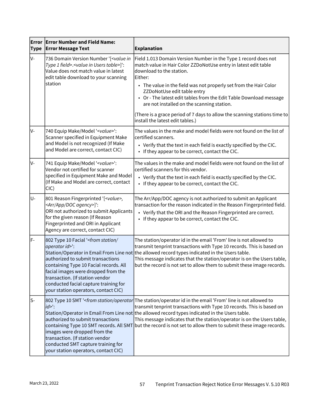| Error<br><b>Type</b> | <b>Error Number and Field Name:</b><br><b>Error Message Text</b>                                                                                                                                                                                                                                                      | <b>Explanation</b>                                                                                                                                                                                                                                                                                                                                                                                                                                                             |
|----------------------|-----------------------------------------------------------------------------------------------------------------------------------------------------------------------------------------------------------------------------------------------------------------------------------------------------------------------|--------------------------------------------------------------------------------------------------------------------------------------------------------------------------------------------------------------------------------------------------------------------------------------------------------------------------------------------------------------------------------------------------------------------------------------------------------------------------------|
| lv-                  | 736 Domain Version Number '[ <value in<br="">Type 1 field&gt;.<value in="" table="" users="">]':<br/>Value does not match value in latest<br/>edit table download to your scanning<br/>station</value></value>                                                                                                        | Field 1.013 Domain Version Number in the Type 1 record does not<br>match value in Hair Color ZZDoNotUse entry in latest edit table<br>download to the station.<br>Either:<br>• The value in the field was not properly set from the Hair Color<br>ZZDoNotUse edit table entry<br>• Or - The latest edit tables from the Edit Table Download message<br>are not installed on the scanning station.<br>(There is a grace period of 7 days to allow the scanning stations time to |
| lv-                  | 740 Equip Make/Model ' <value>':</value>                                                                                                                                                                                                                                                                              | install the latest edit tables.)<br>The values in the make and model fields were not found on the list of                                                                                                                                                                                                                                                                                                                                                                      |
|                      | Scanner specified in Equipment Make<br>and Model is not recognized (If Make<br>and Model are correct, contact CIC)                                                                                                                                                                                                    | certified scanners.<br>• Verify that the text in each field is exactly specified by the CIC.<br>If they appear to be correct, contact the CIC.                                                                                                                                                                                                                                                                                                                                 |
| lv-                  | 741 Equip Make/Model ' <value>':<br/>Vendor not certified for scanner<br/>specified in Equipment Make and Model<br/>(If Make and Model are correct, contact<br/>ClC)</value>                                                                                                                                          | The values in the make and model fields were not found on the list of<br>certified scanners for this vendor.<br>• Verify that the text in each field is exactly specified by the CIC.<br>• If they appear to be correct, contact the CIC.                                                                                                                                                                                                                                      |
| U-                   | 801 Reason Fingerprinted '[ <value>,<br/><arr agency="" app="" doc="">]':<br/>ORI not authorized to submit Applicants<br/>for the given reason (If Reason<br/>Fingerprinted and ORI in Applicant<br/>Agency are correct, contact CIC)</arr></value>                                                                   | The Arr/App/DOC agency is not authorized to submit an Applicant<br>transaction for the reason indicated in the Reason Fingerprinted field.<br>• Verify that the ORI and the Reason Fingerprinted are correct.<br>• If they appear to be correct, contact the CIC.                                                                                                                                                                                                              |
| F-                   | 802 Type 10 Facial ' <from <br="" station="">operator id&gt;':<br/>authorized to submit transactions<br/>containing Type 10 Facial records. All<br/>facial images were dropped from the<br/>transaction. (If station vendor<br/>conducted facial capture training for<br/>your station operators, contact CIC)</from> | The station/operator id in the email 'From' line is not allowed to<br>transmit tenprint transactions with Type 10 records. This is based on<br>Station/Operator in Email From Line not the allowed record types indicated in the Users table.<br>This message indicates that the station/operator is on the Users table,<br>but the record is not set to allow them to submit these image records.                                                                             |
| $S-$                 | 802 Type 10 SMT ' <from operator<br="" station=""><math>id</math><sup>-'</sup>:<br/>authorized to submit transactions<br/>images were dropped from the<br/>transaction. (If station vendor<br/>conducted SMT capture training for<br/>your station operators, contact CIC)</from>                                     | The station/operator id in the email 'From' line is not allowed to<br>transmit tenprint transactions with Type 10 records. This is based on<br>Station/Operator in Email From Line not the allowed record types indicated in the Users table.<br>This message indicates that the station/operator is on the Users table,<br>containing Type 10 SMT records. All SMT but the record is not set to allow them to submit these image records.                                     |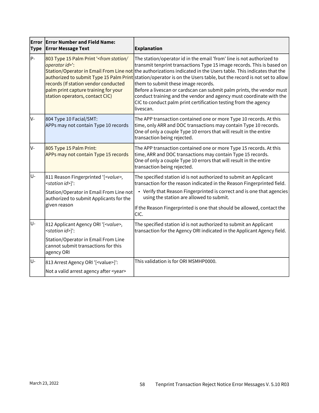| <b>Type</b> | <b>Error Error Number and Field Name:</b><br><b>Error Message Text</b>                                                                                                                          | <b>Explanation</b>                                                                                                                                                                                                                                                                                                                                                                                                                                                                                                                                                                                                                                               |
|-------------|-------------------------------------------------------------------------------------------------------------------------------------------------------------------------------------------------|------------------------------------------------------------------------------------------------------------------------------------------------------------------------------------------------------------------------------------------------------------------------------------------------------------------------------------------------------------------------------------------------------------------------------------------------------------------------------------------------------------------------------------------------------------------------------------------------------------------------------------------------------------------|
| P-          | 803 Type 15 Palm Print ' <from <br="" station="">operator id&gt;':<br/>records (If station vendor conducted<br/>palm print capture training for your<br/>station operators, contact CIC)</from> | The station/operator id in the email 'from' line is not authorized to<br>transmit tenprint transactions Type 15 image records. This is based on<br>Station/Operator in Email From Line not the authorizations indicated in the Users table. This indicates that the<br>authorized to submit Type 15 Palm Print station/operator is on the Users table, but the record is not set to allow<br>them to submit these image records.<br>Before a livescan or cardscan can submit palm prints, the vendor must<br>conduct training and the vendor and agency must coordinate with the<br>CIC to conduct palm print certification testing from the agency<br>livescan. |
| lv-         | 804 Type 10 Facial/SMT:<br>APPs may not contain Type 10 records                                                                                                                                 | The APP transaction contained one or more Type 10 records. At this<br>time, only ARR and DOC transactions may contain Type 10 records.<br>One of only a couple Type 10 errors that will result in the entire<br>transaction being rejected.                                                                                                                                                                                                                                                                                                                                                                                                                      |
| lv-         | 805 Type 15 Palm Print:<br>APPs may not contain Type 15 records                                                                                                                                 | The APP transaction contained one or more Type 15 records. At this<br>time, ARR and DOC transactions may contain Type 15 records.<br>One of only a couple Type 10 errors that will result in the entire<br>transaction being rejected.                                                                                                                                                                                                                                                                                                                                                                                                                           |
| U-          | 811 Reason Fingerprinted '[ <value>,<br/><station id="">]':<br/>Station/Operator in Email From Line not<br/>authorized to submit Applicants for the<br/>given reason</station></value>          | The specified station id is not authorized to submit an Applicant<br>transaction for the reason indicated in the Reason Fingerprinted field.<br>• Verify that Reason Fingerprinted is correct and is one that agencies<br>using the station are allowed to submit.<br>If the Reason Fingerprinted is one that should be allowed, contact the<br>CIC.                                                                                                                                                                                                                                                                                                             |
| U-          | 812 Applicant Agency ORI '[ <value>,<br/><station id="">]':<br/>Station/Operator in Email From Line<br/>cannot submit transactions for this<br/>agency ORI</station></value>                    | The specified station id is not authorized to submit an Applicant<br>transaction for the Agency ORI indicated in the Applicant Agency field.                                                                                                                                                                                                                                                                                                                                                                                                                                                                                                                     |
| U-          | 813 Arrest Agency ORI '[ <value>]':<br/>Not a valid arrest agency after <year></year></value>                                                                                                   | This validation is for ORI MSMHP0000.                                                                                                                                                                                                                                                                                                                                                                                                                                                                                                                                                                                                                            |